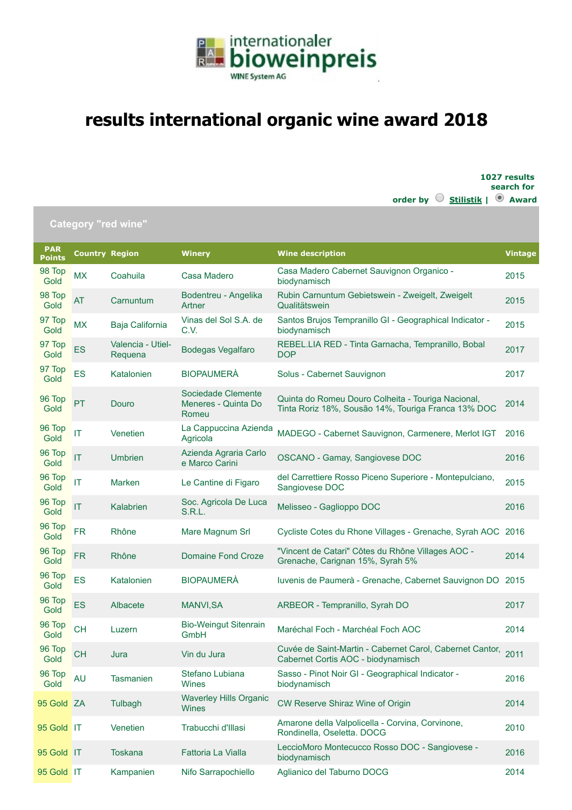

## **results international organic wine award 2018**

**1027 results search for**

|                             |                       |                              |                                                    | order by $\heartsuit$<br>Stilistik                                                                        | <sup>O</sup> Award |
|-----------------------------|-----------------------|------------------------------|----------------------------------------------------|-----------------------------------------------------------------------------------------------------------|--------------------|
|                             |                       | <b>Category "red wine"</b>   |                                                    |                                                                                                           |                    |
| <b>PAR</b><br><b>Points</b> | <b>Country Region</b> |                              | <b>Winery</b>                                      | <b>Wine description</b>                                                                                   | <b>Vintage</b>     |
| 98 Top<br>Gold              | <b>MX</b>             | Coahuila                     | Casa Madero                                        | Casa Madero Cabernet Sauvignon Organico -<br>biodynamisch                                                 | 2015               |
| 98 Top<br>Gold              | AT                    | Carnuntum                    | Bodentreu - Angelika<br>Artner                     | Rubin Carnuntum Gebietswein - Zweigelt, Zweigelt<br>Qualitätswein                                         | 2015               |
| 97 Top<br>Gold              | <b>MX</b>             | Baja California              | Vinas del Sol S.A. de<br>C.V.                      | Santos Brujos Tempranillo GI - Geographical Indicator -<br>biodynamisch                                   | 2015               |
| 97 Top<br>Gold              | ES                    | Valencia - Utiel-<br>Requena | <b>Bodegas Vegalfaro</b>                           | REBEL.LIA RED - Tinta Garnacha, Tempranillo, Bobal<br><b>DOP</b>                                          | 2017               |
| 97 Top<br>Gold              | ES                    | Katalonien                   | <b>BIOPAUMERÀ</b>                                  | Solus - Cabernet Sauvignon                                                                                | 2017               |
| 96 Top<br>Gold              | PT                    | Douro                        | Sociedade Clemente<br>Meneres - Quinta Do<br>Romeu | Quinta do Romeu Douro Colheita - Touriga Nacional,<br>Tinta Roriz 18%, Sousão 14%, Touriga Franca 13% DOC | 2014               |
| 96 Top<br>Gold              | IT                    | Venetien                     | La Cappuccina Azienda<br>Agricola                  | MADEGO - Cabernet Sauvignon, Carmenere, Merlot IGT                                                        | 2016               |
| 96 Top<br>Gold              | T                     | <b>Umbrien</b>               | Azienda Agraria Carlo<br>e Marco Carini            | OSCANO - Gamay, Sangiovese DOC                                                                            | 2016               |
| 96 Top<br>Gold              | IT                    | Marken                       | Le Cantine di Figaro                               | del Carrettiere Rosso Piceno Superiore - Montepulciano,<br>Sangiovese DOC                                 | 2015               |
| 96 Top<br>Gold              | IT                    | Kalabrien                    | Soc. Agricola De Luca<br><b>S.R.L.</b>             | Melisseo - Gaglioppo DOC                                                                                  | 2016               |
| 96 Top<br>Gold              | <b>FR</b>             | Rhône                        | Mare Magnum Srl                                    | Cycliste Cotes du Rhone Villages - Grenache, Syrah AOC                                                    | 2016               |
| 96 Top<br>Gold              | <b>FR</b>             | Rhône                        | <b>Domaine Fond Croze</b>                          | "Vincent de Catari" Côtes du Rhône Villages AOC -<br>Grenache, Carignan 15%, Syrah 5%                     | 2014               |
| 96 Top<br>Gold              | ES                    | Katalonien                   | <b>BIOPAUMERÀ</b>                                  | Iuvenis de Paumerà - Grenache, Cabernet Sauvignon DO                                                      | 2015               |
| 96 Top<br>Gold              | <b>ES</b>             | Albacete                     | <b>MANVI, SA</b>                                   | ARBEOR - Tempranillo, Syrah DO                                                                            | 2017               |
| 96 Top<br>Gold              | <b>CH</b>             | Luzern                       | <b>Bio-Weingut Sitenrain</b><br>GmbH               | Maréchal Foch - Marchéal Foch AOC                                                                         | 2014               |
| 96 Top<br>Gold              | <b>CH</b>             | Jura                         | Vin du Jura                                        | Cuvée de Saint-Martin - Cabernet Carol, Cabernet Cantor,<br>Cabernet Cortis AOC - biodynamisch            | 2011               |
| 96 Top<br>Gold              | <b>AU</b>             | <b>Tasmanien</b>             | Stefano Lubiana<br>Wines                           | Sasso - Pinot Noir GI - Geographical Indicator -<br>biodynamisch                                          | 2016               |
| 95 Gold ZA                  |                       | Tulbagh                      | <b>Waverley Hills Organic</b><br><b>Wines</b>      | CW Reserve Shiraz Wine of Origin                                                                          | 2014               |
| 95 Gold IT                  |                       | Venetien                     | Trabucchi d'Illasi                                 | Amarone della Valpolicella - Corvina, Corvinone,<br>Rondinella, Oseletta. DOCG                            | 2010               |
| 95 Gold IT                  |                       | <b>Toskana</b>               | Fattoria La Vialla                                 | LeccioMoro Montecucco Rosso DOC - Sangiovese -<br>biodynamisch                                            | 2016               |
| 95 Gold IT                  |                       | Kampanien                    | Nifo Sarrapochiello                                | Aglianico del Taburno DOCG                                                                                | 2014               |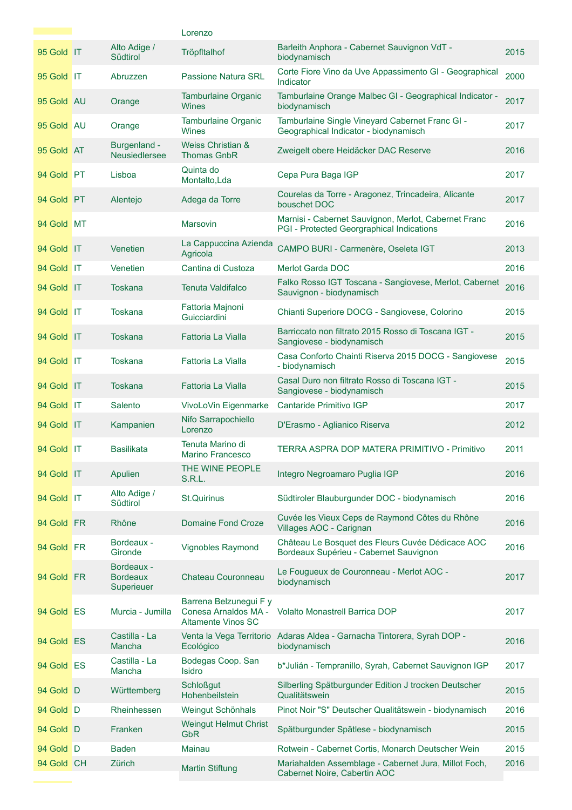|            |                                             | Lorenzo                                                                     |                                                                                                   |      |
|------------|---------------------------------------------|-----------------------------------------------------------------------------|---------------------------------------------------------------------------------------------------|------|
| 95 Gold IT | Alto Adige /<br>Südtirol                    | Tröpfltalhof                                                                | Barleith Anphora - Cabernet Sauvignon VdT -<br>biodynamisch                                       | 2015 |
| 95 Gold IT | Abruzzen                                    | <b>Passione Natura SRL</b>                                                  | Corte Fiore Vino da Uve Appassimento GI - Geographical<br>Indicator                               | 2000 |
| 95 Gold AU | Orange                                      | <b>Tamburlaine Organic</b><br>Wines                                         | Tamburlaine Orange Malbec GI - Geographical Indicator -<br>biodynamisch                           | 2017 |
| 95 Gold AU | Orange                                      | <b>Tamburlaine Organic</b><br>Wines                                         | Tamburlaine Single Vineyard Cabernet Franc GI -<br>Geographical Indicator - biodynamisch          | 2017 |
| 95 Gold AT | Burgenland -<br><b>Neusiedlersee</b>        | Weiss Christian &<br><b>Thomas GnbR</b>                                     | Zweigelt obere Heidäcker DAC Reserve                                                              | 2016 |
| 94 Gold PT | Lisboa                                      | Quinta do<br>Montalto, Lda                                                  | Cepa Pura Baga IGP                                                                                | 2017 |
| 94 Gold PT | Alentejo                                    | Adega da Torre                                                              | Courelas da Torre - Aragonez, Trincadeira, Alicante<br>bouschet DOC                               | 2017 |
| 94 Gold MT |                                             | <b>Marsovin</b>                                                             | Marnisi - Cabernet Sauvignon, Merlot, Cabernet Franc<br>PGI - Protected Georgraphical Indications | 2016 |
| 94 Gold IT | Venetien                                    | La Cappuccina Azienda<br>Agricola                                           | CAMPO BURI - Carmenère, Oseleta IGT                                                               | 2013 |
| 94 Gold IT | Venetien                                    | Cantina di Custoza                                                          | <b>Merlot Garda DOC</b>                                                                           | 2016 |
| 94 Gold IT | Toskana                                     | <b>Tenuta Valdifalco</b>                                                    | Falko Rosso IGT Toscana - Sangiovese, Merlot, Cabernet<br>Sauvignon - biodynamisch                | 2016 |
| 94 Gold IT | <b>Toskana</b>                              | Fattoria Majnoni<br>Guicciardini                                            | Chianti Superiore DOCG - Sangiovese, Colorino                                                     | 2015 |
| 94 Gold IT | Toskana                                     | Fattoria La Vialla                                                          | Barriccato non filtrato 2015 Rosso di Toscana IGT -<br>Sangiovese - biodynamisch                  | 2015 |
| 94 Gold IT | Toskana                                     | Fattoria La Vialla                                                          | Casa Conforto Chainti Riserva 2015 DOCG - Sangiovese<br>- biodynamisch                            | 2015 |
| 94 Gold IT | <b>Toskana</b>                              | Fattoria La Vialla                                                          | Casal Duro non filtrato Rosso di Toscana IGT -<br>Sangiovese - biodynamisch                       | 2015 |
| 94 Gold IT | Salento                                     | VivoLoVin Eigenmarke                                                        | Cantaride Primitivo IGP                                                                           | 2017 |
| 94 Gold IT | Kampanien                                   | Nifo Sarrapochiello<br>Lorenzo                                              | D'Erasmo - Aglianico Riserva                                                                      | 2012 |
| 94 Gold IT | <b>Basilikata</b>                           | Tenuta Marino di<br><b>Marino Francesco</b>                                 | TERRA ASPRA DOP MATERA PRIMITIVO - Primitivo                                                      | 2011 |
| 94 Gold IT | Apulien                                     | THE WINE PEOPLE<br>S.R.L.                                                   | Integro Negroamaro Puglia IGP                                                                     | 2016 |
| 94 Gold IT | Alto Adige /<br>Südtirol                    | <b>St.Quirinus</b>                                                          | Südtiroler Blauburgunder DOC - biodynamisch                                                       | 2016 |
| 94 Gold FR | Rhône                                       | Domaine Fond Croze                                                          | Cuvée les Vieux Ceps de Raymond Côtes du Rhône<br>Villages AOC - Carignan                         | 2016 |
| 94 Gold FR | Bordeaux -<br>Gironde                       | Vignobles Raymond                                                           | Château Le Bosquet des Fleurs Cuvée Dédicace AOC<br>Bordeaux Supérieu - Cabernet Sauvignon        | 2016 |
| 94 Gold FR | Bordeaux -<br><b>Bordeaux</b><br>Superieuer | Chateau Couronneau                                                          | Le Fougueux de Couronneau - Merlot AOC -<br>biodynamisch                                          | 2017 |
| 94 Gold ES | Murcia - Jumilla                            | Barrena Belzunegui F y<br>Conesa Arnaldos MA -<br><b>Altamente Vinos SC</b> | <b>Volalto Monastrell Barrica DOP</b>                                                             | 2017 |
| 94 Gold ES | Castilla - La<br>Mancha                     | Ecológico                                                                   | Venta la Vega Territorio Adaras Aldea - Garnacha Tintorera, Syrah DOP -<br>biodynamisch           | 2016 |
| 94 Gold ES | Castilla - La<br>Mancha                     | Bodegas Coop. San<br>Isidro                                                 | b*Julián - Tempranillo, Syrah, Cabernet Sauvignon IGP                                             | 2017 |
| 94 Gold D  | Württemberg                                 | <b>Schloßgut</b><br>Hohenbeilstein                                          | Silberling Spätburgunder Edition J trocken Deutscher<br>Qualitätswein                             | 2015 |
| 94 Gold D  | Rheinhessen                                 | Weingut Schönhals                                                           | Pinot Noir "S" Deutscher Qualitätswein - biodynamisch                                             | 2016 |
| 94 Gold D  | Franken                                     | <b>Weingut Helmut Christ</b><br><b>GbR</b>                                  | Spätburgunder Spätlese - biodynamisch                                                             | 2015 |
| 94 Gold D  | <b>Baden</b>                                | Mainau                                                                      | Rotwein - Cabernet Cortis, Monarch Deutscher Wein                                                 | 2015 |
| 94 Gold CH | Zürich                                      |                                                                             | Mariahalden Assemblage - Cabernet Jura, Millot Foch,                                              | 2016 |
|            |                                             | <b>Martin Stiftung</b>                                                      | Cabernet Noire, Cabertin AOC                                                                      |      |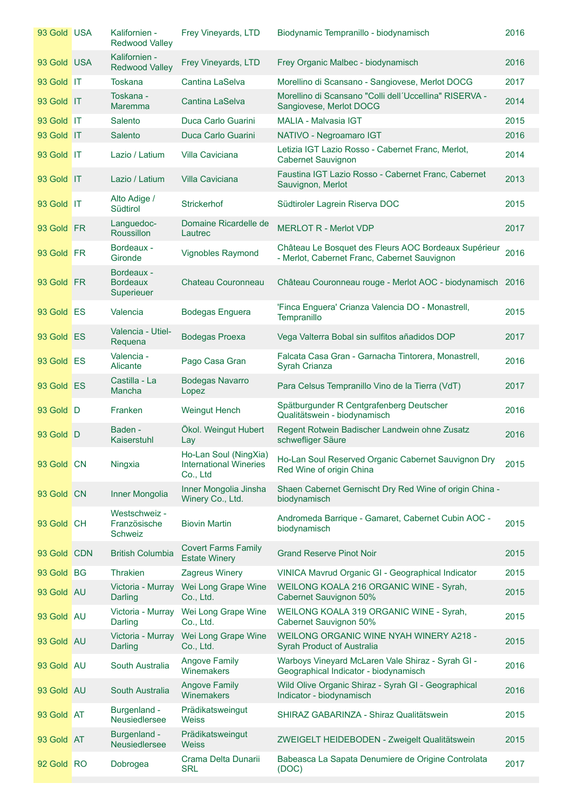| 93 Gold USA | Kalifornien -<br><b>Redwood Valley</b>      | Frey Vineyards, LTD                                                | Biodynamic Tempranillo - biodynamisch                                                                | 2016 |
|-------------|---------------------------------------------|--------------------------------------------------------------------|------------------------------------------------------------------------------------------------------|------|
| 93 Gold USA | Kalifornien -<br><b>Redwood Valley</b>      | Frey Vineyards, LTD                                                | Frey Organic Malbec - biodynamisch                                                                   | 2016 |
| 93 Gold IT  | Toskana                                     | Cantina LaSelva                                                    | Morellino di Scansano - Sangiovese, Merlot DOCG                                                      | 2017 |
| 93 Gold IT  | Toskana -<br><b>Maremma</b>                 | Cantina LaSelva                                                    | Morellino di Scansano "Colli dell'Uccellina" RISERVA -<br>Sangiovese, Merlot DOCG                    | 2014 |
| 93 Gold IT  | Salento                                     | Duca Carlo Guarini                                                 | MALIA - Malvasia IGT                                                                                 | 2015 |
| 93 Gold IT  | Salento                                     | Duca Carlo Guarini                                                 | NATIVO - Negroamaro IGT                                                                              | 2016 |
| 93 Gold IT  | Lazio / Latium                              | Villa Caviciana                                                    | Letizia IGT Lazio Rosso - Cabernet Franc, Merlot,<br><b>Cabernet Sauvignon</b>                       | 2014 |
| 93 Gold IT  | Lazio / Latium                              | <b>Villa Caviciana</b>                                             | Faustina IGT Lazio Rosso - Cabernet Franc, Cabernet<br>Sauvignon, Merlot                             | 2013 |
| 93 Gold IT  | Alto Adige /<br>Südtirol                    | <b>Strickerhof</b>                                                 | Südtiroler Lagrein Riserva DOC                                                                       | 2015 |
| 93 Gold FR  | Languedoc-<br><b>Roussillon</b>             | Domaine Ricardelle de<br>Lautrec                                   | <b>MERLOT R - Merlot VDP</b>                                                                         | 2017 |
| 93 Gold FR  | Bordeaux -<br>Gironde                       | <b>Vignobles Raymond</b>                                           | Château Le Bosquet des Fleurs AOC Bordeaux Supérieur<br>- Merlot, Cabernet Franc, Cabernet Sauvignon | 2016 |
| 93 Gold FR  | Bordeaux -<br><b>Bordeaux</b><br>Superieuer | Chateau Couronneau                                                 | Château Couronneau rouge - Merlot AOC - biodynamisch 2016                                            |      |
| 93 Gold ES  | Valencia                                    | <b>Bodegas Enguera</b>                                             | 'Finca Enguera' Crianza Valencia DO - Monastrell,<br>Tempranillo                                     | 2015 |
| 93 Gold ES  | Valencia - Utiel-<br>Requena                | <b>Bodegas Proexa</b>                                              | Vega Valterra Bobal sin sulfitos añadidos DOP                                                        | 2017 |
| 93 Gold ES  | Valencia -<br>Alicante                      | Pago Casa Gran                                                     | Falcata Casa Gran - Garnacha Tintorera, Monastrell,<br><b>Syrah Crianza</b>                          | 2016 |
| 93 Gold ES  | Castilla - La<br>Mancha                     | <b>Bodegas Navarro</b><br>Lopez                                    | Para Celsus Tempranillo Vino de la Tierra (VdT)                                                      | 2017 |
| 93 Gold D   | Franken                                     | <b>Weingut Hench</b>                                               | Spätburgunder R Centgrafenberg Deutscher<br>Qualitätswein - biodynamisch                             | 2016 |
| 93 Gold D   | Baden -<br>Kaiserstuhl                      | Ökol. Weingut Hubert<br>Lay                                        | Regent Rotwein Badischer Landwein ohne Zusatz<br>schwefliger Säure                                   | 2016 |
| 93 Gold CN  | Ningxia                                     | Ho-Lan Soul (NingXia)<br><b>International Wineries</b><br>Co., Ltd | Ho-Lan Soul Reserved Organic Cabernet Sauvignon Dry<br>Red Wine of origin China                      | 2015 |
| 93 Gold CN  | Inner Mongolia                              | Inner Mongolia Jinsha<br>Winery Co., Ltd.                          | Shaen Cabernet Gernischt Dry Red Wine of origin China -<br>biodynamisch                              |      |
| 93 Gold CH  | Westschweiz -<br>Französische<br>Schweiz    | <b>Biovin Martin</b>                                               | Andromeda Barrique - Gamaret, Cabernet Cubin AOC -<br>biodynamisch                                   | 2015 |
| 93 Gold CDN | <b>British Columbia</b>                     | <b>Covert Farms Family</b><br><b>Estate Winery</b>                 | <b>Grand Reserve Pinot Noir</b>                                                                      | 2015 |
| 93 Gold BG  | <b>Thrakien</b>                             | Zagreus Winery                                                     | VINICA Mavrud Organic GI - Geographical Indicator                                                    | 2015 |
| 93 Gold AU  | Victoria - Murray<br>Darling                | Wei Long Grape Wine<br>Co., Ltd.                                   | WEILONG KOALA 216 ORGANIC WINE - Syrah,<br><b>Cabernet Sauvignon 50%</b>                             | 2015 |
| 93 Gold AU  | Victoria - Murray<br>Darling                | Wei Long Grape Wine<br>Co., Ltd.                                   | WEILONG KOALA 319 ORGANIC WINE - Syrah,<br><b>Cabernet Sauvignon 50%</b>                             | 2015 |
| 93 Gold AU  | Victoria - Murray<br>Darling                | Wei Long Grape Wine<br>Co., Ltd.                                   | <b>WEILONG ORGANIC WINE NYAH WINERY A218 -</b><br><b>Syrah Product of Australia</b>                  | 2015 |
| 93 Gold AU  | South Australia                             | <b>Angove Family</b><br>Winemakers                                 | Warboys Vineyard McLaren Vale Shiraz - Syrah GI -<br>Geographical Indicator - biodynamisch           | 2016 |
| 93 Gold AU  | South Australia                             | <b>Angove Family</b><br><b>Winemakers</b>                          | Wild Olive Organic Shiraz - Syrah GI - Geographical<br>Indicator - biodynamisch                      | 2016 |
| 93 Gold AT  | Burgenland -<br>Neusiedlersee               | Prädikatsweingut<br><b>Weiss</b>                                   | SHIRAZ GABARINZA - Shiraz Qualitätswein                                                              | 2015 |
| 93 Gold AT  | Burgenland -<br><b>Neusiedlersee</b>        | Prädikatsweingut<br><b>Weiss</b>                                   | ZWEIGELT HEIDEBODEN - Zweigelt Qualitätswein                                                         | 2015 |
| 92 Gold RO  | Dobrogea                                    | Crama Delta Dunarii<br><b>SRL</b>                                  | Babeasca La Sapata Denumiere de Origine Controlata<br>(DOC)                                          | 2017 |
|             |                                             |                                                                    |                                                                                                      |      |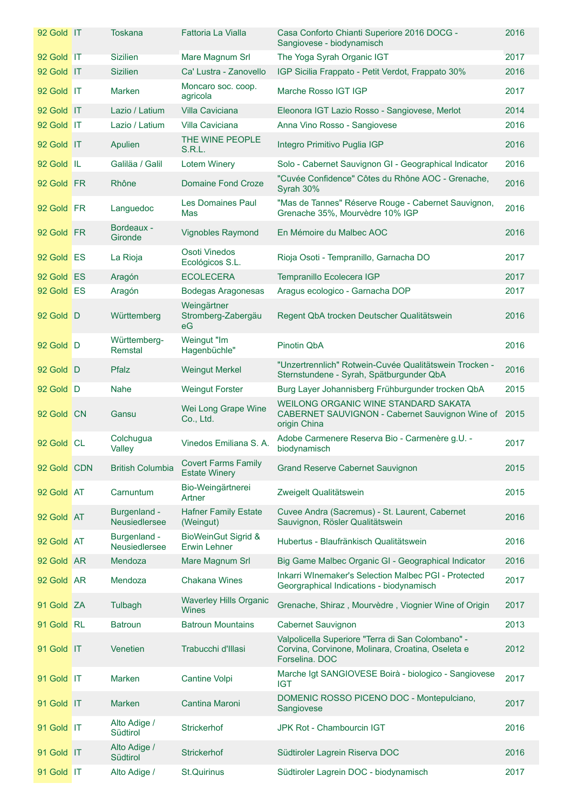| 92 Gold IT  | <b>Toskana</b>                | Fattoria La Vialla                                    | Casa Conforto Chianti Superiore 2016 DOCG -<br>Sangiovese - biodynamisch                                                 | 2016 |
|-------------|-------------------------------|-------------------------------------------------------|--------------------------------------------------------------------------------------------------------------------------|------|
| 92 Gold IT  | <b>Sizilien</b>               | Mare Magnum Srl                                       | The Yoga Syrah Organic IGT                                                                                               | 2017 |
| 92 Gold IT  | <b>Sizilien</b>               | Ca' Lustra - Zanovello                                | IGP Sicilia Frappato - Petit Verdot, Frappato 30%                                                                        | 2016 |
| 92 Gold IT  | <b>Marken</b>                 | Moncaro soc. coop.<br>agricola                        | Marche Rosso IGT IGP                                                                                                     | 2017 |
| 92 Gold IT  | Lazio / Latium                | <b>Villa Caviciana</b>                                | Eleonora IGT Lazio Rosso - Sangiovese, Merlot                                                                            | 2014 |
| 92 Gold IT  | Lazio / Latium                | Villa Caviciana                                       | Anna Vino Rosso - Sangiovese                                                                                             | 2016 |
| 92 Gold IT  | Apulien                       | THE WINE PEOPLE<br>S.R.L.                             | Integro Primitivo Puglia IGP                                                                                             | 2016 |
| 92 Gold IL  | Galiläa / Galil               | <b>Lotem Winery</b>                                   | Solo - Cabernet Sauvignon GI - Geographical Indicator                                                                    | 2016 |
| 92 Gold FR  | Rhône                         | <b>Domaine Fond Croze</b>                             | "Cuvée Confidence" Côtes du Rhône AOC - Grenache,<br>Syrah 30%                                                           | 2016 |
| 92 Gold FR  | Languedoc                     | <b>Les Domaines Paul</b><br>Mas                       | "Mas de Tannes" Réserve Rouge - Cabernet Sauvignon,<br>Grenache 35%, Mourvèdre 10% IGP                                   | 2016 |
| 92 Gold FR  | Bordeaux -<br>Gironde         | <b>Vignobles Raymond</b>                              | En Mémoire du Malbec AOC                                                                                                 | 2016 |
| 92 Gold ES  | La Rioja                      | Osoti Vinedos<br>Ecológicos S.L.                      | Rioja Osoti - Tempranillo, Garnacha DO                                                                                   | 2017 |
| 92 Gold ES  | Aragón                        | <b>ECOLECERA</b>                                      | Tempranillo Ecolecera IGP                                                                                                | 2017 |
| 92 Gold ES  | Aragón                        | <b>Bodegas Aragonesas</b>                             | Aragus ecologico - Garnacha DOP                                                                                          | 2017 |
| 92 Gold D   | Württemberg                   | Weingärtner<br>Stromberg-Zabergäu<br>eG               | Regent QbA trocken Deutscher Qualitätswein                                                                               | 2016 |
| 92 Gold D   | Württemberg-<br>Remstal       | Weingut "Im<br>Hagenbüchle"                           | Pinotin QbA                                                                                                              | 2016 |
| 92 Gold D   | Pfalz                         | <b>Weingut Merkel</b>                                 | "Unzertrennlich" Rotwein-Cuvée Qualitätswein Trocken -<br>Sternstundene - Syrah, Spätburgunder QbA                       | 2016 |
| 92 Gold D   | Nahe                          | <b>Weingut Forster</b>                                | Burg Layer Johannisberg Frühburgunder trocken QbA                                                                        | 2015 |
| 92 Gold CN  | Gansu                         | Wei Long Grape Wine<br>Co., Ltd.                      | WEILONG ORGANIC WINE STANDARD SAKATA<br>CABERNET SAUVIGNON - Cabernet Sauvignon Wine of 2015<br>origin China             |      |
| 92 Gold CL  | Colchugua<br>Valley           | Vinedos Emiliana S. A.                                | Adobe Carmenere Reserva Bio - Carmenère g.U. -<br>biodynamisch                                                           | 2017 |
| 92 Gold CDN | <b>British Columbia</b>       | <b>Covert Farms Family</b><br><b>Estate Winery</b>    | <b>Grand Reserve Cabernet Sauvignon</b>                                                                                  | 2015 |
| 92 Gold AT  | Carnuntum                     | Bio-Weingärtnerei<br>Artner                           | Zweigelt Qualitätswein                                                                                                   | 2015 |
| 92 Gold AT  | Burgenland -<br>Neusiedlersee | <b>Hafner Family Estate</b><br>(Weingut)              | Cuvee Andra (Sacremus) - St. Laurent, Cabernet<br>Sauvignon, Rösler Qualitätswein                                        | 2016 |
| 92 Gold AT  | Burgenland -<br>Neusiedlersee | <b>BioWeinGut Sigrid &amp;</b><br><b>Erwin Lehner</b> | Hubertus - Blaufränkisch Qualitätswein                                                                                   | 2016 |
| 92 Gold AR  | Mendoza                       | Mare Magnum Srl                                       | Big Game Malbec Organic GI - Geographical Indicator                                                                      | 2016 |
| 92 Gold AR  | Mendoza                       | <b>Chakana Wines</b>                                  | Inkarri WInemaker's Selection Malbec PGI - Protected<br>Georgraphical Indications - biodynamisch                         | 2017 |
| 91 Gold ZA  | Tulbagh                       | <b>Waverley Hills Organic</b><br>Wines                | Grenache, Shiraz, Mourvèdre, Viognier Wine of Origin                                                                     | 2017 |
| 91 Gold RL  | <b>Batroun</b>                | <b>Batroun Mountains</b>                              | <b>Cabernet Sauvignon</b>                                                                                                | 2013 |
| 91 Gold IT  | Venetien                      | Trabucchi d'Illasi                                    | Valpolicella Superiore "Terra di San Colombano" -<br>Corvina, Corvinone, Molinara, Croatina, Oseleta e<br>Forselina, DOC | 2012 |
| 91 Gold IT  | <b>Marken</b>                 | Cantine Volpi                                         | Marche Igt SANGIOVESE Boirà - biologico - Sangiovese<br><b>IGT</b>                                                       | 2017 |
| 91 Gold IT  | <b>Marken</b>                 | Cantina Maroni                                        | DOMENIC ROSSO PICENO DOC - Montepulciano,<br>Sangiovese                                                                  | 2017 |
| 91 Gold IT  | Alto Adige /<br>Südtirol      | Strickerhof                                           | JPK Rot - Chambourcin IGT                                                                                                | 2016 |
| 91 Gold IT  | Alto Adige /<br>Südtirol      | <b>Strickerhof</b>                                    | Südtiroler Lagrein Riserva DOC                                                                                           | 2016 |
| 91 Gold IT  | Alto Adige /                  | <b>St.Quirinus</b>                                    | Südtiroler Lagrein DOC - biodynamisch                                                                                    | 2017 |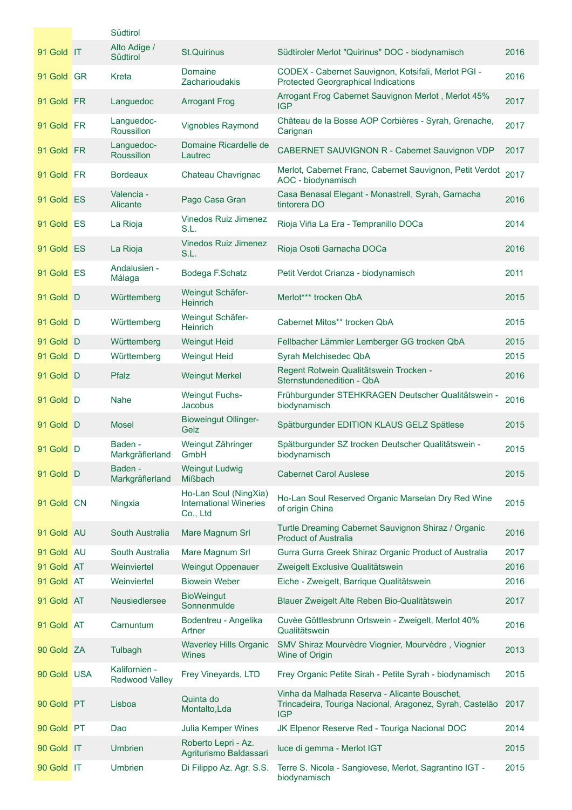|             | Südtirol                               |                                                                    |                                                                                                                         |      |
|-------------|----------------------------------------|--------------------------------------------------------------------|-------------------------------------------------------------------------------------------------------------------------|------|
| 91 Gold IT  | Alto Adige /<br>Südtirol               | <b>St.Quirinus</b>                                                 | Südtiroler Merlot "Quirinus" DOC - biodynamisch                                                                         | 2016 |
| 91 Gold GR  | Kreta                                  | <b>Domaine</b><br>Zacharioudakis                                   | CODEX - Cabernet Sauvignon, Kotsifali, Merlot PGI -<br><b>Protected Georgraphical Indications</b>                       | 2016 |
| 91 Gold FR  | Languedoc                              | <b>Arrogant Frog</b>                                               | Arrogant Frog Cabernet Sauvignon Merlot, Merlot 45%<br><b>IGP</b>                                                       | 2017 |
| 91 Gold FR  | Languedoc-<br><b>Roussillon</b>        | Vignobles Raymond                                                  | Château de la Bosse AOP Corbières - Syrah, Grenache,<br>Carignan                                                        | 2017 |
| 91 Gold FR  | Languedoc-<br><b>Roussillon</b>        | Domaine Ricardelle de<br>Lautrec                                   | CABERNET SAUVIGNON R - Cabernet Sauvignon VDP                                                                           | 2017 |
| 91 Gold FR  | <b>Bordeaux</b>                        | Chateau Chavrignac                                                 | Merlot, Cabernet Franc, Cabernet Sauvignon, Petit Verdot<br>AOC - biodynamisch                                          | 2017 |
| 91 Gold ES  | Valencia -<br>Alicante                 | Pago Casa Gran                                                     | Casa Benasal Elegant - Monastrell, Syrah, Garnacha<br>tintorera DO                                                      | 2016 |
| 91 Gold ES  | La Rioja                               | Vinedos Ruiz Jimenez<br>S.L.                                       | Rioja Viña La Era - Tempranillo DOCa                                                                                    | 2014 |
| 91 Gold ES  | La Rioja                               | <b>Vinedos Ruiz Jimenez</b><br>S.L.                                | Rioja Osoti Garnacha DOCa                                                                                               | 2016 |
| 91 Gold ES  | Andalusien -<br>Málaga                 | Bodega F.Schatz                                                    | Petit Verdot Crianza - biodynamisch                                                                                     | 2011 |
| 91 Gold D   | Württemberg                            | Weingut Schäfer-<br><b>Heinrich</b>                                | Merlot*** trocken QbA                                                                                                   | 2015 |
| 91 Gold D   | Württemberg                            | Weingut Schäfer-<br><b>Heinrich</b>                                | Cabernet Mitos** trocken QbA                                                                                            | 2015 |
| 91 Gold D   | Württemberg                            | <b>Weingut Heid</b>                                                | Fellbacher Lämmler Lemberger GG trocken QbA                                                                             | 2015 |
| 91 Gold D   | Württemberg                            | <b>Weingut Heid</b>                                                | Syrah Melchisedec QbA                                                                                                   | 2015 |
| 91 Gold D   | Pfalz                                  | <b>Weingut Merkel</b>                                              | Regent Rotwein Qualitätswein Trocken -<br>Sternstundenedition - QbA                                                     | 2016 |
| 91 Gold D   | <b>Nahe</b>                            | <b>Weingut Fuchs-</b><br>Jacobus                                   | Frühburgunder STEHKRAGEN Deutscher Qualitätswein -<br>biodynamisch                                                      | 2016 |
| 91 Gold D   | <b>Mosel</b>                           | <b>Bioweingut Ollinger-</b><br>Gelz                                | Spätburgunder EDITION KLAUS GELZ Spätlese                                                                               | 2015 |
| 91 Gold D   | Baden -<br>Markgräflerland             | Weingut Zähringer<br>GmbH                                          | Spätburgunder SZ trocken Deutscher Qualitätswein -<br>biodynamisch                                                      | 2015 |
| 91 Gold D   | Baden -<br>Markgräflerland             | <b>Weingut Ludwig</b><br>Mißbach                                   | <b>Cabernet Carol Auslese</b>                                                                                           | 2015 |
| 91 Gold CN  | Ningxia                                | Ho-Lan Soul (NingXia)<br><b>International Wineries</b><br>Co., Ltd | Ho-Lan Soul Reserved Organic Marselan Dry Red Wine<br>of origin China                                                   | 2015 |
| 91 Gold AU  | South Australia                        | Mare Magnum Srl                                                    | Turtle Dreaming Cabernet Sauvignon Shiraz / Organic<br><b>Product of Australia</b>                                      | 2016 |
| 91 Gold AU  | South Australia                        | Mare Magnum Srl                                                    | Gurra Gurra Greek Shiraz Organic Product of Australia                                                                   | 2017 |
| 91 Gold AT  | Weinviertel                            | <b>Weingut Oppenauer</b>                                           | Zweigelt Exclusive Qualitätswein                                                                                        | 2016 |
| 91 Gold AT  | Weinviertel                            | <b>Biowein Weber</b>                                               | Eiche - Zweigelt, Barrique Qualitätswein                                                                                | 2016 |
| 91 Gold AT  | Neusiedlersee                          | <b>BioWeingut</b><br>Sonnenmulde                                   | Blauer Zweigelt Alte Reben Bio-Qualitätswein                                                                            | 2017 |
| 91 Gold AT  | Carnuntum                              | Bodentreu - Angelika<br>Artner                                     | Cuvèe Göttlesbrunn Ortswein - Zweigelt, Merlot 40%<br>Qualitätswein                                                     | 2016 |
| 90 Gold ZA  | Tulbagh                                | <b>Waverley Hills Organic</b><br>Wines                             | SMV Shiraz Mourvèdre Viognier, Mourvèdre, Viognier<br>Wine of Origin                                                    | 2013 |
| 90 Gold USA | Kalifornien -<br><b>Redwood Valley</b> | Frey Vineyards, LTD                                                | Frey Organic Petite Sirah - Petite Syrah - biodynamisch                                                                 | 2015 |
| 90 Gold PT  | Lisboa                                 | Quinta do<br>Montalto, Lda                                         | Vinha da Malhada Reserva - Alicante Bouschet,<br>Trincadeira, Touriga Nacional, Aragonez, Syrah, Castelão<br><b>IGP</b> | 2017 |
| 90 Gold PT  | Dao                                    | Julia Kemper Wines                                                 | JK Elpenor Reserve Red - Touriga Nacional DOC                                                                           | 2014 |
| 90 Gold IT  | <b>Umbrien</b>                         | Roberto Lepri - Az.<br>Agriturismo Baldassari                      | luce di gemma - Merlot IGT                                                                                              | 2015 |
| 90 Gold IT  | <b>Umbrien</b>                         | Di Filippo Az. Agr. S.S.                                           | Terre S. Nicola - Sangiovese, Merlot, Sagrantino IGT -<br>biodynamisch                                                  | 2015 |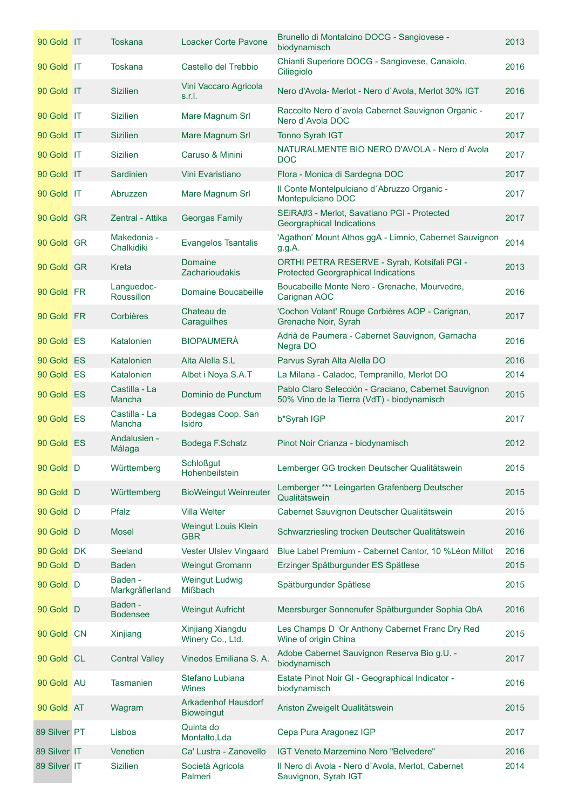| 90 Gold IT   | Toskana                    | <b>Loacker Corte Pavone</b>                     | Brunello di Montalcino DOCG - Sangiovese -<br>biodynamisch                                         | 2013 |
|--------------|----------------------------|-------------------------------------------------|----------------------------------------------------------------------------------------------------|------|
| 90 Gold IT   | <b>Toskana</b>             | Castello del Trebbio                            | Chianti Superiore DOCG - Sangiovese, Canaiolo,<br>Ciliegiolo                                       | 2016 |
| 90 Gold IT   | <b>Sizilien</b>            | Vini Vaccaro Agricola<br>s.r.l.                 | Nero d'Avola-Merlot - Nero d'Avola, Merlot 30% IGT                                                 | 2016 |
| 90 Gold IT   | <b>Sizilien</b>            | Mare Magnum Srl                                 | Raccolto Nero d'avola Cabernet Sauvignon Organic -<br>Nero d'Avola DOC                             | 2017 |
| 90 Gold IT   | <b>Sizilien</b>            | Mare Magnum Srl                                 | Tonno Syrah IGT                                                                                    | 2017 |
| 90 Gold IT   | <b>Sizilien</b>            | Caruso & Minini                                 | NATURALMENTE BIO NERO D'AVOLA - Nero d'Avola<br><b>DOC</b>                                         | 2017 |
| 90 Gold IT   | Sardinien                  | Vini Evaristiano                                | Flora - Monica di Sardegna DOC                                                                     | 2017 |
| 90 Gold IT   | Abruzzen                   | Mare Magnum Srl                                 | Il Conte Montelpulciano d'Abruzzo Organic -<br>Montepulciano DOC                                   | 2017 |
| 90 Gold GR   | Zentral - Attika           | <b>Georgas Family</b>                           | SEiRA#3 - Merlot, Savatiano PGI - Protected<br>Georgraphical Indications                           | 2017 |
| 90 Gold GR   | Makedonia -<br>Chalkidiki  | <b>Evangelos Tsantalis</b>                      | 'Agathon' Mount Athos ggA - Limnio, Cabernet Sauvignon<br>g.g.A.                                   | 2014 |
| 90 Gold GR   | Kreta                      | <b>Domaine</b><br><b>Zacharioudakis</b>         | ORTHI PETRA RESERVE - Syrah, Kotsifali PGI -<br><b>Protected Georgraphical Indications</b>         | 2013 |
| 90 Gold FR   | Languedoc-<br>Roussillon   | Domaine Boucabeille                             | Boucabeille Monte Nero - Grenache, Mourvedre,<br>Carignan AOC                                      | 2016 |
| 90 Gold FR   | Corbières                  | Chateau de<br>Caraguilhes                       | 'Cochon Volant' Rouge Corbières AOP - Carignan,<br>Grenache Noir, Syrah                            | 2017 |
| 90 Gold ES   | Katalonien                 | <b>BIOPAUMERÀ</b>                               | Adrià de Paumera - Cabernet Sauvignon, Garnacha<br>Negra DO                                        | 2016 |
| 90 Gold ES   | Katalonien                 | Alta Alella S.L                                 | Parvus Syrah Alta Alella DO                                                                        | 2016 |
| 90 Gold ES   | Katalonien                 | Albet i Noya S.A.T                              | La Milana - Caladoc, Tempranillo, Merlot DO                                                        | 2014 |
| 90 Gold ES   | Castilla - La<br>Mancha    | Dominio de Punctum                              | Pablo Claro Selección - Graciano, Cabernet Sauvignon<br>50% Vino de la Tierra (VdT) - biodynamisch | 2015 |
| 90 Gold ES   | Castilla - La<br>Mancha    | Bodegas Coop. San<br>Isidro                     | b*Syrah IGP                                                                                        | 2017 |
| 90 Gold ES   | Andalusien -<br>Málaga     | Bodega F.Schatz                                 | Pinot Noir Crianza - biodynamisch                                                                  | 2012 |
| 90 Gold D    | Württemberg                | <b>Schloßgut</b><br>Hohenbeilstein              | Lemberger GG trocken Deutscher Qualitätswein                                                       | 2015 |
| 90 Gold D    | Württemberg                | <b>BioWeingut Weinreuter</b>                    | Lemberger *** Leingarten Grafenberg Deutscher<br>Qualitätswein                                     | 2015 |
| 90 Gold D    | Pfalz                      | <b>Villa Welter</b>                             | Cabernet Sauvignon Deutscher Qualitätswein                                                         | 2015 |
| 90 Gold D    | <b>Mosel</b>               | Weingut Louis Klein<br><b>GBR</b>               | Schwarzriesling trocken Deutscher Qualitätswein                                                    | 2016 |
| 90 Gold DK   | Seeland                    | Vester Ulslev Vingaard                          | Blue Label Premium - Cabernet Cantor, 10 % Léon Millot                                             | 2016 |
| 90 Gold D    | <b>Baden</b>               | <b>Weingut Gromann</b>                          | Erzinger Spätburgunder ES Spätlese                                                                 | 2015 |
| 90 Gold D    | Baden -<br>Markgräflerland | <b>Weingut Ludwig</b><br>Mißbach                | Spätburgunder Spätlese                                                                             | 2015 |
| 90 Gold D    | Baden -<br><b>Bodensee</b> | <b>Weingut Aufricht</b>                         | Meersburger Sonnenufer Spätburgunder Sophia QbA                                                    | 2016 |
| 90 Gold CN   | Xinjiang                   | Xinjiang Xiangdu<br>Winery Co., Ltd.            | Les Champs D'Or Anthony Cabernet Franc Dry Red<br>Wine of origin China                             | 2015 |
| 90 Gold CL   | <b>Central Valley</b>      | Vinedos Emiliana S. A.                          | Adobe Cabernet Sauvignon Reserva Bio g.U. -<br>biodynamisch                                        | 2017 |
| 90 Gold AU   | <b>Tasmanien</b>           | Stefano Lubiana<br>Wines                        | Estate Pinot Noir GI - Geographical Indicator -<br>biodynamisch                                    | 2016 |
| 90 Gold AT   | Wagram                     | <b>Arkadenhof Hausdorf</b><br><b>Bioweingut</b> | Ariston Zweigelt Qualitätswein                                                                     | 2015 |
| 89 Silver PT | Lisboa                     | Quinta do<br>Montalto, Lda                      | Cepa Pura Aragonez IGP                                                                             | 2017 |
| 89 Silver IT | Venetien                   | Ca' Lustra - Zanovello                          | IGT Veneto Marzemino Nero "Belvedere"                                                              | 2016 |
| 89 Silver IT | <b>Sizilien</b>            | Società Agricola<br>Palmeri                     | Il Nero di Avola - Nero d'Avola, Merlot, Cabernet<br>Sauvignon, Syrah IGT                          | 2014 |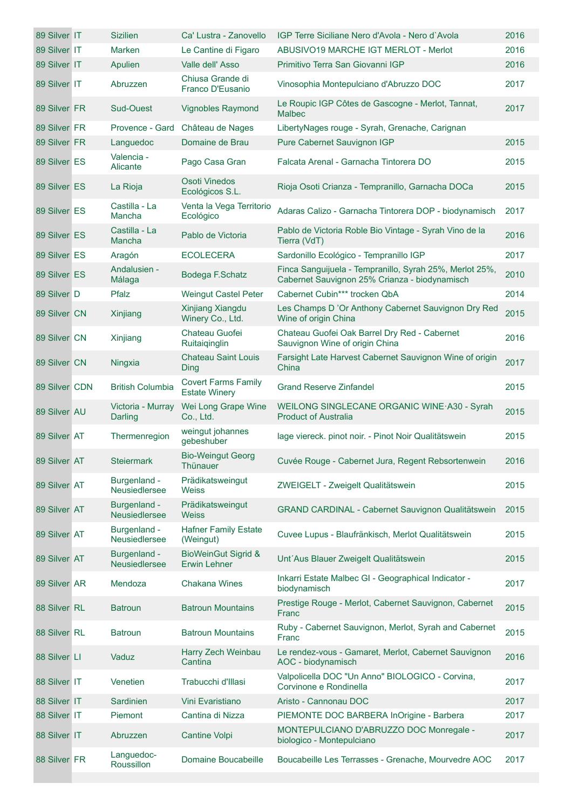| 89 Silver IT  | <b>Sizilien</b>               | Ca' Lustra - Zanovello                                | IGP Terre Siciliane Nero d'Avola - Nero d'Avola                                                          | 2016 |
|---------------|-------------------------------|-------------------------------------------------------|----------------------------------------------------------------------------------------------------------|------|
| 89 Silver IT  | <b>Marken</b>                 | Le Cantine di Figaro                                  | <b>ABUSIVO19 MARCHE IGT MERLOT - Merlot</b>                                                              | 2016 |
| 89 Silver IT  | Apulien                       | Valle dell' Asso                                      | Primitivo Terra San Giovanni IGP                                                                         | 2016 |
| 89 Silver IT  | Abruzzen                      | Chiusa Grande di<br>Franco D'Eusanio                  | Vinosophia Montepulciano d'Abruzzo DOC                                                                   | 2017 |
| 89 Silver FR  | <b>Sud-Ouest</b>              | <b>Vignobles Raymond</b>                              | Le Roupic IGP Côtes de Gascogne - Merlot, Tannat,<br><b>Malbec</b>                                       | 2017 |
| 89 Silver FR  | Provence - Gard               | Château de Nages                                      | LibertyNages rouge - Syrah, Grenache, Carignan                                                           |      |
| 89 Silver FR  | Languedoc                     | Domaine de Brau                                       | Pure Cabernet Sauvignon IGP                                                                              | 2015 |
| 89 Silver ES  | Valencia -<br>Alicante        | Pago Casa Gran                                        | Falcata Arenal - Garnacha Tintorera DO                                                                   | 2015 |
| 89 Silver ES  | La Rioja                      | <b>Osoti Vinedos</b><br>Ecológicos S.L.               | Rioja Osoti Crianza - Tempranillo, Garnacha DOCa                                                         | 2015 |
| 89 Silver ES  | Castilla - La<br>Mancha       | Venta la Vega Territorio<br>Ecológico                 | Adaras Calizo - Garnacha Tintorera DOP - biodynamisch                                                    | 2017 |
| 89 Silver ES  | Castilla - La<br>Mancha       | Pablo de Victoria                                     | Pablo de Victoria Roble Bio Vintage - Syrah Vino de la<br>Tierra (VdT)                                   | 2016 |
| 89 Silver ES  | Aragón                        | <b>ECOLECERA</b>                                      | Sardonillo Ecológico - Tempranillo IGP                                                                   | 2017 |
| 89 Silver ES  | Andalusien -<br>Málaga        | Bodega F.Schatz                                       | Finca Sanguijuela - Tempranillo, Syrah 25%, Merlot 25%,<br>Cabernet Sauvignon 25% Crianza - biodynamisch | 2010 |
| 89 Silver D   | Pfalz                         | <b>Weingut Castel Peter</b>                           | Cabernet Cubin*** trocken QbA                                                                            | 2014 |
| 89 Silver CN  | Xinjiang                      | Xinjiang Xiangdu<br>Winery Co., Ltd.                  | Les Champs D'Or Anthony Cabernet Sauvignon Dry Red<br>Wine of origin China                               | 2015 |
| 89 Silver CN  | Xinjiang                      | Chateau Guofei<br>Ruitaiqinglin                       | Chateau Guofei Oak Barrel Dry Red - Cabernet<br>Sauvignon Wine of origin China                           | 2016 |
| 89 Silver CN  | Ningxia                       | <b>Chateau Saint Louis</b><br><b>Ding</b>             | Farsight Late Harvest Cabernet Sauvignon Wine of origin<br>China                                         | 2017 |
| 89 Silver CDN | <b>British Columbia</b>       | <b>Covert Farms Family</b><br><b>Estate Winery</b>    | <b>Grand Reserve Zinfandel</b>                                                                           | 2015 |
| 89 Silver AU  | Victoria - Murray<br>Darling  | Wei Long Grape Wine<br>Co., Ltd.                      | WEILONG SINGLECANE ORGANIC WINE A30 - Syrah<br><b>Product of Australia</b>                               | 2015 |
| 89 Silver AT  | Thermenregion                 | weingut johannes<br>gebeshuber                        | lage viereck. pinot noir. - Pinot Noir Qualitätswein                                                     | 2015 |
| 89 Silver AT  | <b>Steiermark</b>             | <b>Bio-Weingut Georg</b><br>Thünauer                  | Cuvée Rouge - Cabernet Jura, Regent Rebsortenwein                                                        | 2016 |
| 89 Silver AT  | Burgenland -<br>Neusiedlersee | Prädikatsweingut<br><b>Weiss</b>                      | ZWEIGELT - Zweigelt Qualitätswein                                                                        | 2015 |
| 89 Silver AT  | Burgenland -<br>Neusiedlersee | Prädikatsweingut<br>Weiss                             | <b>GRAND CARDINAL - Cabernet Sauvignon Qualitätswein</b>                                                 | 2015 |
| 89 Silver AT  | Burgenland -<br>Neusiedlersee | <b>Hafner Family Estate</b><br>(Weingut)              | Cuvee Lupus - Blaufränkisch, Merlot Qualitätswein                                                        | 2015 |
| 89 Silver AT  | Burgenland -<br>Neusiedlersee | <b>BioWeinGut Sigrid &amp;</b><br><b>Erwin Lehner</b> | Unt'Aus Blauer Zweigelt Qualitätswein                                                                    | 2015 |
| 89 Silver AR  | Mendoza                       | <b>Chakana Wines</b>                                  | Inkarri Estate Malbec GI - Geographical Indicator -<br>biodynamisch                                      | 2017 |
| 88 Silver RL  | <b>Batroun</b>                | <b>Batroun Mountains</b>                              | Prestige Rouge - Merlot, Cabernet Sauvignon, Cabernet<br>Franc                                           | 2015 |
| 88 Silver RL  | <b>Batroun</b>                | <b>Batroun Mountains</b>                              | Ruby - Cabernet Sauvignon, Merlot, Syrah and Cabernet<br>Franc                                           | 2015 |
| 88 Silver LI  | Vaduz                         | Harry Zech Weinbau<br>Cantina                         | Le rendez-vous - Gamaret, Merlot, Cabernet Sauvignon<br>AOC - biodynamisch                               | 2016 |
| 88 Silver IT  | Venetien                      | Trabucchi d'Illasi                                    | Valpolicella DOC "Un Anno" BIOLOGICO - Corvina,<br>Corvinone e Rondinella                                | 2017 |
| 88 Silver IT  | Sardinien                     | Vini Evaristiano                                      | Aristo - Cannonau DOC                                                                                    | 2017 |
| 88 Silver IT  | Piemont                       | Cantina di Nizza                                      | PIEMONTE DOC BARBERA InOrigine - Barbera                                                                 | 2017 |
| 88 Silver IT  | Abruzzen                      | <b>Cantine Volpi</b>                                  | MONTEPULCIANO D'ABRUZZO DOC Monregale -<br>biologico - Montepulciano                                     | 2017 |
| 88 Silver FR  | Languedoc-<br>Roussillon      | Domaine Boucabeille                                   | Boucabeille Les Terrasses - Grenache, Mourvedre AOC                                                      | 2017 |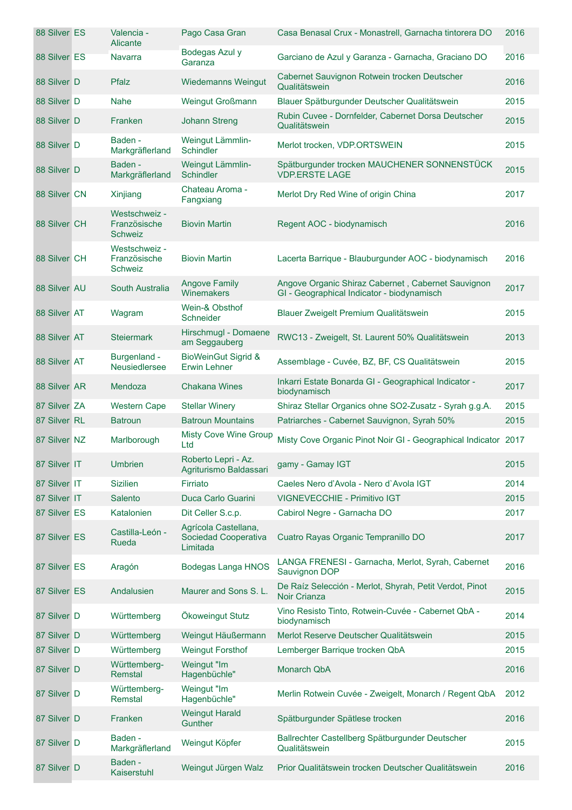| 88 Silver ES | Valencia -<br><b>Alicante</b>            | Pago Casa Gran                                           | Casa Benasal Crux - Monastrell, Garnacha tintorera DO                                            | 2016 |
|--------------|------------------------------------------|----------------------------------------------------------|--------------------------------------------------------------------------------------------------|------|
| 88 Silver ES | <b>Navarra</b>                           | Bodegas Azul y<br>Garanza                                | Garciano de Azul y Garanza - Garnacha, Graciano DO                                               | 2016 |
| 88 Silver D  | Pfalz                                    | <b>Wiedemanns Weingut</b>                                | Cabernet Sauvignon Rotwein trocken Deutscher<br>Qualitätswein                                    | 2016 |
| 88 Silver D  | <b>Nahe</b>                              | Weingut Großmann                                         | Blauer Spätburgunder Deutscher Qualitätswein                                                     | 2015 |
| 88 Silver D  | Franken                                  | <b>Johann Streng</b>                                     | Rubin Cuvee - Dornfelder, Cabernet Dorsa Deutscher<br>Qualitätswein                              | 2015 |
| 88 Silver D  | Baden -<br>Markgräflerland               | Weingut Lämmlin-<br><b>Schindler</b>                     | Merlot trocken, VDP.ORTSWEIN                                                                     | 2015 |
| 88 Silver D  | Baden -<br>Markgräflerland               | Weingut Lämmlin-<br>Schindler                            | Spätburgunder trocken MAUCHENER SONNENSTÜCK<br><b>VDP.ERSTE LAGE</b>                             | 2015 |
| 88 Silver CN | Xinjiang                                 | Chateau Aroma -<br>Fangxiang                             | Merlot Dry Red Wine of origin China                                                              | 2017 |
| 88 Silver CH | Westschweiz -<br>Französische<br>Schweiz | <b>Biovin Martin</b>                                     | Regent AOC - biodynamisch                                                                        | 2016 |
| 88 Silver CH | Westschweiz -<br>Französische<br>Schweiz | <b>Biovin Martin</b>                                     | Lacerta Barrique - Blauburgunder AOC - biodynamisch                                              | 2016 |
| 88 Silver AU | South Australia                          | <b>Angove Family</b><br>Winemakers                       | Angove Organic Shiraz Cabernet, Cabernet Sauvignon<br>GI - Geographical Indicator - biodynamisch | 2017 |
| 88 Silver AT | Wagram                                   | Wein-& Obsthof<br>Schneider                              | Blauer Zweigelt Premium Qualitätswein                                                            | 2015 |
| 88 Silver AT | <b>Steiermark</b>                        | Hirschmugl - Domaene<br>am Seggauberg                    | RWC13 - Zweigelt, St. Laurent 50% Qualitätswein                                                  | 2013 |
| 88 Silver AT | Burgenland -<br>Neusiedlersee            | <b>BioWeinGut Sigrid &amp;</b><br><b>Erwin Lehner</b>    | Assemblage - Cuvée, BZ, BF, CS Qualitätswein                                                     | 2015 |
| 88 Silver AR | Mendoza                                  | <b>Chakana Wines</b>                                     | Inkarri Estate Bonarda GI - Geographical Indicator -<br>biodynamisch                             | 2017 |
| 87 Silver ZA | Western Cape                             | <b>Stellar Winery</b>                                    | Shiraz Stellar Organics ohne SO2-Zusatz - Syrah g.g.A.                                           | 2015 |
| 87 Silver RL | <b>Batroun</b>                           | <b>Batroun Mountains</b>                                 | Patriarches - Cabernet Sauvignon, Syrah 50%                                                      | 2015 |
| 87 Silver NZ | Marlborough                              | <b>Misty Cove Wine Group</b><br>Ltd                      | Misty Cove Organic Pinot Noir GI - Geographical Indicator 2017                                   |      |
| 87 Silver IT | <b>Umbrien</b>                           | Roberto Lepri - Az.<br>Agriturismo Baldassari            | gamy - Gamay IGT                                                                                 | 2015 |
| 87 Silver IT | <b>Sizilien</b>                          | Firriato                                                 | Caeles Nero d'Avola - Nero d'Avola IGT                                                           | 2014 |
| 87 Silver IT | Salento                                  | Duca Carlo Guarini                                       | VIGNEVECCHIE - Primitivo IGT                                                                     | 2015 |
| 87 Silver ES | Katalonien                               | Dit Celler S.c.p.                                        | Cabirol Negre - Garnacha DO                                                                      | 2017 |
| 87 Silver ES | Castilla-León -<br>Rueda                 | Agrícola Castellana,<br>Sociedad Cooperativa<br>Limitada | Cuatro Rayas Organic Tempranillo DO                                                              | 2017 |
| 87 Silver ES | Aragón                                   | <b>Bodegas Langa HNOS</b>                                | LANGA FRENESI - Garnacha, Merlot, Syrah, Cabernet<br>Sauvignon DOP                               | 2016 |
| 87 Silver ES | Andalusien                               | Maurer and Sons S. L.                                    | De Raíz Selección - Merlot, Shyrah, Petit Verdot, Pinot<br>Noir Crianza                          | 2015 |
| 87 Silver D  | Württemberg                              | Ökoweingut Stutz                                         | Vino Resisto Tinto, Rotwein-Cuvée - Cabernet QbA -<br>biodynamisch                               | 2014 |
| 87 Silver D  | Württemberg                              | Weingut Häußermann                                       | Merlot Reserve Deutscher Qualitätswein                                                           | 2015 |
| 87 Silver D  | Württemberg                              | <b>Weingut Forsthof</b>                                  | Lemberger Barrique trocken QbA                                                                   | 2015 |
| 87 Silver D  | Württemberg-<br>Remstal                  | Weingut "Im<br>Hagenbüchle"                              | Monarch QbA                                                                                      | 2016 |
| 87 Silver D  | Württemberg-<br>Remstal                  | Weingut "Im<br>Hagenbüchle"                              | Merlin Rotwein Cuvée - Zweigelt, Monarch / Regent QbA                                            | 2012 |
| 87 Silver D  | Franken                                  | <b>Weingut Harald</b><br><b>Gunther</b>                  | Spätburgunder Spätlese trocken                                                                   | 2016 |
| 87 Silver D  | Baden -<br>Markgräflerland               | Weingut Köpfer                                           | Ballrechter Castellberg Spätburgunder Deutscher<br>Qualitätswein                                 | 2015 |
| 87 Silver D  | Baden -<br>Kaiserstuhl                   | Weingut Jürgen Walz                                      | Prior Qualitätswein trocken Deutscher Qualitätswein                                              | 2016 |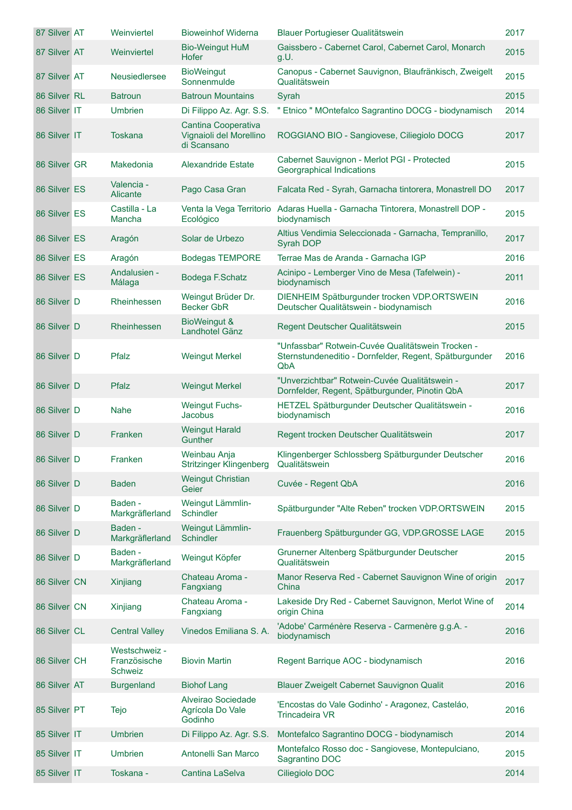| 87 Silver AT | Weinviertel                              | <b>Bioweinhof Widerna</b>                                     | Blauer Portugieser Qualitätswein                                                                                   | 2017 |
|--------------|------------------------------------------|---------------------------------------------------------------|--------------------------------------------------------------------------------------------------------------------|------|
| 87 Silver AT | Weinviertel                              | <b>Bio-Weingut HuM</b><br>Hofer                               | Gaissbero - Cabernet Carol, Cabernet Carol, Monarch<br>g.U.                                                        | 2015 |
| 87 Silver AT | Neusiedlersee                            | <b>BioWeingut</b><br>Sonnenmulde                              | Canopus - Cabernet Sauvignon, Blaufränkisch, Zweigelt<br>Qualitätswein                                             | 2015 |
| 86 Silver RL | <b>Batroun</b>                           | <b>Batroun Mountains</b>                                      | Syrah                                                                                                              | 2015 |
| 86 Silver IT | <b>Umbrien</b>                           | Di Filippo Az. Agr. S.S.                                      | " Etnico " MOntefalco Sagrantino DOCG - biodynamisch                                                               | 2014 |
| 86 Silver IT | <b>Toskana</b>                           | Cantina Cooperativa<br>Vignaioli del Morellino<br>di Scansano | ROGGIANO BIO - Sangiovese, Ciliegiolo DOCG                                                                         | 2017 |
| 86 Silver GR | Makedonia                                | Alexandride Estate                                            | Cabernet Sauvignon - Merlot PGI - Protected<br>Georgraphical Indications                                           | 2015 |
| 86 Silver ES | Valencia -<br>Alicante                   | Pago Casa Gran                                                | Falcata Red - Syrah, Garnacha tintorera, Monastrell DO                                                             | 2017 |
| 86 Silver ES | Castilla - La<br>Mancha                  | Venta la Vega Territorio<br>Ecológico                         | Adaras Huella - Garnacha Tintorera, Monastrell DOP -<br>biodynamisch                                               | 2015 |
| 86 Silver ES | Aragón                                   | Solar de Urbezo                                               | Altius Vendimia Seleccionada - Garnacha, Tempranillo,<br>Syrah DOP                                                 | 2017 |
| 86 Silver ES | Aragón                                   | <b>Bodegas TEMPORE</b>                                        | Terrae Mas de Aranda - Garnacha IGP                                                                                | 2016 |
| 86 Silver ES | Andalusien -<br>Málaga                   | Bodega F.Schatz                                               | Acinipo - Lemberger Vino de Mesa (Tafelwein) -<br>biodynamisch                                                     | 2011 |
| 86 Silver D  | Rheinhessen                              | Weingut Brüder Dr.<br><b>Becker GbR</b>                       | DIENHEIM Spätburgunder trocken VDP.ORTSWEIN<br>Deutscher Qualitätswein - biodynamisch                              | 2016 |
| 86 Silver D  | Rheinhessen                              | BioWeingut &<br>Landhotel Gänz                                | Regent Deutscher Qualitätswein                                                                                     | 2015 |
| 86 Silver D  | Pfalz                                    | <b>Weingut Merkel</b>                                         | "Unfassbar" Rotwein-Cuvée Qualitätswein Trocken -<br>Sternstundeneditio - Dornfelder, Regent, Spätburgunder<br>QbA | 2016 |
| 86 Silver D  | Pfalz                                    | <b>Weingut Merkel</b>                                         | "Unverzichtbar" Rotwein-Cuvée Qualitätswein -<br>Dornfelder, Regent, Spätburgunder, Pinotin QbA                    | 2017 |
| 86 Silver D  | Nahe                                     | <b>Weingut Fuchs-</b><br>Jacobus                              | HETZEL Spätburgunder Deutscher Qualitätswein -<br>biodynamisch                                                     | 2016 |
| 86 Silver D  | Franken                                  | <b>Weingut Harald</b><br><b>Gunther</b>                       | Regent trocken Deutscher Qualitätswein                                                                             | 2017 |
| 86 Silver D  | Franken                                  | Weinbau Anja<br>Stritzinger Klingenberg                       | Klingenberger Schlossberg Spätburgunder Deutscher<br>Qualitätswein                                                 | 2016 |
| 86 Silver D  | <b>Baden</b>                             | <b>Weingut Christian</b><br>Geier                             | Cuvée - Regent QbA                                                                                                 | 2016 |
| 86 Silver D  | Baden -<br>Markgräflerland               | Weingut Lämmlin-<br>Schindler                                 | Spätburgunder "Alte Reben" trocken VDP.ORTSWEIN                                                                    | 2015 |
| 86 Silver D  | Baden -<br>Markgräflerland               | Weingut Lämmlin-<br>Schindler                                 | Frauenberg Spätburgunder GG, VDP.GROSSE LAGE                                                                       | 2015 |
| 86 Silver D  | Baden -<br>Markgräflerland               | Weingut Köpfer                                                | Grunerner Altenberg Spätburgunder Deutscher<br>Qualitätswein                                                       | 2015 |
| 86 Silver CN | Xinjiang                                 | Chateau Aroma -<br>Fangxiang                                  | Manor Reserva Red - Cabernet Sauvignon Wine of origin<br>China                                                     | 2017 |
| 86 Silver CN | Xinjiang                                 | Chateau Aroma -<br>Fangxiang                                  | Lakeside Dry Red - Cabernet Sauvignon, Merlot Wine of<br>origin China                                              | 2014 |
| 86 Silver CL | <b>Central Valley</b>                    | Vinedos Emiliana S. A.                                        | 'Adobe' Carménère Reserva - Carmenère g.g.A. -<br>biodynamisch                                                     | 2016 |
| 86 Silver CH | Westschweiz -<br>Französische<br>Schweiz | <b>Biovin Martin</b>                                          | Regent Barrique AOC - biodynamisch                                                                                 | 2016 |
| 86 Silver AT | <b>Burgenland</b>                        | <b>Biohof Lang</b>                                            | Blauer Zweigelt Cabernet Sauvignon Qualit                                                                          | 2016 |
| 85 Silver PT | Tejo                                     | Alveirao Sociedade<br>Agrícola Do Vale<br>Godinho             | 'Encostas do Vale Godinho' - Aragonez, Casteláo,<br><b>Trincadeira VR</b>                                          | 2016 |
| 85 Silver IT | <b>Umbrien</b>                           | Di Filippo Az. Agr. S.S.                                      | Montefalco Sagrantino DOCG - biodynamisch                                                                          | 2014 |
| 85 Silver IT | <b>Umbrien</b>                           | Antonelli San Marco                                           | Montefalco Rosso doc - Sangiovese, Montepulciano,<br>Sagrantino DOC                                                | 2015 |
| 85 Silver IT | Toskana -                                | Cantina LaSelva                                               | Ciliegiolo DOC                                                                                                     | 2014 |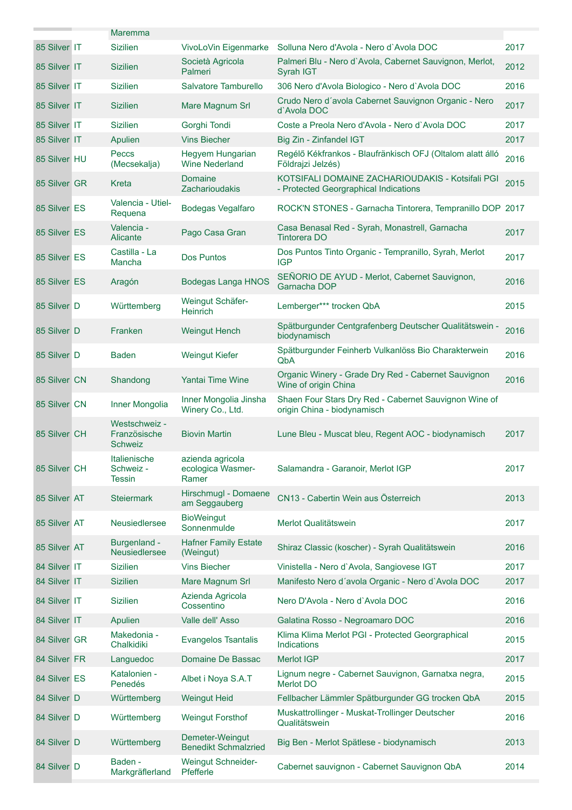| 85 Silver IT | <b>Maremma</b><br><b>Sizilien</b>               |                                                | Solluna Nero d'Avola - Nero d'Avola DOC                                                   | 2017 |
|--------------|-------------------------------------------------|------------------------------------------------|-------------------------------------------------------------------------------------------|------|
|              |                                                 | VivoLoVin Eigenmarke<br>Società Agricola       | Palmeri Blu - Nero d'Avola, Cabernet Sauvignon, Merlot,                                   |      |
| 85 Silver IT | <b>Sizilien</b>                                 | Palmeri                                        | Syrah IGT                                                                                 | 2012 |
| 85 Silver IT | <b>Sizilien</b>                                 | Salvatore Tamburello                           | 306 Nero d'Avola Biologico - Nero d'Avola DOC                                             | 2016 |
| 85 Silver IT | <b>Sizilien</b>                                 | Mare Magnum Srl                                | Crudo Nero d'avola Cabernet Sauvignon Organic - Nero<br>d'Avola DOC                       | 2017 |
| 85 Silver IT | <b>Sizilien</b>                                 | Gorghi Tondi                                   | Coste a Preola Nero d'Avola - Nero d'Avola DOC                                            | 2017 |
| 85 Silver IT | Apulien                                         | <b>Vins Biecher</b>                            | Big Zin - Zinfandel IGT                                                                   | 2017 |
| 85 Silver HU | Peccs<br>(Mecsekalja)                           | Hegyem Hungarian<br><b>Wine Nederland</b>      | Regélő Kékfrankos - Blaufränkisch OFJ (Oltalom alatt álló<br>Földrajzi Jelzés)            | 2016 |
| 85 Silver GR | Kreta                                           | Domaine<br><b>Zacharioudakis</b>               | KOTSIFALI DOMAINE ZACHARIOUDAKIS - Kotsifali PGI<br>- Protected Georgraphical Indications | 2015 |
| 85 Silver ES | Valencia - Utiel-<br>Requena                    | Bodegas Vegalfaro                              | ROCK'N STONES - Garnacha Tintorera, Tempranillo DOP 2017                                  |      |
| 85 Silver ES | Valencia -<br>Alicante                          | Pago Casa Gran                                 | Casa Benasal Red - Syrah, Monastrell, Garnacha<br><b>Tintorera DO</b>                     | 2017 |
| 85 Silver ES | Castilla - La<br>Mancha                         | <b>Dos Puntos</b>                              | Dos Puntos Tinto Organic - Tempranillo, Syrah, Merlot<br><b>IGP</b>                       | 2017 |
| 85 Silver ES | Aragón                                          | <b>Bodegas Langa HNOS</b>                      | SEÑORIO DE AYUD - Merlot, Cabernet Sauvignon,<br>Garnacha DOP                             | 2016 |
| 85 Silver D  | Württemberg                                     | Weingut Schäfer-<br><b>Heinrich</b>            | Lemberger*** trocken QbA                                                                  | 2015 |
| 85 Silver D  | Franken                                         | <b>Weingut Hench</b>                           | Spätburgunder Centgrafenberg Deutscher Qualitätswein -<br>biodynamisch                    | 2016 |
| 85 Silver D  | <b>Baden</b>                                    | <b>Weingut Kiefer</b>                          | Spätburgunder Feinherb Vulkanlöss Bio Charakterwein<br>QbA                                | 2016 |
| 85 Silver CN | Shandong                                        | Yantai Time Wine                               | Organic Winery - Grade Dry Red - Cabernet Sauvignon<br>Wine of origin China               | 2016 |
| 85 Silver CN | Inner Mongolia                                  | Inner Mongolia Jinsha<br>Winery Co., Ltd.      | Shaen Four Stars Dry Red - Cabernet Sauvignon Wine of<br>origin China - biodynamisch      |      |
| 85 Silver CH | Westschweiz -<br>Französische<br><b>Schweiz</b> | <b>Biovin Martin</b>                           | Lune Bleu - Muscat bleu, Regent AOC - biodynamisch                                        | 2017 |
| 85 Silver CH | Italienische<br>Schweiz -<br><b>Tessin</b>      | azienda agricola<br>ecologica Wasmer-<br>Ramer | Salamandra - Garanoir, Merlot IGP                                                         | 2017 |
| 85 Silver AT | <b>Steiermark</b>                               | Hirschmugl - Domaene<br>am Seggauberg          | CN13 - Cabertin Wein aus Österreich                                                       | 2013 |
| 85 Silver AT | Neusiedlersee                                   | <b>BioWeingut</b><br>Sonnenmulde               | Merlot Qualitätswein                                                                      | 2017 |
| 85 Silver AT | Burgenland -<br><b>Neusiedlersee</b>            | <b>Hafner Family Estate</b><br>(Weingut)       | Shiraz Classic (koscher) - Syrah Qualitätswein                                            | 2016 |
| 84 Silver IT | <b>Sizilien</b>                                 | <b>Vins Biecher</b>                            | Vinistella - Nero d'Avola, Sangiovese IGT                                                 | 2017 |
| 84 Silver IT | <b>Sizilien</b>                                 | Mare Magnum Srl                                | Manifesto Nero d'avola Organic - Nero d'Avola DOC                                         | 2017 |
| 84 Silver IT | <b>Sizilien</b>                                 | Azienda Agricola<br>Cossentino                 | Nero D'Avola - Nero d'Avola DOC                                                           | 2016 |
| 84 Silver IT | Apulien                                         | Valle dell' Asso                               | Galatina Rosso - Negroamaro DOC                                                           | 2016 |
| 84 Silver GR | Makedonia -<br>Chalkidiki                       | <b>Evangelos Tsantalis</b>                     | Klima Klima Merlot PGI - Protected Georgraphical<br>Indications                           | 2015 |
| 84 Silver FR | Languedoc                                       | Domaine De Bassac                              | <b>Merlot IGP</b>                                                                         | 2017 |
| 84 Silver ES | Katalonien -<br>Penedés                         | Albet i Noya S.A.T                             | Lignum negre - Cabernet Sauvignon, Garnatxa negra,<br><b>Merlot DO</b>                    | 2015 |
| 84 Silver D  | Württemberg                                     | <b>Weingut Heid</b>                            | Fellbacher Lämmler Spätburgunder GG trocken QbA                                           | 2015 |
| 84 Silver D  | Württemberg                                     | <b>Weingut Forsthof</b>                        | Muskattrollinger - Muskat-Trollinger Deutscher<br>Qualitätswein                           | 2016 |
| 84 Silver D  | Württemberg                                     | Demeter-Weingut<br><b>Benedikt Schmalzried</b> | Big Ben - Merlot Spätlese - biodynamisch                                                  | 2013 |
| 84 Silver D  | Baden -<br>Markgräflerland                      | Weingut Schneider-<br>Pfefferle                | Cabernet sauvignon - Cabernet Sauvignon QbA                                               | 2014 |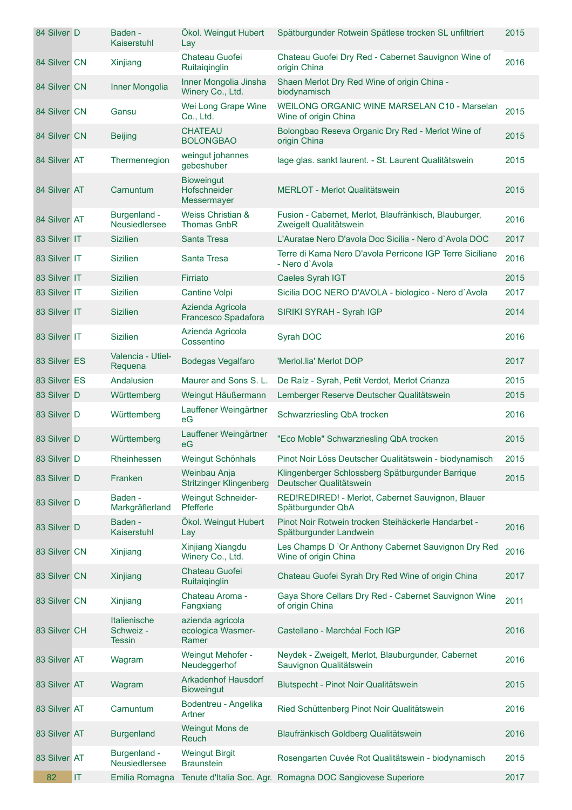| 84 Silver D  |                                   | Baden -<br>Kaiserstuhl                     | Ökol. Weingut Hubert<br>Lay                             | Spätburgunder Rotwein Spätlese trocken SL unfiltriert                           | 2015 |
|--------------|-----------------------------------|--------------------------------------------|---------------------------------------------------------|---------------------------------------------------------------------------------|------|
| 84 Silver CN |                                   | Xinjiang                                   | Chateau Guofei<br>Ruitaiqinglin                         | Chateau Guofei Dry Red - Cabernet Sauvignon Wine of<br>origin China             | 2016 |
| 84 Silver CN |                                   | Inner Mongolia                             | Inner Mongolia Jinsha<br>Winery Co., Ltd.               | Shaen Merlot Dry Red Wine of origin China -<br>biodynamisch                     |      |
| 84 Silver CN |                                   | Gansu                                      | Wei Long Grape Wine<br>Co., Ltd.                        | WEILONG ORGANIC WINE MARSELAN C10 - Marselan<br>Wine of origin China            | 2015 |
| 84 Silver CN |                                   | <b>Beijing</b>                             | <b>CHATEAU</b><br><b>BOLONGBAO</b>                      | Bolongbao Reseva Organic Dry Red - Merlot Wine of<br>origin China               | 2015 |
| 84 Silver AT |                                   | Thermenregion                              | weingut johannes<br>gebeshuber                          | lage glas. sankt laurent. - St. Laurent Qualitätswein                           | 2015 |
| 84 Silver AT |                                   | Carnuntum                                  | <b>Bioweingut</b><br><b>Hofschneider</b><br>Messermayer | <b>MERLOT - Merlot Qualitätswein</b>                                            | 2015 |
| 84 Silver AT |                                   | Burgenland -<br>Neusiedlersee              | Weiss Christian &<br><b>Thomas GnbR</b>                 | Fusion - Cabernet, Merlot, Blaufränkisch, Blauburger,<br>Zweigelt Qualitätswein | 2016 |
| 83 Silver IT |                                   | <b>Sizilien</b>                            | Santa Tresa                                             | L'Auratae Nero D'avola Doc Sicilia - Nero d'Avola DOC                           | 2017 |
| 83 Silver IT |                                   | <b>Sizilien</b>                            | Santa Tresa                                             | Terre di Kama Nero D'avola Perricone IGP Terre Siciliane<br>- Nero d'Avola      | 2016 |
| 83 Silver IT |                                   | <b>Sizilien</b>                            | Firriato                                                | Caeles Syrah IGT                                                                | 2015 |
| 83 Silver IT |                                   | <b>Sizilien</b>                            | <b>Cantine Volpi</b>                                    | Sicilia DOC NERO D'AVOLA - biologico - Nero d'Avola                             | 2017 |
| 83 Silver IT |                                   | <b>Sizilien</b>                            | Azienda Agricola<br>Francesco Spadafora                 | SIRIKI SYRAH - Syrah IGP                                                        | 2014 |
| 83 Silver IT |                                   | <b>Sizilien</b>                            | Azienda Agricola<br>Cossentino                          | Syrah DOC                                                                       | 2016 |
| 83 Silver ES |                                   | Valencia - Utiel-<br>Requena               | <b>Bodegas Vegalfaro</b>                                | 'Merlol.lia' Merlot DOP                                                         | 2017 |
| 83 Silver ES |                                   | Andalusien                                 | Maurer and Sons S. L.                                   | De Raíz - Syrah, Petit Verdot, Merlot Crianza                                   | 2015 |
| 83 Silver D  |                                   | Württemberg                                | Weingut Häußermann                                      | Lemberger Reserve Deutscher Qualitätswein                                       | 2015 |
| 83 Silver D  |                                   | Württemberg                                | Lauffener Weingärtner<br>еG                             | Schwarzriesling QbA trocken                                                     | 2016 |
| 83 Silver D  |                                   | Württemberg                                | Lauffener Weingärtner<br>eG                             | "Eco Moble" Schwarzriesling QbA trocken                                         | 2015 |
| 83 Silver D  |                                   | Rheinhessen                                | Weingut Schönhals                                       | Pinot Noir Löss Deutscher Qualitätswein - biodynamisch                          | 2015 |
| 83 Silver D  |                                   | Franken                                    | Weinbau Anja<br><b>Stritzinger Klingenberg</b>          | Klingenberger Schlossberg Spätburgunder Barrique<br>Deutscher Qualitätswein     | 2015 |
| 83 Silver D  |                                   | Baden -<br>Markgräflerland                 | <b>Weingut Schneider-</b><br>Pfefferle                  | RED!RED!RED! - Merlot, Cabernet Sauvignon, Blauer<br>Spätburgunder QbA          |      |
| 83 Silver D  |                                   | Baden -<br>Kaiserstuhl                     | Ökol. Weingut Hubert<br>Lay                             | Pinot Noir Rotwein trocken Steihäckerle Handarbet -<br>Spätburgunder Landwein   | 2016 |
| 83 Silver CN |                                   | Xinjiang                                   | Xinjiang Xiangdu<br>Winery Co., Ltd.                    | Les Champs D'Or Anthony Cabernet Sauvignon Dry Red<br>Wine of origin China      | 2016 |
| 83 Silver CN |                                   | Xinjiang                                   | Chateau Guofei<br>Ruitaiqinglin                         | Chateau Guofei Syrah Dry Red Wine of origin China                               | 2017 |
| 83 Silver CN |                                   | Xinjiang                                   | Chateau Aroma -<br>Fangxiang                            | Gaya Shore Cellars Dry Red - Cabernet Sauvignon Wine<br>of origin China         | 2011 |
| 83 Silver CH |                                   | Italienische<br>Schweiz -<br><b>Tessin</b> | azienda agricola<br>ecologica Wasmer-<br>Ramer          | Castellano - Marchéal Foch IGP                                                  | 2016 |
| 83 Silver AT |                                   | Wagram                                     | Weingut Mehofer -<br>Neudeggerhof                       | Neydek - Zweigelt, Merlot, Blauburgunder, Cabernet<br>Sauvignon Qualitätswein   | 2016 |
| 83 Silver AT |                                   | Wagram                                     | <b>Arkadenhof Hausdorf</b><br><b>Bioweingut</b>         | Blutspecht - Pinot Noir Qualitätswein                                           | 2015 |
| 83 Silver AT |                                   | Carnuntum                                  | Bodentreu - Angelika<br>Artner                          | Ried Schüttenberg Pinot Noir Qualitätswein                                      | 2016 |
| 83 Silver AT |                                   | <b>Burgenland</b>                          | Weingut Mons de<br>Reuch                                | Blaufränkisch Goldberg Qualitätswein                                            | 2016 |
| 83 Silver AT |                                   | Burgenland -<br>Neusiedlersee              | <b>Weingut Birgit</b><br><b>Braunstein</b>              | Rosengarten Cuvée Rot Qualitätswein - biodynamisch                              | 2015 |
| 82           | $\ensuremath{\mathsf{IT}}\xspace$ | Emilia Romagna                             |                                                         | Tenute d'Italia Soc. Agr. Romagna DOC Sangiovese Superiore                      | 2017 |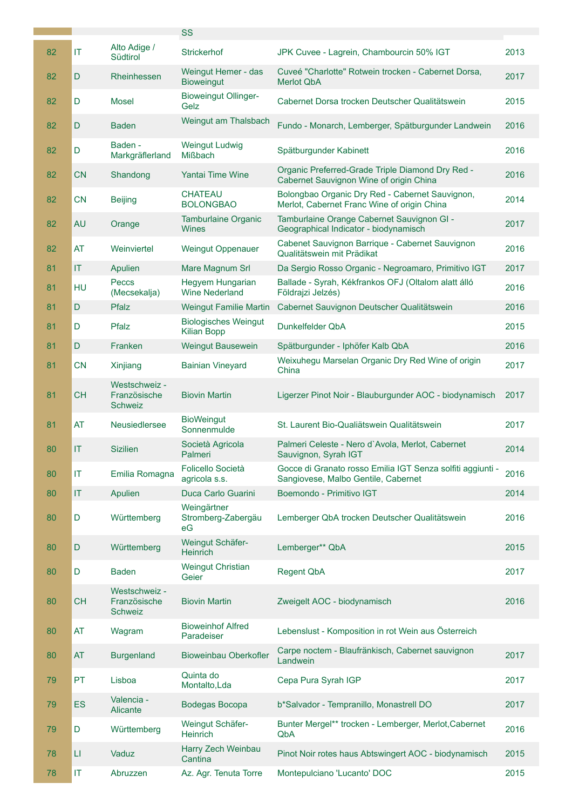|    |                        | Alto Adige /                             | <b>SS</b>                                         |                                                                                                   |      |
|----|------------------------|------------------------------------------|---------------------------------------------------|---------------------------------------------------------------------------------------------------|------|
| 82 | IT                     | Südtirol                                 | <b>Strickerhof</b>                                | JPK Cuvee - Lagrein, Chambourcin 50% IGT                                                          | 2013 |
| 82 | D                      | Rheinhessen                              | Weingut Hemer - das<br><b>Bioweingut</b>          | Cuveé "Charlotte" Rotwein trocken - Cabernet Dorsa,<br><b>Merlot QbA</b>                          | 2017 |
| 82 | D                      | <b>Mosel</b>                             | <b>Bioweingut Ollinger-</b><br>Gelz               | Cabernet Dorsa trocken Deutscher Qualitätswein                                                    | 2015 |
| 82 | D                      | <b>Baden</b>                             | Weingut am Thalsbach                              | Fundo - Monarch, Lemberger, Spätburgunder Landwein                                                | 2016 |
| 82 | D                      | Baden -<br>Markgräflerland               | <b>Weingut Ludwig</b><br><b>Mißbach</b>           | Spätburgunder Kabinett                                                                            | 2016 |
| 82 | <b>CN</b>              | Shandong                                 | <b>Yantai Time Wine</b>                           | Organic Preferred-Grade Triple Diamond Dry Red -<br>Cabernet Sauvignon Wine of origin China       | 2016 |
| 82 | <b>CN</b>              | <b>Beijing</b>                           | <b>CHATEAU</b><br><b>BOLONGBAO</b>                | Bolongbao Organic Dry Red - Cabernet Sauvignon,<br>Merlot, Cabernet Franc Wine of origin China    | 2014 |
| 82 | <b>AU</b>              | Orange                                   | <b>Tamburlaine Organic</b><br><b>Wines</b>        | Tamburlaine Orange Cabernet Sauvignon GI -<br>Geographical Indicator - biodynamisch               | 2017 |
| 82 | <b>AT</b>              | Weinviertel                              | <b>Weingut Oppenauer</b>                          | Cabenet Sauvignon Barrique - Cabernet Sauvignon<br>Qualitätswein mit Prädikat                     | 2016 |
| 81 | IT                     | Apulien                                  | Mare Magnum Srl                                   | Da Sergio Rosso Organic - Negroamaro, Primitivo IGT                                               | 2017 |
| 81 | HU                     | Peccs<br>(Mecsekalja)                    | Hegyem Hungarian<br><b>Wine Nederland</b>         | Ballade - Syrah, Kékfrankos OFJ (Oltalom alatt álló<br>Földrajzi Jelzés)                          | 2016 |
| 81 | D                      | Pfalz                                    | <b>Weingut Familie Martin</b>                     | Cabernet Sauvignon Deutscher Qualitätswein                                                        | 2016 |
| 81 | D                      | Pfalz                                    | <b>Biologisches Weingut</b><br><b>Kilian Bopp</b> | Dunkelfelder QbA                                                                                  | 2015 |
| 81 | D                      | Franken                                  | <b>Weingut Bausewein</b>                          | Spätburgunder - Iphöfer Kalb QbA                                                                  | 2016 |
| 81 | <b>CN</b>              | Xinjiang                                 | <b>Bainian Vineyard</b>                           | Weixuhegu Marselan Organic Dry Red Wine of origin<br>China                                        | 2017 |
| 81 | <b>CH</b>              | Westschweiz -<br>Französische<br>Schweiz | <b>Biovin Martin</b>                              | Ligerzer Pinot Noir - Blauburgunder AOC - biodynamisch                                            | 2017 |
| 81 | <b>AT</b>              | Neusiedlersee                            | <b>BioWeingut</b><br>Sonnenmulde                  | St. Laurent Bio-Qualiätswein Qualitätswein                                                        | 2017 |
| 80 | T                      | <b>Sizilien</b>                          | Società Agricola<br>Palmeri                       | Palmeri Celeste - Nero d'Avola, Merlot, Cabernet<br>Sauvignon, Syrah IGT                          | 2014 |
| 80 | IT                     | Emilia Romagna                           | Folicello Società<br>agricola s.s.                | Gocce di Granato rosso Emilia IGT Senza solfiti aggiunti -<br>Sangiovese, Malbo Gentile, Cabernet | 2016 |
| 80 | IT                     | Apulien                                  | Duca Carlo Guarini                                | Boemondo - Primitivo IGT                                                                          | 2014 |
| 80 | D                      | Württemberg                              | Weingärtner<br>Stromberg-Zabergäu<br>eG           | Lemberger QbA trocken Deutscher Qualitätswein                                                     | 2016 |
| 80 | D                      | Württemberg                              | Weingut Schäfer-<br><b>Heinrich</b>               | Lemberger** QbA                                                                                   | 2015 |
| 80 | D                      | <b>Baden</b>                             | <b>Weingut Christian</b><br>Geier                 | <b>Regent QbA</b>                                                                                 | 2017 |
| 80 | <b>CH</b>              | Westschweiz -<br>Französische<br>Schweiz | <b>Biovin Martin</b>                              | Zweigelt AOC - biodynamisch                                                                       | 2016 |
| 80 | AT                     | Wagram                                   | <b>Bioweinhof Alfred</b><br>Paradeiser            | Lebenslust - Komposition in rot Wein aus Österreich                                               |      |
| 80 | AT                     | <b>Burgenland</b>                        | <b>Bioweinbau Oberkofler</b>                      | Carpe noctem - Blaufränkisch, Cabernet sauvignon<br>Landwein                                      | 2017 |
| 79 | PT                     | Lisboa                                   | Quinta do<br>Montalto, Lda                        | Cepa Pura Syrah IGP                                                                               | 2017 |
| 79 | ES                     | Valencia -<br>Alicante                   | Bodegas Bocopa                                    | b*Salvador - Tempranillo, Monastrell DO                                                           | 2017 |
| 79 | D                      | Württemberg                              | Weingut Schäfer-<br>Heinrich                      | Bunter Mergel** trocken - Lemberger, Merlot, Cabernet<br>QbA                                      | 2016 |
| 78 | $\mathsf{L}\mathsf{I}$ | Vaduz                                    | Harry Zech Weinbau<br>Cantina                     | Pinot Noir rotes haus Abtswingert AOC - biodynamisch                                              | 2015 |
| 78 | IT                     | Abruzzen                                 | Az. Agr. Tenuta Torre                             | Montepulciano 'Lucanto' DOC                                                                       | 2015 |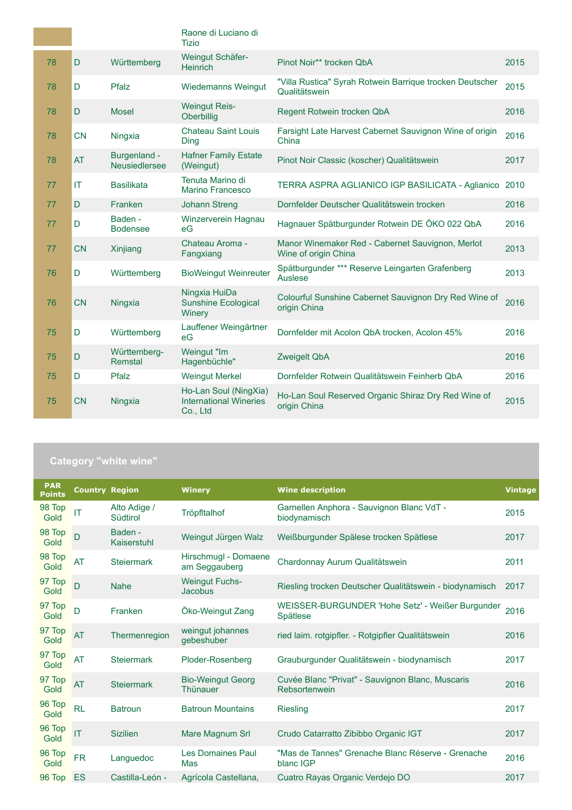|    |           |                               | Raone di Luciano di<br><b>Tizio</b>                                |                                                                           |      |
|----|-----------|-------------------------------|--------------------------------------------------------------------|---------------------------------------------------------------------------|------|
| 78 | D         | Württemberg                   | Weingut Schäfer-<br><b>Heinrich</b>                                | Pinot Noir** trocken QbA                                                  | 2015 |
| 78 | D         | Pfalz                         | <b>Wiedemanns Weingut</b>                                          | "Villa Rustica" Syrah Rotwein Barrique trocken Deutscher<br>Qualitätswein | 2015 |
| 78 | D         | <b>Mosel</b>                  | <b>Weingut Reis-</b><br>Oberbillig                                 | Regent Rotwein trocken QbA                                                | 2016 |
| 78 | <b>CN</b> | Ningxia                       | <b>Chateau Saint Louis</b><br>Ding                                 | Farsight Late Harvest Cabernet Sauvignon Wine of origin<br>China          | 2016 |
| 78 | <b>AT</b> | Burgenland -<br>Neusiedlersee | <b>Hafner Family Estate</b><br>(Weingut)                           | Pinot Noir Classic (koscher) Qualitätswein                                | 2017 |
| 77 | IT        | <b>Basilikata</b>             | Tenuta Marino di<br>Marino Francesco                               | TERRA ASPRA AGLIANICO IGP BASILICATA - Aglianico                          | 2010 |
| 77 | D         | Franken                       | <b>Johann Streng</b>                                               | Dornfelder Deutscher Qualitätswein trocken                                | 2016 |
| 77 | D         | Baden -<br><b>Bodensee</b>    | Winzerverein Hagnau<br>eG                                          | Hagnauer Spätburgunder Rotwein DE ÖKO 022 QbA                             | 2016 |
| 77 | <b>CN</b> | Xinjiang                      | Chateau Aroma -<br>Fangxiang                                       | Manor Winemaker Red - Cabernet Sauvignon, Merlot<br>Wine of origin China  | 2013 |
| 76 | D         | Württemberg                   | <b>BioWeingut Weinreuter</b>                                       | Spätburgunder *** Reserve Leingarten Grafenberg<br>Auslese                | 2013 |
| 76 | <b>CN</b> | Ningxia                       | Ningxia HuiDa<br><b>Sunshine Ecological</b><br>Winery              | Colourful Sunshine Cabernet Sauvignon Dry Red Wine of<br>origin China     | 2016 |
| 75 | D         | Württemberg                   | Lauffener Weingärtner<br>eG                                        | Dornfelder mit Acolon QbA trocken, Acolon 45%                             | 2016 |
| 75 | D         | Württemberg-<br>Remstal       | Weingut "Im<br>Hagenbüchle"                                        | <b>Zweigelt QbA</b>                                                       | 2016 |
| 75 | D         | Pfalz                         | <b>Weingut Merkel</b>                                              | Dornfelder Rotwein Qualitätswein Feinherb QbA                             | 2016 |
| 75 | <b>CN</b> | Ningxia                       | Ho-Lan Soul (NingXia)<br><b>International Wineries</b><br>Co., Ltd | Ho-Lan Soul Reserved Organic Shiraz Dry Red Wine of<br>origin China       | 2015 |

## **Category "white wine"**

| <b>PAR</b><br><b>Points</b> | <b>Country Region</b> |                          | <b>Winery</b>                           | <b>Wine description</b>                                             | <b>Vintage</b> |
|-----------------------------|-----------------------|--------------------------|-----------------------------------------|---------------------------------------------------------------------|----------------|
| 98 Top<br>Gold              | IT                    | Alto Adige /<br>Südtirol | Tröpfltalhof                            | Garnellen Anphora - Sauvignon Blanc VdT -<br>biodynamisch           | 2015           |
| 98 Top<br>Gold              | D                     | Baden -<br>Kaiserstuhl   | Weingut Jürgen Walz                     | Weißburgunder Spälese trocken Spätlese                              | 2017           |
| 98 Top<br>Gold              | AT                    | <b>Steiermark</b>        | Hirschmugl - Domaene<br>am Seggauberg   | Chardonnay Aurum Qualitätswein                                      | 2011           |
| 97 Top<br>Gold              | $\overline{D}$        | <b>Nahe</b>              | <b>Weingut Fuchs-</b><br><b>Jacobus</b> | Riesling trocken Deutscher Qualitätswein - biodynamisch             | 2017           |
| 97 Top<br>Gold              | D                     | Franken                  | Öko-Weingut Zang                        | WEISSER-BURGUNDER 'Hohe Setz' - Weißer Burgunder<br><b>Spätlese</b> | 2016           |
| 97 Top<br>Gold              | AT                    | Thermenregion            | weingut johannes<br>gebeshuber          | ried laim. rotgipfler. - Rotgipfler Qualitätswein                   | 2016           |
| 97 Top<br>Gold              | AT                    | <b>Steiermark</b>        | Ploder-Rosenberg                        | Grauburgunder Qualitätswein - biodynamisch                          | 2017           |
| 97 Top<br>Gold              | AT                    | <b>Steiermark</b>        | <b>Bio-Weingut Georg</b><br>Thünauer    | Cuvée Blanc "Privat" - Sauvignon Blanc, Muscaris<br>Rebsortenwein   | 2016           |
| 96 Top<br>Gold              | RL                    | <b>Batroun</b>           | <b>Batroun Mountains</b>                | Riesling                                                            | 2017           |
| 96 Top<br>Gold              | IT                    | <b>Sizilien</b>          | Mare Magnum Srl                         | Crudo Catarratto Zibibbo Organic IGT                                | 2017           |
| 96 Top<br>Gold              | <b>FR</b>             | Languedoc                | <b>Les Domaines Paul</b><br>Mas         | "Mas de Tannes" Grenache Blanc Réserve - Grenache<br>blanc IGP      | 2016           |
| 96 Top                      | ES                    | Castilla-León -          | Agrícola Castellana,                    | Cuatro Rayas Organic Verdejo DO                                     | 2017           |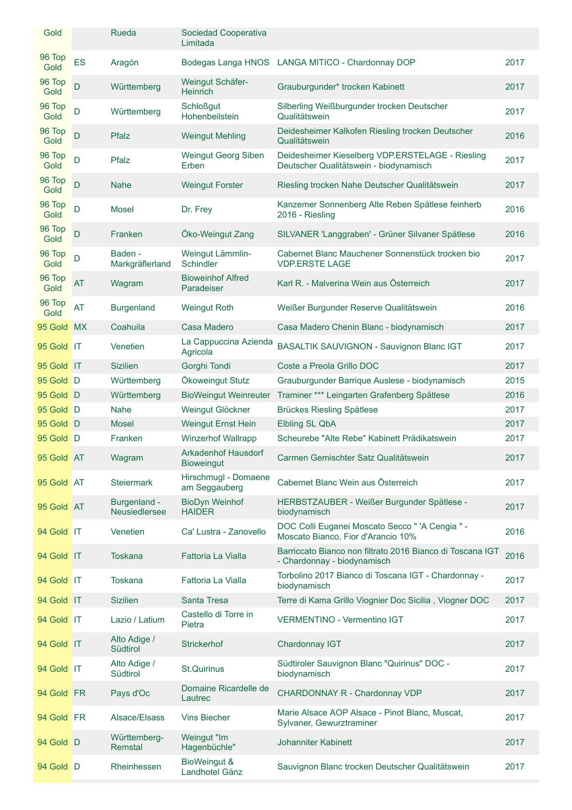| Gold           |           | Rueda                         | Sociedad Cooperativa<br>Limitada                |                                                                                            |      |
|----------------|-----------|-------------------------------|-------------------------------------------------|--------------------------------------------------------------------------------------------|------|
| 96 Top<br>Gold | <b>ES</b> | Aragón                        |                                                 | Bodegas Langa HNOS LANGA MITICO - Chardonnay DOP                                           | 2017 |
| 96 Top<br>Gold | D         | Württemberg                   | Weingut Schäfer-<br>Heinrich                    | Grauburgunder* trocken Kabinett                                                            | 2017 |
| 96 Top<br>Gold | D         | Württemberg                   | <b>Schloßgut</b><br>Hohenbeilstein              | Silberling Weißburgunder trocken Deutscher<br>Qualitätswein                                | 2017 |
| 96 Top<br>Gold | D         | Pfalz                         | <b>Weingut Mehling</b>                          | Deidesheimer Kalkofen Riesling trocken Deutscher<br>Qualitätswein                          | 2016 |
| 96 Top<br>Gold | D         | Pfalz                         | Weingut Georg Siben<br>Erben                    | Deidesheimer Kieselberg VDP.ERSTELAGE - Riesling<br>Deutscher Qualitätswein - biodynamisch | 2017 |
| 96 Top<br>Gold | D         | <b>Nahe</b>                   | <b>Weingut Forster</b>                          | Riesling trocken Nahe Deutscher Qualitätswein                                              | 2017 |
| 96 Top<br>Gold | D         | Mosel                         | Dr. Frey                                        | Kanzemer Sonnenberg Alte Reben Spätlese feinherb<br>2016 - Riesling                        | 2016 |
| 96 Top<br>Gold | D         | Franken                       | Öko-Weingut Zang                                | SILVANER 'Langgraben' - Grüner Silvaner Spätlese                                           | 2016 |
| 96 Top<br>Gold | D         | Baden -<br>Markgräflerland    | Weingut Lämmlin-<br>Schindler                   | Cabernet Blanc Mauchener Sonnenstück trocken bio<br><b>VDP.ERSTE LAGE</b>                  | 2017 |
| 96 Top<br>Gold | AT        | Wagram                        | <b>Bioweinhof Alfred</b><br>Paradeiser          | Karl R. - Malverina Wein aus Österreich                                                    | 2017 |
| 96 Top<br>Gold | AT        | <b>Burgenland</b>             | <b>Weingut Roth</b>                             | Weißer Burgunder Reserve Qualitätswein                                                     | 2016 |
| 95 Gold        | <b>MX</b> | Coahuila                      | Casa Madero                                     | Casa Madero Chenin Blanc - biodynamisch                                                    | 2017 |
| 95 Gold IT     |           | Venetien                      | La Cappuccina Azienda<br>Agricola               | BASALTIK SAUVIGNON - Sauvignon Blanc IGT                                                   | 2017 |
| 95 Gold IT     |           | <b>Sizilien</b>               | Gorghi Tondi                                    | Coste a Preola Grillo DOC                                                                  | 2017 |
| 95 Gold D      |           | Württemberg                   | Ökoweingut Stutz                                | Grauburgunder Barrique Auslese - biodynamisch                                              | 2015 |
| 95 Gold D      |           | Württemberg                   | <b>BioWeingut Weinreuter</b>                    | Traminer *** Leingarten Grafenberg Spätlese                                                | 2016 |
| 95 Gold D      |           | <b>Nahe</b>                   | Weingut Glöckner                                | <b>Brückes Riesling Spätlese</b>                                                           | 2017 |
| 95 Gold D      |           | <b>Mosel</b>                  | <b>Weingut Ernst Hein</b>                       | Elbling SL QbA                                                                             | 2017 |
| 95 Gold D      |           | Franken                       | <b>Winzerhof Wallrapp</b>                       | Scheurebe "Alte Rebe" Kabinett Prädikatswein                                               | 2017 |
| 95 Gold AT     |           | Wagram                        | <b>Arkadenhof Hausdorf</b><br><b>Bioweingut</b> | Carmen Gemischter Satz Qualitätswein                                                       | 2017 |
| 95 Gold AT     |           | <b>Steiermark</b>             | Hirschmugl - Domaene<br>am Seggauberg           | Cabernet Blanc Wein aus Österreich                                                         | 2017 |
| 95 Gold AT     |           | Burgenland -<br>Neusiedlersee | <b>BioDyn Weinhof</b><br><b>HAIDER</b>          | HERBSTZAUBER - Weißer Burgunder Spätlese -<br>biodynamisch                                 | 2017 |
| 94 Gold IT     |           | Venetien                      | Ca' Lustra - Zanovello                          | DOC Colli Euganei Moscato Secco " 'A Cengia " -<br>Moscato Bianco, Fior d'Arancio 10%      | 2016 |
| 94 Gold IT     |           | <b>Toskana</b>                | <b>Fattoria La Vialla</b>                       | Barriccato Bianco non filtrato 2016 Bianco di Toscana IGT<br>- Chardonnay - biodynamisch   | 2016 |
| 94 Gold IT     |           | <b>Toskana</b>                | Fattoria La Vialla                              | Torbolino 2017 Bianco di Toscana IGT - Chardonnay -<br>biodynamisch                        | 2017 |
| 94 Gold IT     |           | <b>Sizilien</b>               | <b>Santa Tresa</b>                              | Terre di Kama Grillo Viognier Doc Sicilia, Viogner DOC                                     | 2017 |
| 94 Gold IT     |           | Lazio / Latium                | Castello di Torre in<br>Pietra                  | VERMENTINO - Vermentino IGT                                                                | 2017 |
| 94 Gold IT     |           | Alto Adige /<br>Südtirol      | <b>Strickerhof</b>                              | Chardonnay IGT                                                                             | 2017 |
| 94 Gold IT     |           | Alto Adige /<br>Südtirol      | <b>St.Quirinus</b>                              | Südtiroler Sauvignon Blanc "Quirinus" DOC -<br>biodynamisch                                | 2017 |
| 94 Gold FR     |           | Pays d'Oc                     | Domaine Ricardelle de<br>Lautrec                | CHARDONNAY R - Chardonnay VDP                                                              | 2017 |
| 94 Gold FR     |           | Alsace/Elsass                 | <b>Vins Biecher</b>                             | Marie Alsace AOP Alsace - Pinot Blanc, Muscat,<br>Sylvaner, Gewurztraminer                 | 2017 |
| 94 Gold D      |           | Württemberg-<br>Remstal       | Weingut "Im<br>Hagenbüchle"                     | Johanniter Kabinett                                                                        | 2017 |
| 94 Gold D      |           | Rheinhessen                   | BioWeingut &<br>Landhotel Gänz                  | Sauvignon Blanc trocken Deutscher Qualitätswein                                            | 2017 |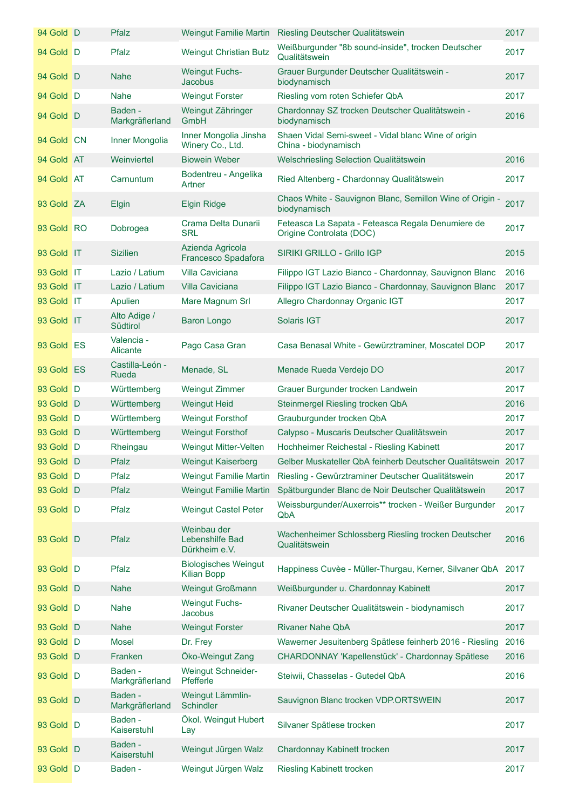| 94 Gold D  | <b>Pfalz</b>                    |                                                   | Weingut Familie Martin Riesling Deutscher Qualitätswein                       | 2017 |
|------------|---------------------------------|---------------------------------------------------|-------------------------------------------------------------------------------|------|
| 94 Gold D  | Pfalz                           | <b>Weingut Christian Butz</b>                     | Weißburgunder "8b sound-inside", trocken Deutscher<br>Qualitätswein           | 2017 |
| 94 Gold D  | Nahe                            | <b>Weingut Fuchs-</b><br><b>Jacobus</b>           | Grauer Burgunder Deutscher Qualitätswein -<br>biodynamisch                    | 2017 |
| 94 Gold D  | <b>Nahe</b>                     | <b>Weingut Forster</b>                            | Riesling vom roten Schiefer QbA                                               | 2017 |
| 94 Gold D  | Baden -<br>Markgräflerland      | Weingut Zähringer<br>GmbH                         | Chardonnay SZ trocken Deutscher Qualitätswein -<br>biodynamisch               | 2016 |
| 94 Gold CN | Inner Mongolia                  | Inner Mongolia Jinsha<br>Winery Co., Ltd.         | Shaen Vidal Semi-sweet - Vidal blanc Wine of origin<br>China - biodynamisch   |      |
| 94 Gold AT | Weinviertel                     | <b>Biowein Weber</b>                              | Welschriesling Selection Qualitätswein                                        | 2016 |
| 94 Gold AT | Carnuntum                       | Bodentreu - Angelika<br>Artner                    | Ried Altenberg - Chardonnay Qualitätswein                                     | 2017 |
| 93 Gold ZA | <b>Elgin</b>                    | <b>Elgin Ridge</b>                                | Chaos White - Sauvignon Blanc, Semillon Wine of Origin -<br>biodynamisch      | 2017 |
| 93 Gold RO | Dobrogea                        | Crama Delta Dunarii<br><b>SRL</b>                 | Feteasca La Sapata - Feteasca Regala Denumiere de<br>Origine Controlata (DOC) | 2017 |
| 93 Gold IT | <b>Sizilien</b>                 | Azienda Agricola<br>Francesco Spadafora           | <b>SIRIKI GRILLO - Grillo IGP</b>                                             | 2015 |
| 93 Gold IT | Lazio / Latium                  | Villa Caviciana                                   | Filippo IGT Lazio Bianco - Chardonnay, Sauvignon Blanc                        | 2016 |
| 93 Gold IT | Lazio / Latium                  | Villa Caviciana                                   | Filippo IGT Lazio Bianco - Chardonnay, Sauvignon Blanc                        | 2017 |
| 93 Gold IT | Apulien                         | Mare Magnum Srl                                   | Allegro Chardonnay Organic IGT                                                | 2017 |
| 93 Gold IT | Alto Adige /<br>Südtirol        | <b>Baron Longo</b>                                | <b>Solaris IGT</b>                                                            | 2017 |
| 93 Gold ES | Valencia -<br>Alicante          | Pago Casa Gran                                    | Casa Benasal White - Gewürztraminer, Moscatel DOP                             | 2017 |
| 93 Gold ES | Castilla-León -<br><b>Rueda</b> | Menade, SL                                        | Menade Rueda Verdejo DO                                                       | 2017 |
| 93 Gold D  | Württemberg                     | <b>Weingut Zimmer</b>                             | Grauer Burgunder trocken Landwein                                             | 2017 |
| 93 Gold D  | Württemberg                     | <b>Weingut Heid</b>                               | Steinmergel Riesling trocken QbA                                              | 2016 |
| 93 Gold D  | Württemberg                     | <b>Weingut Forsthof</b>                           | Grauburgunder trocken QbA                                                     | 2017 |
| 93 Gold D  | Württemberg                     | <b>Weingut Forsthof</b>                           | Calypso - Muscaris Deutscher Qualitätswein                                    | 2017 |
| 93 Gold D  | Rheingau                        | Weingut Mitter-Velten                             | Hochheimer Reichestal - Riesling Kabinett                                     | 2017 |
| 93 Gold D  | Pfalz                           | <b>Weingut Kaiserberg</b>                         | Gelber Muskateller QbA feinherb Deutscher Qualitätswein 2017                  |      |
| 93 Gold D  | Pfalz                           | <b>Weingut Familie Martin</b>                     | Riesling - Gewürztraminer Deutscher Qualitätswein                             | 2017 |
| 93 Gold D  | Pfalz                           | <b>Weingut Familie Martin</b>                     | Spätburgunder Blanc de Noir Deutscher Qualitätswein                           | 2017 |
| 93 Gold D  | Pfalz                           | <b>Weingut Castel Peter</b>                       | Weissburgunder/Auxerrois** trocken - Weißer Burgunder<br>QbA                  | 2017 |
| 93 Gold D  | Pfalz                           | Weinbau der<br>Lebenshilfe Bad<br>Dürkheim e.V.   | Wachenheimer Schlossberg Riesling trocken Deutscher<br>Qualitätswein          | 2016 |
| 93 Gold D  | Pfalz                           | <b>Biologisches Weingut</b><br><b>Kilian Bopp</b> | Happiness Cuvèe - Müller-Thurgau, Kerner, Silvaner QbA                        | 2017 |
| 93 Gold D  | <b>Nahe</b>                     | <b>Weingut Großmann</b>                           | Weißburgunder u. Chardonnay Kabinett                                          | 2017 |
| 93 Gold D  | Nahe                            | <b>Weingut Fuchs-</b><br>Jacobus                  | Rivaner Deutscher Qualitätswein - biodynamisch                                | 2017 |
| 93 Gold D  | <b>Nahe</b>                     | <b>Weingut Forster</b>                            | <b>Rivaner Nahe QbA</b>                                                       | 2017 |
| 93 Gold D  | Mosel                           | Dr. Frey                                          | Wawerner Jesuitenberg Spätlese feinherb 2016 - Riesling                       | 2016 |
| 93 Gold D  | Franken                         | Öko-Weingut Zang                                  | CHARDONNAY 'Kapellenstück' - Chardonnay Spätlese                              | 2016 |
| 93 Gold D  | Baden -<br>Markgräflerland      | <b>Weingut Schneider-</b><br>Pfefferle            | Steiwii, Chasselas - Gutedel QbA                                              | 2016 |
| 93 Gold D  | Baden -<br>Markgräflerland      | Weingut Lämmlin-<br>Schindler                     | Sauvignon Blanc trocken VDP.ORTSWEIN                                          | 2017 |
| 93 Gold D  | Baden -<br>Kaiserstuhl          | Ökol. Weingut Hubert<br>Lay                       | Silvaner Spätlese trocken                                                     | 2017 |
| 93 Gold D  | Baden -<br>Kaiserstuhl          | Weingut Jürgen Walz                               | Chardonnay Kabinett trocken                                                   | 2017 |
| 93 Gold D  | Baden -                         | Weingut Jürgen Walz                               | <b>Riesling Kabinett trocken</b>                                              | 2017 |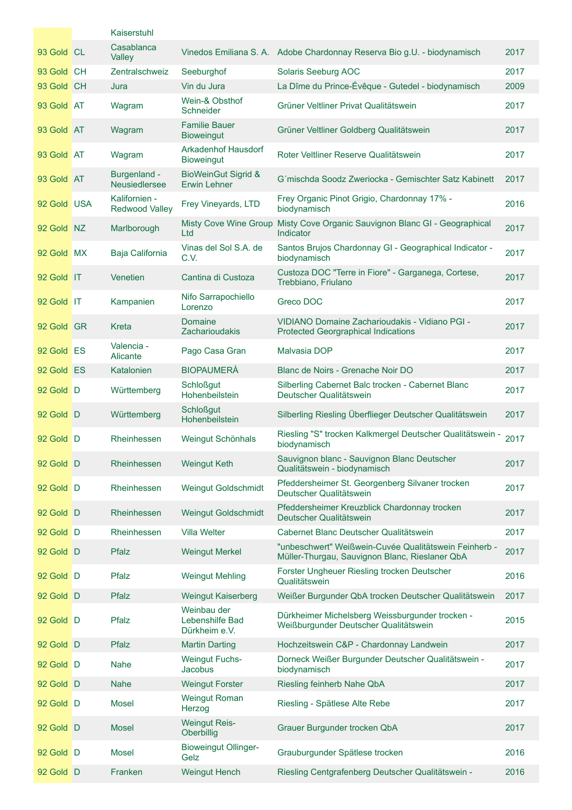|             | Kaiserstuhl                            |                                                 |                                                                                                         |      |
|-------------|----------------------------------------|-------------------------------------------------|---------------------------------------------------------------------------------------------------------|------|
| 93 Gold CL  | Casablanca<br>Valley                   |                                                 | Vinedos Emiliana S. A. Adobe Chardonnay Reserva Bio g.U. - biodynamisch                                 | 2017 |
| 93 Gold CH  | Zentralschweiz                         | Seeburghof                                      | Solaris Seeburg AOC                                                                                     | 2017 |
| 93 Gold CH  | Jura                                   | Vin du Jura                                     | La Dîme du Prince-Évêque - Gutedel - biodynamisch                                                       | 2009 |
| 93 Gold AT  | Wagram                                 | Wein-& Obsthof<br>Schneider                     | Grüner Veltliner Privat Qualitätswein                                                                   | 2017 |
| 93 Gold AT  | Wagram                                 | <b>Familie Bauer</b><br><b>Bioweingut</b>       | Grüner Veltliner Goldberg Qualitätswein                                                                 | 2017 |
| 93 Gold AT  | Wagram                                 | <b>Arkadenhof Hausdorf</b><br><b>Bioweingut</b> | Roter Veltliner Reserve Qualitätswein                                                                   | 2017 |
| 93 Gold AT  | Burgenland -<br>Neusiedlersee          | <b>BioWeinGut Sigrid &amp;</b><br>Erwin Lehner  | G'mischda Soodz Zweriocka - Gemischter Satz Kabinett                                                    | 2017 |
| 92 Gold USA | Kalifornien -<br><b>Redwood Valley</b> | Frey Vineyards, LTD                             | Frey Organic Pinot Grigio, Chardonnay 17% -<br>biodynamisch                                             | 2016 |
| 92 Gold NZ  | Marlborough                            | <b>Misty Cove Wine Group</b><br>Ltd             | Misty Cove Organic Sauvignon Blanc GI - Geographical<br>Indicator                                       | 2017 |
| 92 Gold MX  | Baja California                        | Vinas del Sol S.A. de<br>C.V.                   | Santos Brujos Chardonnay GI - Geographical Indicator -<br>biodynamisch                                  | 2017 |
| 92 Gold IT  | Venetien                               | Cantina di Custoza                              | Custoza DOC "Terre in Fiore" - Garganega, Cortese,<br>Trebbiano, Friulano                               | 2017 |
| 92 Gold IT  | Kampanien                              | Nifo Sarrapochiello<br>Lorenzo                  | Greco DOC                                                                                               | 2017 |
| 92 Gold GR  | Kreta                                  | Domaine<br><b>Zacharioudakis</b>                | VIDIANO Domaine Zacharioudakis - Vidiano PGI -<br><b>Protected Georgraphical Indications</b>            | 2017 |
| 92 Gold ES  | Valencia -<br>Alicante                 | Pago Casa Gran                                  | Malvasia DOP                                                                                            | 2017 |
| 92 Gold ES  | Katalonien                             | <b>BIOPAUMERÀ</b>                               | Blanc de Noirs - Grenache Noir DO                                                                       | 2017 |
| 92 Gold D   | Württemberg                            | <b>Schloßgut</b><br>Hohenbeilstein              | Silberling Cabernet Balc trocken - Cabernet Blanc<br>Deutscher Qualitätswein                            | 2017 |
| 92 Gold D   | Württemberg                            | <b>Schloßgut</b><br>Hohenbeilstein              | Silberling Riesling Überflieger Deutscher Qualitätswein                                                 | 2017 |
| 92 Gold D   | Rheinhessen                            | Weingut Schönhals                               | Riesling "S" trocken Kalkmergel Deutscher Qualitätswein -<br>biodynamisch                               | 2017 |
| 92 Gold D   | Rheinhessen                            | <b>Weingut Keth</b>                             | Sauvignon blanc - Sauvignon Blanc Deutscher<br>Qualitätswein - biodynamisch                             | 2017 |
| 92 Gold D   | Rheinhessen                            | Weingut Goldschmidt                             | Pfeddersheimer St. Georgenberg Silvaner trocken<br>Deutscher Qualitätswein                              | 2017 |
| 92 Gold D   | Rheinhessen                            | <b>Weingut Goldschmidt</b>                      | Pfeddersheimer Kreuzblick Chardonnay trocken<br>Deutscher Qualitätswein                                 | 2017 |
| 92 Gold D   | Rheinhessen                            | <b>Villa Welter</b>                             | Cabernet Blanc Deutscher Qualitätswein                                                                  | 2017 |
| 92 Gold D   | Pfalz                                  | <b>Weingut Merkel</b>                           | "unbeschwert" Weißwein-Cuvée Qualitätswein Feinherb -<br>Müller-Thurgau, Sauvignon Blanc, Rieslaner QbA | 2017 |
| 92 Gold D   | Pfalz                                  | <b>Weingut Mehling</b>                          | Forster Ungheuer Riesling trocken Deutscher<br>Qualitätswein                                            | 2016 |
| 92 Gold D   | Pfalz                                  | <b>Weingut Kaiserberg</b>                       | Weißer Burgunder QbA trocken Deutscher Qualitätswein                                                    | 2017 |
| 92 Gold D   | Pfalz                                  | Weinbau der<br>Lebenshilfe Bad<br>Dürkheim e.V. | Dürkheimer Michelsberg Weissburgunder trocken -<br>Weißburgunder Deutscher Qualitätswein                | 2015 |
| 92 Gold D   | Pfalz                                  | <b>Martin Darting</b>                           | Hochzeitswein C&P - Chardonnay Landwein                                                                 | 2017 |
| 92 Gold D   | <b>Nahe</b>                            | <b>Weingut Fuchs-</b><br>Jacobus                | Dorneck Weißer Burgunder Deutscher Qualitätswein -<br>biodynamisch                                      | 2017 |
| 92 Gold D   | <b>Nahe</b>                            | <b>Weingut Forster</b>                          | Riesling feinherb Nahe QbA                                                                              | 2017 |
| 92 Gold D   | <b>Mosel</b>                           | <b>Weingut Roman</b><br>Herzog                  | Riesling - Spätlese Alte Rebe                                                                           | 2017 |
| 92 Gold D   | <b>Mosel</b>                           | <b>Weingut Reis-</b><br>Oberbillig              | Grauer Burgunder trocken QbA                                                                            | 2017 |
| 92 Gold D   | <b>Mosel</b>                           | <b>Bioweingut Ollinger-</b><br>Gelz             | Grauburgunder Spätlese trocken                                                                          | 2016 |
| 92 Gold D   | Franken                                | <b>Weingut Hench</b>                            | Riesling Centgrafenberg Deutscher Qualitätswein -                                                       | 2016 |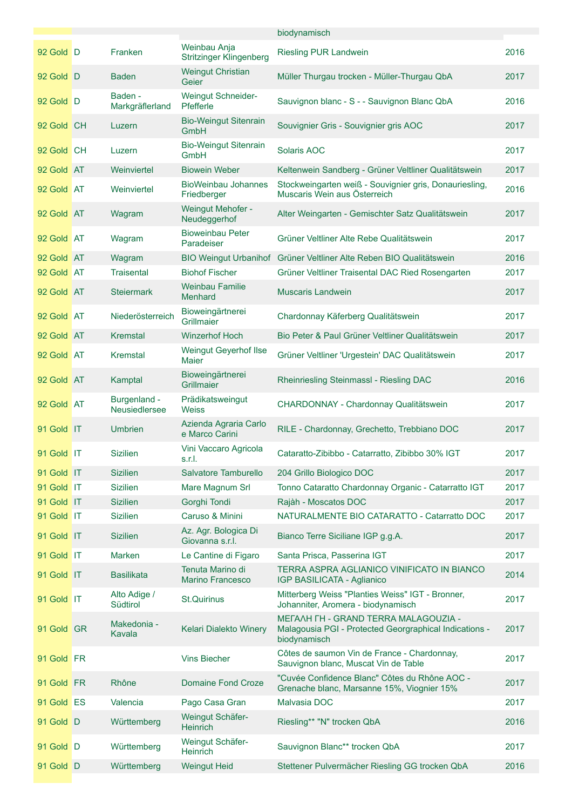|            |                               |                                                | biodynamisch                                                                                                   |      |
|------------|-------------------------------|------------------------------------------------|----------------------------------------------------------------------------------------------------------------|------|
| 92 Gold D  | Franken                       | Weinbau Anja<br><b>Stritzinger Klingenberg</b> | <b>Riesling PUR Landwein</b>                                                                                   | 2016 |
| 92 Gold D  | Baden                         | <b>Weingut Christian</b><br>Geier              | Müller Thurgau trocken - Müller-Thurgau QbA                                                                    | 2017 |
| 92 Gold D  | Baden -<br>Markgräflerland    | Weingut Schneider-<br>Pfefferle                | Sauvignon blanc - S - - Sauvignon Blanc QbA                                                                    | 2016 |
| 92 Gold CH | Luzern                        | <b>Bio-Weingut Sitenrain</b><br>GmbH           | Souvignier Gris - Souvignier gris AOC                                                                          | 2017 |
| 92 Gold CH | Luzern                        | <b>Bio-Weingut Sitenrain</b><br>GmbH           | Solaris AOC                                                                                                    | 2017 |
| 92 Gold AT | Weinviertel                   | <b>Biowein Weber</b>                           | Keltenwein Sandberg - Grüner Veltliner Qualitätswein                                                           | 2017 |
| 92 Gold AT | Weinviertel                   | <b>BioWeinbau Johannes</b><br>Friedberger      | Stockweingarten weiß - Souvignier gris, Donauriesling,<br>Muscaris Wein aus Österreich                         | 2016 |
| 92 Gold AT | Wagram                        | Weingut Mehofer -<br>Neudeggerhof              | Alter Weingarten - Gemischter Satz Qualitätswein                                                               | 2017 |
| 92 Gold AT | Wagram                        | <b>Bioweinbau Peter</b><br>Paradeiser          | Grüner Veltliner Alte Rebe Qualitätswein                                                                       | 2017 |
| 92 Gold AT | Wagram                        |                                                | BIO Weingut Urbanihof Grüner Veltliner Alte Reben BIO Qualitätswein                                            | 2016 |
| 92 Gold AT | <b>Traisental</b>             | <b>Biohof Fischer</b>                          | Grüner Veltliner Traisental DAC Ried Rosengarten                                                               | 2017 |
| 92 Gold AT | <b>Steiermark</b>             | <b>Weinbau Familie</b><br>Menhard              | <b>Muscaris Landwein</b>                                                                                       | 2017 |
| 92 Gold AT | Niederösterreich              | Bioweingärtnerei<br>Grillmaier                 | Chardonnay Käferberg Qualitätswein                                                                             | 2017 |
| 92 Gold AT | <b>Kremstal</b>               | <b>Winzerhof Hoch</b>                          | Bio Peter & Paul Grüner Veltliner Qualitätswein                                                                | 2017 |
| 92 Gold AT | Kremstal                      | Weingut Geyerhof Ilse<br><b>Maier</b>          | Grüner Veltliner 'Urgestein' DAC Qualitätswein                                                                 | 2017 |
| 92 Gold AT | Kamptal                       | Bioweingärtnerei<br>Grillmaier                 | Rheinriesling Steinmassl - Riesling DAC                                                                        | 2016 |
| 92 Gold AT | Burgenland -<br>Neusiedlersee | Prädikatsweingut<br><b>Weiss</b>               | CHARDONNAY - Chardonnay Qualitätswein                                                                          | 2017 |
| 91 Gold IT | <b>Umbrien</b>                | Azienda Agraria Carlo<br>e Marco Carini        | RILE - Chardonnay, Grechetto, Trebbiano DOC                                                                    | 2017 |
| 91 Gold IT | <b>Sizilien</b>               | Vini Vaccaro Agricola<br>srl                   | Cataratto-Zibibbo - Catarratto, Zibibbo 30% IGT                                                                | 2017 |
| 91 Gold IT | <b>Sizilien</b>               | Salvatore Tamburello                           | 204 Grillo Biologico DOC                                                                                       | 2017 |
| 91 Gold IT | <b>Sizilien</b>               | Mare Magnum Srl                                | Tonno Cataratto Chardonnay Organic - Catarratto IGT                                                            | 2017 |
| 91 Gold IT | <b>Sizilien</b>               | Gorghi Tondi                                   | Rajàh - Moscatos DOC                                                                                           | 2017 |
| 91 Gold IT | <b>Sizilien</b>               | Caruso & Minini                                | NATURALMENTE BIO CATARATTO - Catarratto DOC                                                                    | 2017 |
| 91 Gold IT | <b>Sizilien</b>               | Az. Agr. Bologica Di<br>Giovanna s.r.l.        | Bianco Terre Siciliane IGP g.g.A.                                                                              | 2017 |
| 91 Gold IT | Marken                        | Le Cantine di Figaro                           | Santa Prisca, Passerina IGT                                                                                    | 2017 |
| 91 Gold IT | <b>Basilikata</b>             | Tenuta Marino di<br><b>Marino Francesco</b>    | TERRA ASPRA AGLIANICO VINIFICATO IN BIANCO<br>IGP BASILICATA - Aglianico                                       | 2014 |
| 91 Gold IT | Alto Adige /<br>Südtirol      | <b>St.Quirinus</b>                             | Mitterberg Weiss "Planties Weiss" IGT - Bronner,<br>Johanniter, Aromera - biodynamisch                         | 2017 |
| 91 Gold GR | Makedonia -<br>Kavala         | Kelari Dialekto Winery                         | METAAH TH - GRAND TERRA MALAGOUZIA -<br>Malagousia PGI - Protected Georgraphical Indications -<br>biodynamisch | 2017 |
| 91 Gold FR |                               | <b>Vins Biecher</b>                            | Côtes de saumon Vin de France - Chardonnay,<br>Sauvignon blanc, Muscat Vin de Table                            | 2017 |
| 91 Gold FR | Rhône                         | <b>Domaine Fond Croze</b>                      | "Cuvée Confidence Blanc" Côtes du Rhône AOC -<br>Grenache blanc, Marsanne 15%, Viognier 15%                    | 2017 |
| 91 Gold ES | Valencia                      | Pago Casa Gran                                 | Malvasia DOC                                                                                                   | 2017 |
| 91 Gold D  | Württemberg                   | Weingut Schäfer-<br><b>Heinrich</b>            | Riesling** "N" trocken QbA                                                                                     | 2016 |
| 91 Gold D  | Württemberg                   | Weingut Schäfer-<br>Heinrich                   | Sauvignon Blanc** trocken QbA                                                                                  | 2017 |
| 91 Gold D  | Württemberg                   | <b>Weingut Heid</b>                            | Stettener Pulvermächer Riesling GG trocken QbA                                                                 | 2016 |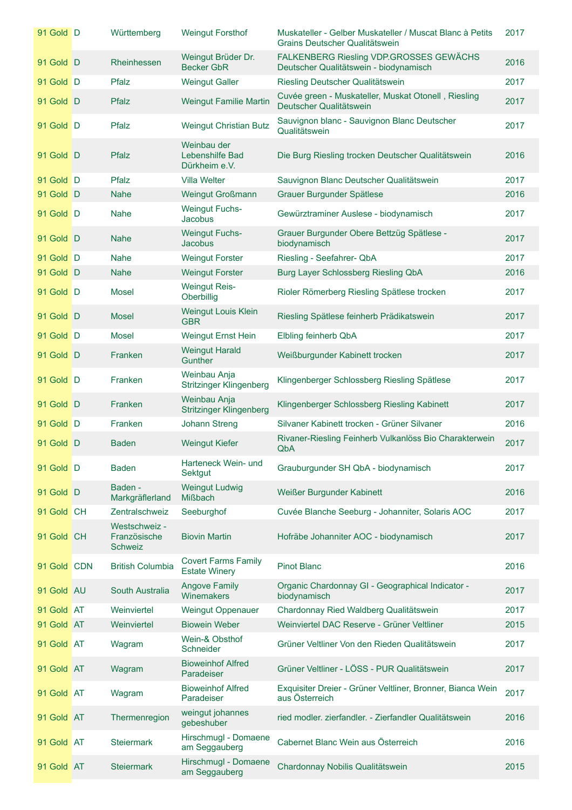| 91 Gold D   | Württemberg                                     | <b>Weingut Forsthof</b>                            | Muskateller - Gelber Muskateller / Muscat Blanc à Petits<br>Grains Deutscher Qualitätswein | 2017 |
|-------------|-------------------------------------------------|----------------------------------------------------|--------------------------------------------------------------------------------------------|------|
| 91 Gold D   | Rheinhessen                                     | Weingut Brüder Dr.<br><b>Becker GbR</b>            | FALKENBERG Riesling VDP.GROSSES GEWÄCHS<br>Deutscher Qualitätswein - biodynamisch          | 2016 |
| 91 Gold D   | Pfalz                                           | <b>Weingut Galler</b>                              | Riesling Deutscher Qualitätswein                                                           | 2017 |
| 91 Gold D   | Pfalz                                           | <b>Weingut Familie Martin</b>                      | Cuvée green - Muskateller, Muskat Otonell, Riesling<br>Deutscher Qualitätswein             | 2017 |
| 91 Gold D   | Pfalz                                           | <b>Weingut Christian Butz</b>                      | Sauvignon blanc - Sauvignon Blanc Deutscher<br>Qualitätswein                               | 2017 |
| 91 Gold D   | Pfalz                                           | Weinbau der<br>Lebenshilfe Bad<br>Dürkheim e.V.    | Die Burg Riesling trocken Deutscher Qualitätswein                                          | 2016 |
| 91 Gold D   | Pfalz                                           | <b>Villa Welter</b>                                | Sauvignon Blanc Deutscher Qualitätswein                                                    | 2017 |
| 91 Gold D   | <b>Nahe</b>                                     | <b>Weingut Großmann</b>                            | Grauer Burgunder Spätlese                                                                  | 2016 |
| 91 Gold D   | <b>Nahe</b>                                     | <b>Weingut Fuchs-</b><br><b>Jacobus</b>            | Gewürztraminer Auslese - biodynamisch                                                      | 2017 |
| 91 Gold D   | <b>Nahe</b>                                     | <b>Weingut Fuchs-</b><br><b>Jacobus</b>            | Grauer Burgunder Obere Bettzüg Spätlese -<br>biodynamisch                                  | 2017 |
| 91 Gold D   | <b>Nahe</b>                                     | <b>Weingut Forster</b>                             | Riesling - Seefahrer- QbA                                                                  | 2017 |
| 91 Gold D   | <b>Nahe</b>                                     | <b>Weingut Forster</b>                             | Burg Layer Schlossberg Riesling QbA                                                        | 2016 |
| 91 Gold D   | <b>Mosel</b>                                    | <b>Weingut Reis-</b><br>Oberbillig                 | Rioler Römerberg Riesling Spätlese trocken                                                 | 2017 |
| 91 Gold D   | <b>Mosel</b>                                    | <b>Weingut Louis Klein</b><br><b>GBR</b>           | Riesling Spätlese feinherb Prädikatswein                                                   | 2017 |
| 91 Gold D   | <b>Mosel</b>                                    | <b>Weingut Ernst Hein</b>                          | Elbling feinherb QbA                                                                       | 2017 |
| 91 Gold D   | Franken                                         | <b>Weingut Harald</b><br><b>Gunther</b>            | Weißburgunder Kabinett trocken                                                             | 2017 |
| 91 Gold D   | Franken                                         | Weinbau Anja<br><b>Stritzinger Klingenberg</b>     | Klingenberger Schlossberg Riesling Spätlese                                                | 2017 |
| 91 Gold D   | <b>Franken</b>                                  | Weinbau Anja<br><b>Stritzinger Klingenberg</b>     | Klingenberger Schlossberg Riesling Kabinett                                                | 2017 |
| 91 Gold D   | Franken                                         | <b>Johann Streng</b>                               | Silvaner Kabinett trocken - Grüner Silvaner                                                | 2016 |
| 91 Gold D   | <b>Baden</b>                                    | <b>Weingut Kiefer</b>                              | Rivaner-Riesling Feinherb Vulkanlöss Bio Charakterwein<br>QbA                              | 2017 |
| 91 Gold D   | <b>Baden</b>                                    | Harteneck Wein- und<br>Sektgut                     | Grauburgunder SH QbA - biodynamisch                                                        | 2017 |
| 91 Gold D   | Baden -<br>Markgräflerland                      | <b>Weingut Ludwig</b><br><b>Mißbach</b>            | Weißer Burgunder Kabinett                                                                  | 2016 |
| 91 Gold CH  | Zentralschweiz                                  | Seeburghof                                         | Cuvée Blanche Seeburg - Johanniter, Solaris AOC                                            | 2017 |
| 91 Gold CH  | Westschweiz -<br>Französische<br><b>Schweiz</b> | <b>Biovin Martin</b>                               | Hofräbe Johanniter AOC - biodynamisch                                                      | 2017 |
| 91 Gold CDN | <b>British Columbia</b>                         | <b>Covert Farms Family</b><br><b>Estate Winery</b> | <b>Pinot Blanc</b>                                                                         | 2016 |
| 91 Gold AU  | South Australia                                 | <b>Angove Family</b><br>Winemakers                 | Organic Chardonnay GI - Geographical Indicator -<br>biodynamisch                           | 2017 |
| 91 Gold AT  | Weinviertel                                     | <b>Weingut Oppenauer</b>                           | Chardonnay Ried Waldberg Qualitätswein                                                     | 2017 |
| 91 Gold AT  | Weinviertel                                     | <b>Biowein Weber</b>                               | Weinviertel DAC Reserve - Grüner Veltliner                                                 | 2015 |
| 91 Gold AT  | Wagram                                          | Wein-& Obsthof<br>Schneider                        | Grüner Veltliner Von den Rieden Qualitätswein                                              | 2017 |
| 91 Gold AT  | Wagram                                          | <b>Bioweinhof Alfred</b><br>Paradeiser             | Grüner Veltliner - LÖSS - PUR Qualitätswein                                                | 2017 |
| 91 Gold AT  | Wagram                                          | <b>Bioweinhof Alfred</b><br>Paradeiser             | Exquisiter Dreier - Grüner Veltliner, Bronner, Bianca Wein<br>aus Österreich               | 2017 |
| 91 Gold AT  | Thermenregion                                   | weingut johannes<br>gebeshuber                     | ried modler. zierfandler. - Zierfandler Qualitätswein                                      | 2016 |
| 91 Gold AT  | <b>Steiermark</b>                               | Hirschmugl - Domaene<br>am Seggauberg              | Cabernet Blanc Wein aus Österreich                                                         | 2016 |
| 91 Gold AT  | <b>Steiermark</b>                               | Hirschmugl - Domaene<br>am Seggauberg              | Chardonnay Nobilis Qualitätswein                                                           | 2015 |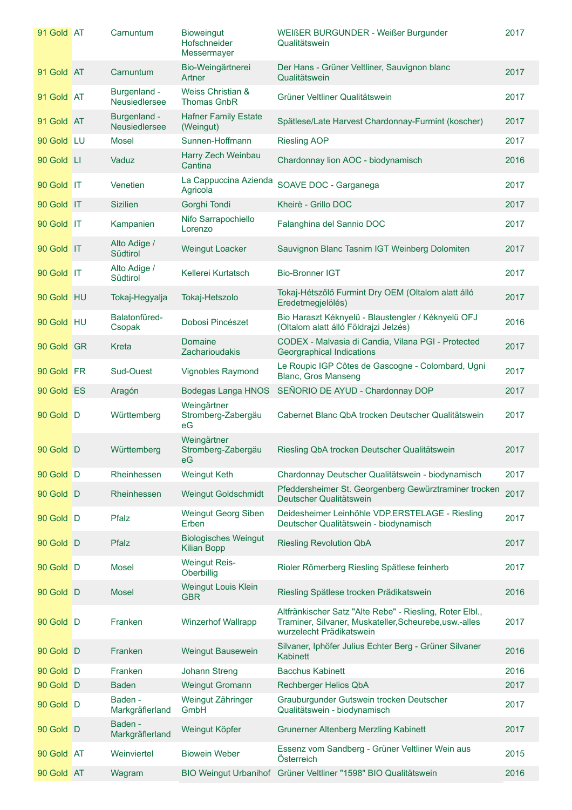| 91 Gold AT | Carnuntum                     | <b>Bioweingut</b><br>Hofschneider<br>Messermayer  | WEIßER BURGUNDER - Weißer Burgunder<br>Qualitätswein                                                                                           | 2017 |
|------------|-------------------------------|---------------------------------------------------|------------------------------------------------------------------------------------------------------------------------------------------------|------|
| 91 Gold AT | Carnuntum                     | Bio-Weingärtnerei<br>Artner                       | Der Hans - Grüner Veltliner, Sauvignon blanc<br>Qualitätswein                                                                                  | 2017 |
| 91 Gold AT | Burgenland -<br>Neusiedlersee | Weiss Christian &<br><b>Thomas GnbR</b>           | Grüner Veltliner Qualitätswein                                                                                                                 | 2017 |
| 91 Gold AT | Burgenland -<br>Neusiedlersee | <b>Hafner Family Estate</b><br>(Weingut)          | Spätlese/Late Harvest Chardonnay-Furmint (koscher)                                                                                             | 2017 |
| 90 Gold LU | Mosel                         | Sunnen-Hoffmann                                   | <b>Riesling AOP</b>                                                                                                                            | 2017 |
| 90 Gold LI | Vaduz                         | Harry Zech Weinbau<br>Cantina                     | Chardonnay lion AOC - biodynamisch                                                                                                             | 2016 |
| 90 Gold IT | Venetien                      | La Cappuccina Azienda<br>Agricola                 | SOAVE DOC - Garganega                                                                                                                          | 2017 |
| 90 Gold IT | <b>Sizilien</b>               | Gorghi Tondi                                      | Kheirè - Grillo DOC                                                                                                                            | 2017 |
| 90 Gold IT | Kampanien                     | Nifo Sarrapochiello<br>Lorenzo                    | Falanghina del Sannio DOC                                                                                                                      | 2017 |
| 90 Gold IT | Alto Adige /<br>Südtirol      | <b>Weingut Loacker</b>                            | Sauvignon Blanc Tasnim IGT Weinberg Dolomiten                                                                                                  | 2017 |
| 90 Gold IT | Alto Adige /<br>Südtirol      | Kellerei Kurtatsch                                | <b>Bio-Bronner IGT</b>                                                                                                                         | 2017 |
| 90 Gold HU | Tokaj-Hegyalja                | Tokaj-Hetszolo                                    | Tokaj-Hétszőlő Furmint Dry OEM (Oltalom alatt álló<br>Eredetmegjelölés)                                                                        | 2017 |
| 90 Gold HU | Balatonfüred-<br>Csopak       | Dobosi Pincészet                                  | Bio Haraszt Kéknyelű - Blaustengler / Kéknyelü OFJ<br>(Oltalom alatt álló Földrajzi Jelzés)                                                    | 2016 |
| 90 Gold GR | Kreta                         | <b>Domaine</b><br>Zacharioudakis                  | CODEX - Malvasia di Candia, Vilana PGI - Protected<br>Georgraphical Indications                                                                | 2017 |
| 90 Gold FR | Sud-Ouest                     | <b>Vignobles Raymond</b>                          | Le Roupic IGP Côtes de Gascogne - Colombard, Ugni<br><b>Blanc, Gros Manseng</b>                                                                | 2017 |
| 90 Gold ES | Aragón                        | <b>Bodegas Langa HNOS</b>                         | SEÑORIO DE AYUD - Chardonnay DOP                                                                                                               | 2017 |
| 90 Gold D  | Württemberg                   | Weingärtner<br>Stromberg-Zabergäu<br>eG           | Cabernet Blanc QbA trocken Deutscher Qualitätswein                                                                                             | 2017 |
| 90 Gold D  | Württemberg                   | Weingärtner<br>Stromberg-Zabergäu<br>eG.          | Riesling QbA trocken Deutscher Qualitätswein                                                                                                   | 2017 |
| 90 Gold D  | Rheinhessen                   | <b>Weingut Keth</b>                               | Chardonnay Deutscher Qualitätswein - biodynamisch                                                                                              | 2017 |
| 90 Gold D  | Rheinhessen                   | <b>Weingut Goldschmidt</b>                        | Pfeddersheimer St. Georgenberg Gewürztraminer trocken<br>Deutscher Qualitätswein                                                               | 2017 |
| 90 Gold D  | Pfalz                         | <b>Weingut Georg Siben</b><br>Erben               | Deidesheimer Leinhöhle VDP.ERSTELAGE - Riesling<br>Deutscher Qualitätswein - biodynamisch                                                      | 2017 |
| 90 Gold D  | Pfalz                         | <b>Biologisches Weingut</b><br><b>Kilian Bopp</b> | <b>Riesling Revolution QbA</b>                                                                                                                 | 2017 |
| 90 Gold D  | <b>Mosel</b>                  | <b>Weingut Reis-</b><br>Oberbillig                | Rioler Römerberg Riesling Spätlese feinherb                                                                                                    | 2017 |
| 90 Gold D  | Mosel                         | <b>Weingut Louis Klein</b><br><b>GBR</b>          | Riesling Spätlese trocken Prädikatswein                                                                                                        | 2016 |
| 90 Gold D  | Franken                       | <b>Winzerhof Wallrapp</b>                         | Altfränkischer Satz "Alte Rebe" - Riesling, Roter Elbl.,<br>Traminer, Silvaner, Muskateller, Scheurebe, usw.-alles<br>wurzelecht Prädikatswein | 2017 |
| 90 Gold D  | Franken                       | <b>Weingut Bausewein</b>                          | Silvaner, Iphöfer Julius Echter Berg - Grüner Silvaner<br><b>Kabinett</b>                                                                      | 2016 |
| 90 Gold D  | Franken                       | <b>Johann Streng</b>                              | <b>Bacchus Kabinett</b>                                                                                                                        | 2016 |
| 90 Gold D  | <b>Baden</b>                  | <b>Weingut Gromann</b>                            | Rechberger Helios QbA                                                                                                                          | 2017 |
| 90 Gold D  | Baden -<br>Markgräflerland    | Weingut Zähringer<br>GmbH                         | Grauburgunder Gutswein trocken Deutscher<br>Qualitätswein - biodynamisch                                                                       | 2017 |
| 90 Gold D  | Baden -<br>Markgräflerland    | Weingut Köpfer                                    | <b>Grunerner Altenberg Merzling Kabinett</b>                                                                                                   | 2017 |
| 90 Gold AT | Weinviertel                   | <b>Biowein Weber</b>                              | Essenz vom Sandberg - Grüner Veltliner Wein aus<br>Österreich                                                                                  | 2015 |
| 90 Gold AT | Wagram                        |                                                   | BIO Weingut Urbanihof Grüner Veltliner "1598" BIO Qualitätswein                                                                                | 2016 |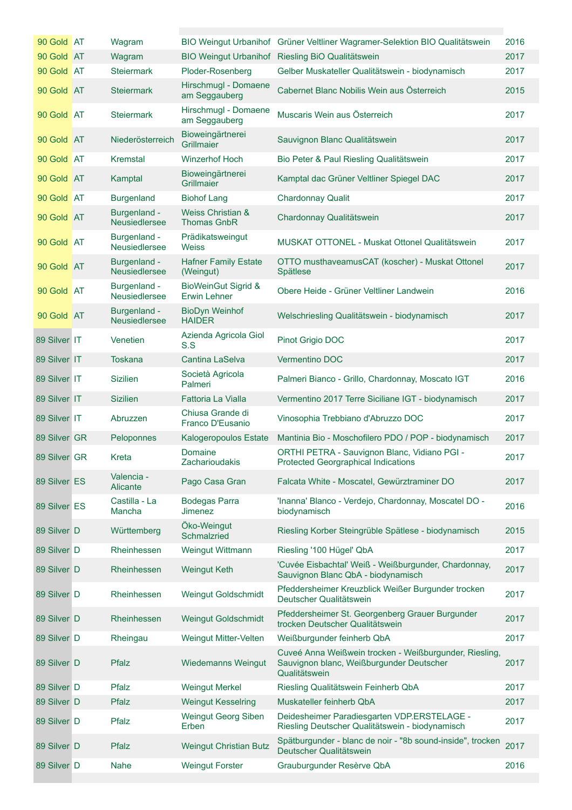| 90 Gold AT   | Wagram                               |                                                       | BIO Weingut Urbanihof Grüner Veltliner Wagramer-Selektion BIO Qualitätswein                                         | 2016 |
|--------------|--------------------------------------|-------------------------------------------------------|---------------------------------------------------------------------------------------------------------------------|------|
| 90 Gold AT   | Wagram                               |                                                       | BIO Weingut Urbanihof Riesling BiO Qualitätswein                                                                    | 2017 |
| 90 Gold AT   | <b>Steiermark</b>                    | Ploder-Rosenberg                                      | Gelber Muskateller Qualitätswein - biodynamisch                                                                     | 2017 |
| 90 Gold AT   | <b>Steiermark</b>                    | Hirschmugl - Domaene<br>am Seggauberg                 | Cabernet Blanc Nobilis Wein aus Österreich                                                                          | 2015 |
| 90 Gold AT   | <b>Steiermark</b>                    | Hirschmugl - Domaene<br>am Seggauberg                 | Muscaris Wein aus Österreich                                                                                        | 2017 |
| 90 Gold AT   | Niederösterreich                     | Bioweingärtnerei<br>Grillmaier                        | Sauvignon Blanc Qualitätswein                                                                                       | 2017 |
| 90 Gold AT   | Kremstal                             | <b>Winzerhof Hoch</b>                                 | Bio Peter & Paul Riesling Qualitätswein                                                                             | 2017 |
| 90 Gold AT   | Kamptal                              | Bioweingärtnerei<br>Grillmaier                        | Kamptal dac Grüner Veltliner Spiegel DAC                                                                            | 2017 |
| 90 Gold AT   | <b>Burgenland</b>                    | <b>Biohof Lang</b>                                    | <b>Chardonnay Qualit</b>                                                                                            | 2017 |
| 90 Gold AT   | Burgenland -<br>Neusiedlersee        | Weiss Christian &<br><b>Thomas GnbR</b>               | Chardonnay Qualitätswein                                                                                            | 2017 |
| 90 Gold AT   | Burgenland -<br>Neusiedlersee        | Prädikatsweingut<br><b>Weiss</b>                      | MUSKAT OTTONEL - Muskat Ottonel Qualitätswein                                                                       | 2017 |
| 90 Gold AT   | Burgenland -<br>Neusiedlersee        | <b>Hafner Family Estate</b><br>(Weingut)              | OTTO musthaveamusCAT (koscher) - Muskat Ottonel<br>Spätlese                                                         | 2017 |
| 90 Gold AT   | Burgenland -<br>Neusiedlersee        | <b>BioWeinGut Sigrid &amp;</b><br><b>Erwin Lehner</b> | Obere Heide - Grüner Veltliner Landwein                                                                             | 2016 |
| 90 Gold AT   | Burgenland -<br><b>Neusiedlersee</b> | <b>BioDyn Weinhof</b><br><b>HAIDER</b>                | Welschriesling Qualitätswein - biodynamisch                                                                         | 2017 |
| 89 Silver IT | Venetien                             | Azienda Agricola Giol<br>S.S                          | Pinot Grigio DOC                                                                                                    | 2017 |
| 89 Silver IT | <b>Toskana</b>                       | <b>Cantina LaSelva</b>                                | Vermentino DOC                                                                                                      | 2017 |
| 89 Silver IT | <b>Sizilien</b>                      | Società Agricola<br>Palmeri                           | Palmeri Bianco - Grillo, Chardonnay, Moscato IGT                                                                    | 2016 |
| 89 Silver IT | <b>Sizilien</b>                      | <b>Fattoria La Vialla</b>                             | Vermentino 2017 Terre Siciliane IGT - biodynamisch                                                                  | 2017 |
| 89 Silver IT | Abruzzen                             | Chiusa Grande di<br>Franco D'Eusanio                  | Vinosophia Trebbiano d'Abruzzo DOC                                                                                  | 2017 |
| 89 Silver GR | Peloponnes                           | Kalogeropoulos Estate                                 | Mantinia Bio - Moschofilero PDO / POP - biodynamisch                                                                | 2017 |
| 89 Silver GR | Kreta                                | <b>Domaine</b><br><b>Zacharioudakis</b>               | ORTHI PETRA - Sauvignon Blanc, Vidiano PGI -<br><b>Protected Georgraphical Indications</b>                          | 2017 |
| 89 Silver ES | Valencia -<br>Alicante               | Pago Casa Gran                                        | Falcata White - Moscatel, Gewürztraminer DO                                                                         | 2017 |
| 89 Silver ES | Castilla - La<br>Mancha              | <b>Bodegas Parra</b><br><b>Jimenez</b>                | 'Inanna' Blanco - Verdejo, Chardonnay, Moscatel DO -<br>biodynamisch                                                | 2016 |
| 89 Silver D  | Württemberg                          | Öko-Weingut<br><b>Schmalzried</b>                     | Riesling Korber Steingrüble Spätlese - biodynamisch                                                                 | 2015 |
| 89 Silver D  | Rheinhessen                          | Weingut Wittmann                                      | Riesling '100 Hügel' QbA                                                                                            | 2017 |
| 89 Silver D  | Rheinhessen                          | <b>Weingut Keth</b>                                   | 'Cuvée Eisbachtal' Weiß - Weißburgunder, Chardonnay,<br>Sauvignon Blanc QbA - biodynamisch                          | 2017 |
| 89 Silver D  | Rheinhessen                          | Weingut Goldschmidt                                   | Pfeddersheimer Kreuzblick Weißer Burgunder trocken<br>Deutscher Qualitätswein                                       | 2017 |
| 89 Silver D  | Rheinhessen                          | <b>Weingut Goldschmidt</b>                            | Pfeddersheimer St. Georgenberg Grauer Burgunder<br>trocken Deutscher Qualitätswein                                  | 2017 |
| 89 Silver D  | Rheingau                             | Weingut Mitter-Velten                                 | Weißburgunder feinherb QbA                                                                                          | 2017 |
| 89 Silver D  | Pfalz                                | <b>Wiedemanns Weingut</b>                             | Cuveé Anna Weißwein trocken - Weißburgunder, Riesling,<br>Sauvignon blanc, Weißburgunder Deutscher<br>Qualitätswein | 2017 |
| 89 Silver D  | Pfalz                                | <b>Weingut Merkel</b>                                 | Riesling Qualitätswein Feinherb QbA                                                                                 | 2017 |
| 89 Silver D  | Pfalz                                | <b>Weingut Kesselring</b>                             | Muskateller feinherb QbA                                                                                            | 2017 |
| 89 Silver D  | Pfalz                                | <b>Weingut Georg Siben</b><br>Erben                   | Deidesheimer Paradiesgarten VDP.ERSTELAGE -<br>Riesling Deutscher Qualitätswein - biodynamisch                      | 2017 |
| 89 Silver D  | <b>Pfalz</b>                         | <b>Weingut Christian Butz</b>                         | Spätburgunder - blanc de noir - "8b sound-inside", trocken<br>Deutscher Qualitätswein                               | 2017 |
| 89 Silver D  | Nahe                                 | <b>Weingut Forster</b>                                | Grauburgunder Resèrve QbA                                                                                           | 2016 |
|              |                                      |                                                       |                                                                                                                     |      |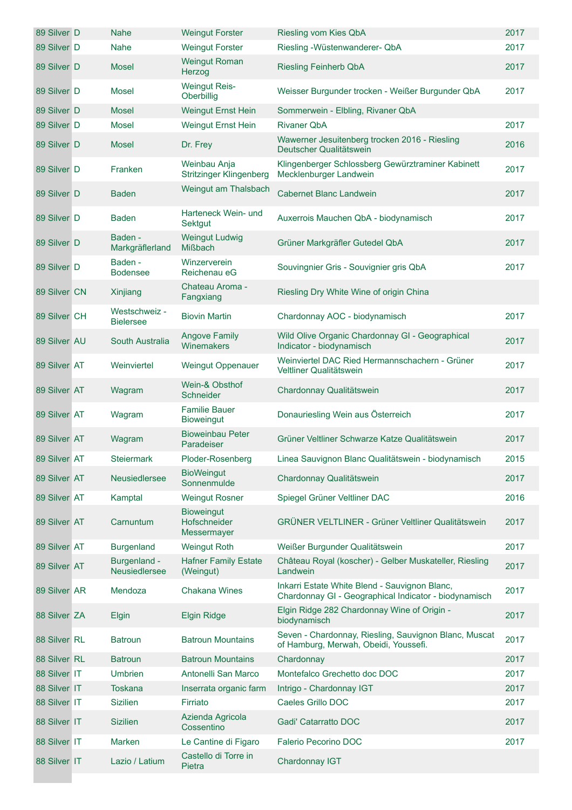| 89 Silver D  | Nahe                              | <b>Weingut Forster</b>                           | Riesling vom Kies QbA                                                                                  | 2017 |
|--------------|-----------------------------------|--------------------------------------------------|--------------------------------------------------------------------------------------------------------|------|
| 89 Silver D  | Nahe                              | <b>Weingut Forster</b>                           | Riesling - Wüstenwanderer- QbA                                                                         | 2017 |
| 89 Silver D  | <b>Mosel</b>                      | <b>Weingut Roman</b><br>Herzog                   | <b>Riesling Feinherb QbA</b>                                                                           | 2017 |
| 89 Silver D  | <b>Mosel</b>                      | <b>Weingut Reis-</b><br>Oberbillig               | Weisser Burgunder trocken - Weißer Burgunder QbA                                                       | 2017 |
| 89 Silver D  | <b>Mosel</b>                      | <b>Weingut Ernst Hein</b>                        | Sommerwein - Elbling, Rivaner QbA                                                                      |      |
| 89 Silver D  | <b>Mosel</b>                      | <b>Weingut Ernst Hein</b>                        | <b>Rivaner QbA</b>                                                                                     | 2017 |
| 89 Silver D  | <b>Mosel</b>                      | Dr. Frey                                         | Wawerner Jesuitenberg trocken 2016 - Riesling<br>Deutscher Qualitätswein                               | 2016 |
| 89 Silver D  | Franken                           | Weinbau Anja<br><b>Stritzinger Klingenberg</b>   | Klingenberger Schlossberg Gewürztraminer Kabinett<br>Mecklenburger Landwein                            | 2017 |
| 89 Silver D  | <b>Baden</b>                      | Weingut am Thalsbach                             | <b>Cabernet Blanc Landwein</b>                                                                         | 2017 |
| 89 Silver D  | <b>Baden</b>                      | Harteneck Wein- und<br><b>Sektgut</b>            | Auxerrois Mauchen QbA - biodynamisch                                                                   | 2017 |
| 89 Silver D  | Baden -<br>Markgräflerland        | <b>Weingut Ludwig</b><br><b>Mißbach</b>          | Grüner Markgräfler Gutedel QbA                                                                         | 2017 |
| 89 Silver D  | Baden -<br><b>Bodensee</b>        | Winzerverein<br>Reichenau eG                     | Souvingnier Gris - Souvignier gris QbA                                                                 | 2017 |
| 89 Silver CN | Xinjiang                          | Chateau Aroma -<br>Fangxiang                     | Riesling Dry White Wine of origin China                                                                |      |
| 89 Silver CH | Westschweiz -<br><b>Bielersee</b> | <b>Biovin Martin</b>                             | Chardonnay AOC - biodynamisch                                                                          | 2017 |
| 89 Silver AU | South Australia                   | <b>Angove Family</b><br>Winemakers               | Wild Olive Organic Chardonnay GI - Geographical<br>Indicator - biodynamisch                            | 2017 |
| 89 Silver AT | Weinviertel                       | <b>Weingut Oppenauer</b>                         | Weinviertel DAC Ried Hermannschachern - Grüner<br>Veltliner Qualitätswein                              | 2017 |
| 89 Silver AT | Wagram                            | Wein-& Obsthof<br>Schneider                      | Chardonnay Qualitätswein                                                                               | 2017 |
| 89 Silver AT | Wagram                            | <b>Familie Bauer</b><br><b>Bioweingut</b>        | Donauriesling Wein aus Österreich                                                                      | 2017 |
| 89 Silver AT | Wagram                            | <b>Bioweinbau Peter</b><br>Paradeiser            | Grüner Veltliner Schwarze Katze Qualitätswein                                                          | 2017 |
| 89 Silver AT | <b>Steiermark</b>                 | Ploder-Rosenberg                                 | Linea Sauvignon Blanc Qualitätswein - biodynamisch                                                     | 2015 |
| 89 Silver AT | Neusiedlersee                     | <b>BioWeingut</b><br>Sonnenmulde                 | Chardonnay Qualitätswein                                                                               | 2017 |
| 89 Silver AT | Kamptal                           | <b>Weingut Rosner</b>                            | Spiegel Grüner Veltliner DAC                                                                           | 2016 |
| 89 Silver AT | Carnuntum                         | <b>Bioweingut</b><br>Hofschneider<br>Messermayer | <b>GRÜNER VELTLINER - Grüner Veltliner Qualitätswein</b>                                               | 2017 |
| 89 Silver AT | <b>Burgenland</b>                 | <b>Weingut Roth</b>                              | Weißer Burgunder Qualitätswein                                                                         | 2017 |
| 89 Silver AT | Burgenland -<br>Neusiedlersee     | <b>Hafner Family Estate</b><br>(Weingut)         | Château Royal (koscher) - Gelber Muskateller, Riesling<br>Landwein                                     | 2017 |
| 89 Silver AR | Mendoza                           | <b>Chakana Wines</b>                             | Inkarri Estate White Blend - Sauvignon Blanc,<br>Chardonnay GI - Geographical Indicator - biodynamisch | 2017 |
| 88 Silver ZA | Elgin                             | <b>Elgin Ridge</b>                               | Elgin Ridge 282 Chardonnay Wine of Origin -<br>biodynamisch                                            | 2017 |
| 88 Silver RL | <b>Batroun</b>                    | <b>Batroun Mountains</b>                         | Seven - Chardonnay, Riesling, Sauvignon Blanc, Muscat<br>of Hamburg, Merwah, Obeidi, Youssefi.         | 2017 |
| 88 Silver RL | <b>Batroun</b>                    | <b>Batroun Mountains</b>                         | Chardonnay                                                                                             | 2017 |
| 88 Silver IT | <b>Umbrien</b>                    | Antonelli San Marco                              | Montefalco Grechetto doc DOC                                                                           | 2017 |
| 88 Silver IT | <b>Toskana</b>                    | Inserrata organic farm                           | Intrigo - Chardonnay IGT                                                                               | 2017 |
| 88 Silver IT | <b>Sizilien</b>                   | Firriato                                         | Caeles Grillo DOC                                                                                      | 2017 |
| 88 Silver IT | <b>Sizilien</b>                   | Azienda Agricola<br>Cossentino                   | Gadi' Catarratto DOC                                                                                   | 2017 |
| 88 Silver IT | Marken                            | Le Cantine di Figaro                             | Falerio Pecorino DOC                                                                                   | 2017 |
| 88 Silver IT | Lazio / Latium                    | Castello di Torre in<br>Pietra                   | Chardonnay IGT                                                                                         |      |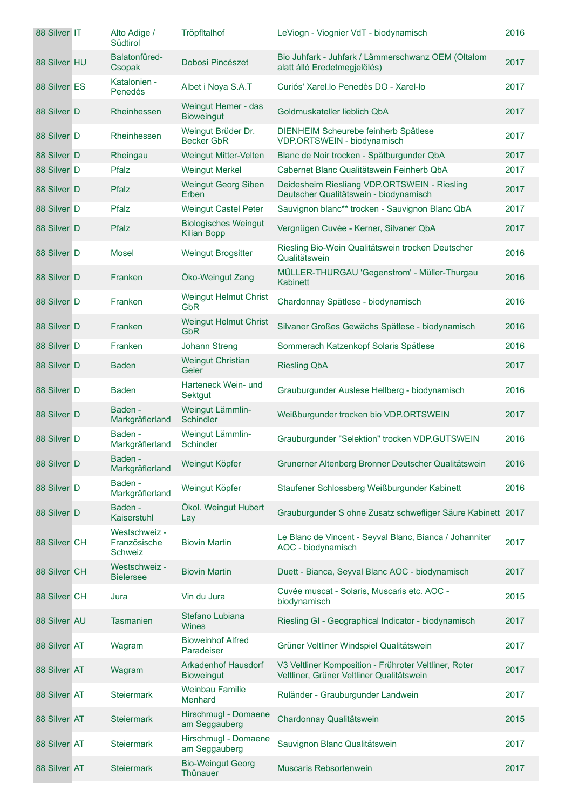| 88 Silver IT | Alto Adige /<br>Südtirol                 | Tröpfltalhof                                      | LeViogn - Viognier VdT - biodynamisch                                                              | 2016 |
|--------------|------------------------------------------|---------------------------------------------------|----------------------------------------------------------------------------------------------------|------|
| 88 Silver HU | Balatonfüred-<br>Csopak                  | Dobosi Pincészet                                  | Bio Juhfark - Juhfark / Lämmerschwanz OEM (Oltalom<br>alatt álló Eredetmegjelölés)                 | 2017 |
| 88 Silver ES | Katalonien -<br>Penedés                  | Albet i Noya S.A.T                                | Curiós' Xarel.lo Penedès DO - Xarel-lo                                                             | 2017 |
| 88 Silver D  | Rheinhessen                              | Weingut Hemer - das<br><b>Bioweingut</b>          | Goldmuskateller lieblich QbA                                                                       | 2017 |
| 88 Silver D  | Rheinhessen                              | Weingut Brüder Dr.<br><b>Becker GbR</b>           | DIENHEIM Scheurebe feinherb Spätlese<br>VDP.ORTSWEIN - biodynamisch                                | 2017 |
| 88 Silver D  | Rheingau                                 | Weingut Mitter-Velten                             | Blanc de Noir trocken - Spätburgunder QbA                                                          | 2017 |
| 88 Silver D  | Pfalz                                    | <b>Weingut Merkel</b>                             | Cabernet Blanc Qualitätswein Feinherb QbA                                                          | 2017 |
| 88 Silver D  | Pfalz                                    | <b>Weingut Georg Siben</b><br>Erben               | Deidesheim Riesliang VDP.ORTSWEIN - Riesling<br>Deutscher Qualitätswein - biodynamisch             | 2017 |
| 88 Silver D  | Pfalz                                    | <b>Weingut Castel Peter</b>                       | Sauvignon blanc** trocken - Sauvignon Blanc QbA                                                    | 2017 |
| 88 Silver D  | Pfalz                                    | <b>Biologisches Weingut</b><br><b>Kilian Bopp</b> | Vergnügen Cuvèe - Kerner, Silvaner QbA                                                             | 2017 |
| 88 Silver D  | <b>Mosel</b>                             | <b>Weingut Brogsitter</b>                         | Riesling Bio-Wein Qualitätswein trocken Deutscher<br>Qualitätswein                                 | 2016 |
| 88 Silver D  | Franken                                  | Öko-Weingut Zang                                  | MÜLLER-THURGAU 'Gegenstrom' - Müller-Thurgau<br><b>Kabinett</b>                                    | 2016 |
| 88 Silver D  | Franken                                  | <b>Weingut Helmut Christ</b><br><b>GbR</b>        | Chardonnay Spätlese - biodynamisch                                                                 | 2016 |
| 88 Silver D  | Franken                                  | <b>Weingut Helmut Christ</b><br><b>GbR</b>        | Silvaner Großes Gewächs Spätlese - biodynamisch                                                    | 2016 |
| 88 Silver D  | Franken                                  | <b>Johann Streng</b>                              | Sommerach Katzenkopf Solaris Spätlese                                                              | 2016 |
| 88 Silver D  | <b>Baden</b>                             | <b>Weingut Christian</b><br>Geier                 | <b>Riesling QbA</b>                                                                                | 2017 |
| 88 Silver D  | <b>Baden</b>                             | Harteneck Wein- und<br>Sektgut                    | Grauburgunder Auslese Hellberg - biodynamisch                                                      | 2016 |
| 88 Silver D  | Baden -<br>Markgräflerland               | Weingut Lämmlin-<br>Schindler                     | Weißburgunder trocken bio VDP.ORTSWEIN                                                             | 2017 |
| 88 Silver D  | Baden -<br>Markgräflerland               | Weingut Lämmlin-<br>Schindler                     | Grauburgunder "Selektion" trocken VDP.GUTSWEIN                                                     | 2016 |
| 88 Silver D  | Baden -<br>Markgräflerland               | Weingut Köpfer                                    | Grunerner Altenberg Bronner Deutscher Qualitätswein                                                | 2016 |
| 88 Silver D  | Baden -<br>Markgräflerland               | Weingut Köpfer                                    | Staufener Schlossberg Weißburgunder Kabinett                                                       | 2016 |
| 88 Silver D  | Baden -<br>Kaiserstuhl                   | Ökol. Weingut Hubert<br>Lay                       | Grauburgunder S ohne Zusatz schwefliger Säure Kabinett 2017                                        |      |
| 88 Silver CH | Westschweiz -<br>Französische<br>Schweiz | <b>Biovin Martin</b>                              | Le Blanc de Vincent - Seyval Blanc, Bianca / Johanniter<br>AOC - biodynamisch                      | 2017 |
| 88 Silver CH | Westschweiz -<br><b>Bielersee</b>        | <b>Biovin Martin</b>                              | Duett - Bianca, Seyval Blanc AOC - biodynamisch                                                    | 2017 |
| 88 Silver CH | Jura                                     | Vin du Jura                                       | Cuvée muscat - Solaris, Muscaris etc. AOC -<br>biodynamisch                                        | 2015 |
| 88 Silver AU | <b>Tasmanien</b>                         | Stefano Lubiana<br><b>Wines</b>                   | Riesling GI - Geographical Indicator - biodynamisch                                                | 2017 |
| 88 Silver AT | Wagram                                   | <b>Bioweinhof Alfred</b><br>Paradeiser            | Grüner Veltliner Windspiel Qualitätswein                                                           | 2017 |
| 88 Silver AT | Wagram                                   | <b>Arkadenhof Hausdorf</b><br><b>Bioweingut</b>   | V3 Veltliner Komposition - Frühroter Veltliner, Roter<br>Veltliner, Grüner Veltliner Qualitätswein | 2017 |
| 88 Silver AT | <b>Steiermark</b>                        | <b>Weinbau Familie</b><br>Menhard                 | Ruländer - Grauburgunder Landwein                                                                  | 2017 |
| 88 Silver AT | <b>Steiermark</b>                        | Hirschmugl - Domaene<br>am Seggauberg             | Chardonnay Qualitätswein                                                                           | 2015 |
| 88 Silver AT | <b>Steiermark</b>                        | Hirschmugl - Domaene<br>am Seggauberg             | Sauvignon Blanc Qualitätswein                                                                      | 2017 |
| 88 Silver AT | <b>Steiermark</b>                        | <b>Bio-Weingut Georg</b><br>Thünauer              | Muscaris Rebsortenwein                                                                             | 2017 |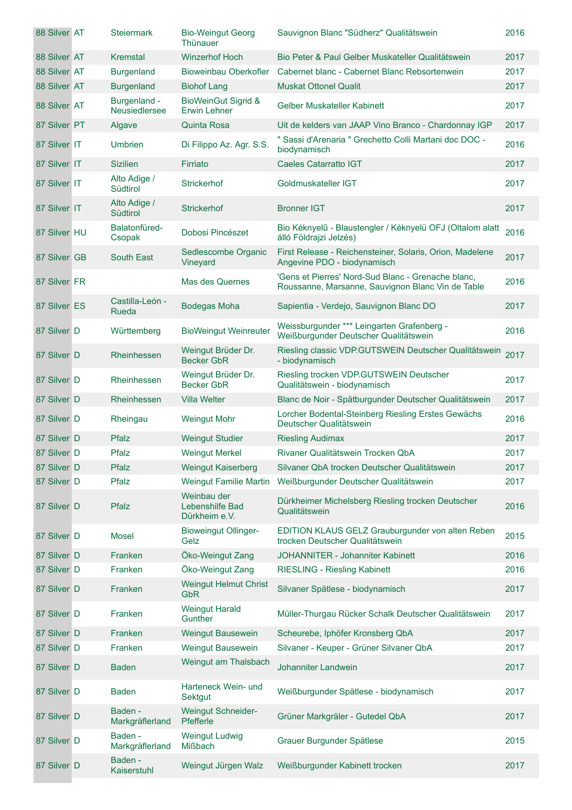| 88 Silver AT | <b>Steiermark</b>             | <b>Bio-Weingut Georg</b><br>Thünauer                  | Sauvignon Blanc "Südherz" Qualitätswein                                                                 | 2016 |
|--------------|-------------------------------|-------------------------------------------------------|---------------------------------------------------------------------------------------------------------|------|
| 88 Silver AT | Kremstal                      | <b>Winzerhof Hoch</b>                                 | Bio Peter & Paul Gelber Muskateller Qualitätswein                                                       | 2017 |
| 88 Silver AT | <b>Burgenland</b>             | <b>Bioweinbau Oberkofler</b>                          | Cabernet blanc - Cabernet Blanc Rebsortenwein                                                           | 2017 |
| 88 Silver AT | <b>Burgenland</b>             | <b>Biohof Lang</b>                                    | <b>Muskat Ottonel Qualit</b>                                                                            | 2017 |
| 88 Silver AT | Burgenland -<br>Neusiedlersee | <b>BioWeinGut Sigrid &amp;</b><br><b>Erwin Lehner</b> | <b>Gelber Muskateller Kabinett</b>                                                                      | 2017 |
| 87 Silver PT | Algave                        | <b>Quinta Rosa</b>                                    | Uit de kelders van JAAP Vino Branco - Chardonnay IGP                                                    | 2017 |
| 87 Silver IT | <b>Umbrien</b>                | Di Filippo Az. Agr. S.S.                              | " Sassi d'Arenaria " Grechetto Colli Martani doc DOC -<br>biodynamisch                                  | 2016 |
| 87 Silver IT | <b>Sizilien</b>               | Firriato                                              | <b>Caeles Catarratto IGT</b>                                                                            | 2017 |
| 87 Silver IT | Alto Adige /<br>Südtirol      | <b>Strickerhof</b>                                    | Goldmuskateller IGT                                                                                     | 2017 |
| 87 Silver IT | Alto Adige /<br>Südtirol      | <b>Strickerhof</b>                                    | <b>Bronner IGT</b>                                                                                      | 2017 |
| 87 Silver HU | Balatonfüred-<br>Csopak       | Dobosi Pincészet                                      | Bio Kéknyelű - Blaustengler / Kéknyelü OFJ (Oltalom alatt<br>álló Földrajzi Jelzés)                     | 2016 |
| 87 Silver GB | <b>South East</b>             | Sedlescombe Organic<br>Vineyard                       | First Release - Reichensteiner, Solaris, Orion, Madelene<br>Angevine PDO - biodynamisch                 | 2017 |
| 87 Silver FR |                               | Mas des Quernes                                       | 'Gens et Pierres' Nord-Sud Blanc - Grenache blanc,<br>Roussanne, Marsanne, Sauvignon Blanc Vin de Table | 2016 |
| 87 Silver ES | Castilla-León -<br>Rueda      | <b>Bodegas Moha</b>                                   | Sapientia - Verdejo, Sauvignon Blanc DO                                                                 | 2017 |
| 87 Silver D  | Württemberg                   | <b>BioWeingut Weinreuter</b>                          | Weissburgunder *** Leingarten Grafenberg -<br>Weißburgunder Deutscher Qualitätswein                     | 2016 |
| 87 Silver D  | Rheinhessen                   | Weingut Brüder Dr.<br><b>Becker GbR</b>               | Riesling classic VDP.GUTSWEIN Deutscher Qualitätswein<br>- biodynamisch                                 | 2017 |
| 87 Silver D  | Rheinhessen                   | Weingut Brüder Dr.<br><b>Becker GbR</b>               | Riesling trocken VDP.GUTSWEIN Deutscher<br>Qualitätswein - biodynamisch                                 | 2017 |
| 87 Silver D  | Rheinhessen                   | <b>Villa Welter</b>                                   | Blanc de Noir - Spätburgunder Deutscher Qualitätswein                                                   | 2017 |
| 87 Silver D  | Rheingau                      | <b>Weingut Mohr</b>                                   | Lorcher Bodental-Steinberg Riesling Erstes Gewächs<br>Deutscher Qualitätswein                           | 2016 |
| 87 Silver D  | Pfalz                         | <b>Weingut Studier</b>                                | <b>Riesling Audimax</b>                                                                                 | 2017 |
| 87 Silver D  | Pfalz                         | <b>Weingut Merkel</b>                                 | Rivaner Qualitätswein Trocken QbA                                                                       | 2017 |
| 87 Silver D  | Pfalz                         | <b>Weingut Kaiserberg</b>                             | Silvaner QbA trocken Deutscher Qualitätswein                                                            | 2017 |
| 87 Silver D  | Pfalz                         | <b>Weingut Familie Martin</b>                         | Weißburgunder Deutscher Qualitätswein                                                                   | 2017 |
| 87 Silver D  | Pfalz                         | Weinbau der<br>Lebenshilfe Bad<br>Dürkheim e.V.       | Dürkheimer Michelsberg Riesling trocken Deutscher<br>Qualitätswein                                      | 2016 |
| 87 Silver D  | <b>Mosel</b>                  | <b>Bioweingut Ollinger-</b><br>Gelz                   | EDITION KLAUS GELZ Grauburgunder von alten Reben<br>trocken Deutscher Qualitätswein                     | 2015 |
| 87 Silver D  | Franken                       | Öko-Weingut Zang                                      | JOHANNITER - Johanniter Kabinett                                                                        | 2016 |
| 87 Silver D  | Franken                       | Öko-Weingut Zang                                      | <b>RIESLING - Riesling Kabinett</b>                                                                     | 2016 |
| 87 Silver D  | Franken                       | <b>Weingut Helmut Christ</b><br><b>GbR</b>            | Silvaner Spätlese - biodynamisch                                                                        | 2017 |
| 87 Silver D  | Franken                       | <b>Weingut Harald</b><br>Gunther                      | Müller-Thurgau Rücker Schalk Deutscher Qualitätswein                                                    | 2017 |
| 87 Silver D  | Franken                       | <b>Weingut Bausewein</b>                              | Scheurebe, Iphöfer Kronsberg QbA                                                                        | 2017 |
| 87 Silver D  | Franken                       | Weingut Bausewein                                     | Silvaner - Keuper - Grüner Silvaner QbA                                                                 | 2017 |
| 87 Silver D  | <b>Baden</b>                  | Weingut am Thalsbach                                  | Johanniter Landwein                                                                                     | 2017 |
| 87 Silver D  | <b>Baden</b>                  | Harteneck Wein- und<br>Sektgut                        | Weißburgunder Spätlese - biodynamisch                                                                   | 2017 |
| 87 Silver D  | Baden -<br>Markgräflerland    | <b>Weingut Schneider-</b><br>Pfefferle                | Grüner Markgräler - Gutedel QbA                                                                         | 2017 |
| 87 Silver D  | Baden -<br>Markgräflerland    | <b>Weingut Ludwig</b><br>Mißbach                      | Grauer Burgunder Spätlese                                                                               | 2015 |
| 87 Silver D  | Baden -<br>Kaiserstuhl        | Weingut Jürgen Walz                                   | Weißburgunder Kabinett trocken                                                                          | 2017 |

 $\mathcal{L}(\mathcal{L})$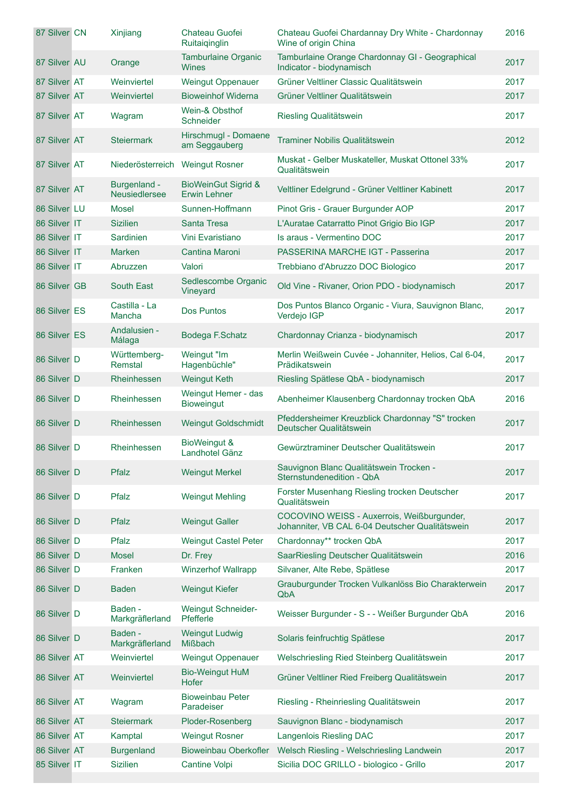| 87 Silver CN | Xinjiang                        | Chateau Guofei<br>Ruitaiqinglin                       | Chateau Guofei Chardannay Dry White - Chardonnay<br>Wine of origin China                      | 2016 |
|--------------|---------------------------------|-------------------------------------------------------|-----------------------------------------------------------------------------------------------|------|
| 87 Silver AU | Orange                          | <b>Tamburlaine Organic</b><br>Wines                   | Tamburlaine Orange Chardonnay GI - Geographical<br>Indicator - biodynamisch                   | 2017 |
| 87 Silver AT | Weinviertel                     | <b>Weingut Oppenauer</b>                              | Grüner Veltliner Classic Qualitätswein                                                        | 2017 |
| 87 Silver AT | Weinviertel                     | <b>Bioweinhof Widerna</b>                             | Grüner Veltliner Qualitätswein                                                                | 2017 |
| 87 Silver AT | Wagram                          | Wein-& Obsthof<br>Schneider                           | Riesling Qualitätswein                                                                        | 2017 |
| 87 Silver AT | <b>Steiermark</b>               | Hirschmugl - Domaene<br>am Seggauberg                 | Traminer Nobilis Qualitätswein                                                                | 2012 |
| 87 Silver AT | Niederösterreich Weingut Rosner |                                                       | Muskat - Gelber Muskateller, Muskat Ottonel 33%<br>Qualitätswein                              | 2017 |
| 87 Silver AT | Burgenland -<br>Neusiedlersee   | <b>BioWeinGut Sigrid &amp;</b><br><b>Erwin Lehner</b> | Veltliner Edelgrund - Grüner Veltliner Kabinett                                               | 2017 |
| 86 Silver LU | <b>Mosel</b>                    | Sunnen-Hoffmann                                       | Pinot Gris - Grauer Burgunder AOP                                                             | 2017 |
| 86 Silver IT | <b>Sizilien</b>                 | Santa Tresa                                           | L'Auratae Catarratto Pinot Grigio Bio IGP                                                     | 2017 |
| 86 Silver IT | Sardinien                       | Vini Evaristiano                                      | Is araus - Vermentino DOC                                                                     | 2017 |
| 86 Silver IT | <b>Marken</b>                   | Cantina Maroni                                        | PASSERINA MARCHE IGT - Passerina                                                              | 2017 |
| 86 Silver IT | Abruzzen                        | Valori                                                | Trebbiano d'Abruzzo DOC Biologico                                                             | 2017 |
| 86 Silver GB | <b>South East</b>               | Sedlescombe Organic<br>Vineyard                       | Old Vine - Rivaner, Orion PDO - biodynamisch                                                  | 2017 |
| 86 Silver ES | Castilla - La<br>Mancha         | <b>Dos Puntos</b>                                     | Dos Puntos Blanco Organic - Viura, Sauvignon Blanc,<br>Verdejo IGP                            | 2017 |
| 86 Silver ES | Andalusien -<br>Málaga          | Bodega F.Schatz                                       | Chardonnay Crianza - biodynamisch                                                             | 2017 |
| 86 Silver D  | Württemberg-<br>Remstal         | Weingut "Im<br>Hagenbüchle"                           | Merlin Weißwein Cuvée - Johanniter, Helios, Cal 6-04,<br>Prädikatswein                        | 2017 |
| 86 Silver D  | Rheinhessen                     | <b>Weingut Keth</b>                                   | Riesling Spätlese QbA - biodynamisch                                                          | 2017 |
| 86 Silver D  | Rheinhessen                     | Weingut Hemer - das<br><b>Bioweingut</b>              | Abenheimer Klausenberg Chardonnay trocken QbA                                                 | 2016 |
| 86 Silver D  | <b>Rheinhessen</b>              | <b>Weingut Goldschmidt</b>                            | Pfeddersheimer Kreuzblick Chardonnay "S" trocken<br>Deutscher Qualitätswein                   | 2017 |
| 86 Silver D  | Rheinhessen                     | BioWeingut &<br>Landhotel Gänz                        | Gewürztraminer Deutscher Qualitätswein                                                        | 2017 |
| 86 Silver D  | Pfalz                           | <b>Weingut Merkel</b>                                 | Sauvignon Blanc Qualitätswein Trocken -<br>Sternstundenedition - QbA                          | 2017 |
| 86 Silver D  | Pfalz                           | <b>Weingut Mehling</b>                                | Forster Musenhang Riesling trocken Deutscher<br>Qualitätswein                                 | 2017 |
| 86 Silver D  | Pfalz                           | <b>Weingut Galler</b>                                 | COCOVINO WEISS - Auxerrois, Weißburgunder,<br>Johanniter, VB CAL 6-04 Deutscher Qualitätswein | 2017 |
| 86 Silver D  | Pfalz                           | <b>Weingut Castel Peter</b>                           | Chardonnay** trocken QbA                                                                      | 2017 |
| 86 Silver D  | <b>Mosel</b>                    | Dr. Frey                                              | SaarRiesling Deutscher Qualitätswein                                                          | 2016 |
| 86 Silver D  | Franken                         | <b>Winzerhof Wallrapp</b>                             | Silvaner, Alte Rebe, Spätlese                                                                 | 2017 |
| 86 Silver D  | <b>Baden</b>                    | <b>Weingut Kiefer</b>                                 | Grauburgunder Trocken Vulkanlöss Bio Charakterwein<br>QbA                                     | 2017 |
| 86 Silver D  | Baden -<br>Markgräflerland      | <b>Weingut Schneider-</b><br>Pfefferle                | Weisser Burgunder - S - - Weißer Burgunder QbA                                                | 2016 |
| 86 Silver D  | Baden -<br>Markgräflerland      | <b>Weingut Ludwig</b><br><b>Mißbach</b>               | Solaris feinfruchtig Spätlese                                                                 | 2017 |
| 86 Silver AT | Weinviertel                     | <b>Weingut Oppenauer</b>                              | Welschriesling Ried Steinberg Qualitätswein                                                   | 2017 |
| 86 Silver AT | Weinviertel                     | <b>Bio-Weingut HuM</b><br>Hofer                       | Grüner Veltliner Ried Freiberg Qualitätswein                                                  | 2017 |
| 86 Silver AT | Wagram                          | <b>Bioweinbau Peter</b><br>Paradeiser                 | Riesling - Rheinriesling Qualitätswein                                                        | 2017 |
| 86 Silver AT | <b>Steiermark</b>               | Ploder-Rosenberg                                      | Sauvignon Blanc - biodynamisch                                                                | 2017 |
| 86 Silver AT | Kamptal                         | <b>Weingut Rosner</b>                                 | Langenlois Riesling DAC                                                                       | 2017 |
| 86 Silver AT | <b>Burgenland</b>               | <b>Bioweinbau Oberkofler</b>                          | Welsch Riesling - Welschriesling Landwein                                                     | 2017 |
| 85 Silver IT | <b>Sizilien</b>                 | Cantine Volpi                                         | Sicilia DOC GRILLO - biologico - Grillo                                                       | 2017 |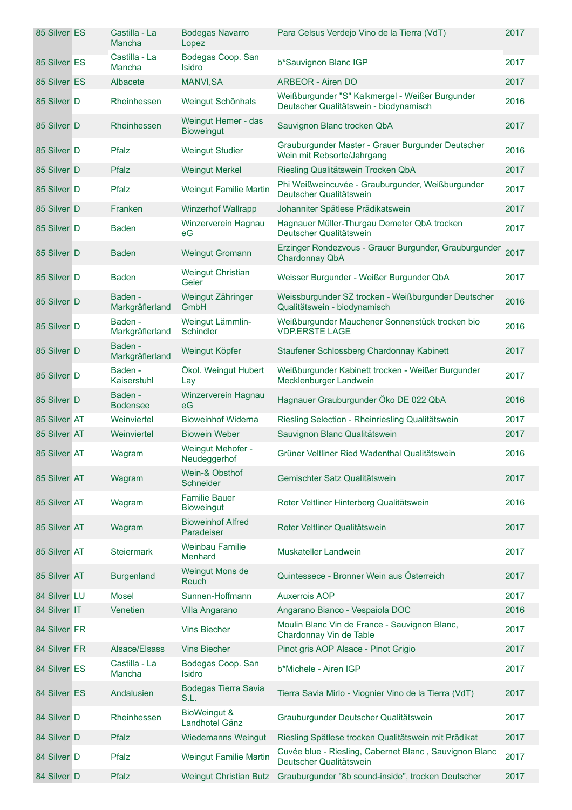| 85 Silver ES | Castilla - La<br>Mancha    | <b>Bodegas Navarro</b><br>Lopez           | Para Celsus Verdejo Vino de la Tierra (VdT)                                               | 2017 |
|--------------|----------------------------|-------------------------------------------|-------------------------------------------------------------------------------------------|------|
| 85 Silver ES | Castilla - La<br>Mancha    | Bodegas Coop. San<br><b>Isidro</b>        | b*Sauvignon Blanc IGP                                                                     | 2017 |
| 85 Silver ES | Albacete                   | <b>MANVI, SA</b>                          | <b>ARBEOR - Airen DO</b>                                                                  | 2017 |
| 85 Silver D  | Rheinhessen                | Weingut Schönhals                         | Weißburgunder "S" Kalkmergel - Weißer Burgunder<br>Deutscher Qualitätswein - biodynamisch | 2016 |
| 85 Silver D  | Rheinhessen                | Weingut Hemer - das<br><b>Bioweingut</b>  | Sauvignon Blanc trocken QbA                                                               | 2017 |
| 85 Silver D  | Pfalz                      | <b>Weingut Studier</b>                    | Grauburgunder Master - Grauer Burgunder Deutscher<br>Wein mit Rebsorte/Jahrgang           | 2016 |
| 85 Silver D  | Pfalz                      | <b>Weingut Merkel</b>                     | Riesling Qualitätswein Trocken QbA                                                        | 2017 |
| 85 Silver D  | Pfalz                      | <b>Weingut Familie Martin</b>             | Phi Weißweincuvée - Grauburgunder, Weißburgunder<br>Deutscher Qualitätswein               | 2017 |
| 85 Silver D  | Franken                    | <b>Winzerhof Wallrapp</b>                 | Johanniter Spätlese Prädikatswein                                                         | 2017 |
| 85 Silver D  | <b>Baden</b>               | Winzerverein Hagnau<br>еG                 | Hagnauer Müller-Thurgau Demeter QbA trocken<br>Deutscher Qualitätswein                    | 2017 |
| 85 Silver D  | <b>Baden</b>               | <b>Weingut Gromann</b>                    | Erzinger Rondezvous - Grauer Burgunder, Grauburgunder<br><b>Chardonnay QbA</b>            | 2017 |
| 85 Silver D  | <b>Baden</b>               | <b>Weingut Christian</b><br>Geier         | Weisser Burgunder - Weißer Burgunder QbA                                                  | 2017 |
| 85 Silver D  | Baden -<br>Markgräflerland | Weingut Zähringer<br>GmbH                 | Weissburgunder SZ trocken - Weißburgunder Deutscher<br>Qualitätswein - biodynamisch       | 2016 |
| 85 Silver D  | Baden -<br>Markgräflerland | Weingut Lämmlin-<br><b>Schindler</b>      | Weißburgunder Mauchener Sonnenstück trocken bio<br><b>VDP.ERSTE LAGE</b>                  | 2016 |
| 85 Silver D  | Baden -<br>Markgräflerland | Weingut Köpfer                            | Staufener Schlossberg Chardonnay Kabinett                                                 | 2017 |
| 85 Silver D  | Baden -<br>Kaiserstuhl     | Ökol. Weingut Hubert<br>Lay               | Weißburgunder Kabinett trocken - Weißer Burgunder<br>Mecklenburger Landwein               | 2017 |
| 85 Silver D  | Baden -<br><b>Bodensee</b> | Winzerverein Hagnau<br>eG                 | Hagnauer Grauburgunder Öko DE 022 QbA                                                     | 2016 |
| 85 Silver AT | Weinviertel                | <b>Bioweinhof Widerna</b>                 | Riesling Selection - Rheinriesling Qualitätswein                                          | 2017 |
| 85 Silver AT | Weinviertel                | <b>Biowein Weber</b>                      | Sauvignon Blanc Qualitätswein                                                             | 2017 |
| 85 Silver AT | Wagram                     | Weingut Mehofer -<br>Neudeggerhof         | Grüner Veltliner Ried Wadenthal Qualitätswein                                             | 2016 |
| 85 Silver AT | Wagram                     | Wein-& Obsthof<br>Schneider               | Gemischter Satz Qualitätswein                                                             | 2017 |
| 85 Silver AT | Wagram                     | <b>Familie Bauer</b><br><b>Bioweingut</b> | Roter Veltliner Hinterberg Qualitätswein                                                  | 2016 |
| 85 Silver AT | Wagram                     | <b>Bioweinhof Alfred</b><br>Paradeiser    | Roter Veltliner Qualitätswein                                                             | 2017 |
| 85 Silver AT | <b>Steiermark</b>          | <b>Weinbau Familie</b><br><b>Menhard</b>  | Muskateller Landwein                                                                      | 2017 |
| 85 Silver AT | <b>Burgenland</b>          | Weingut Mons de<br>Reuch                  | Quintessece - Bronner Wein aus Österreich                                                 | 2017 |
| 84 Silver LU | <b>Mosel</b>               | Sunnen-Hoffmann                           | <b>Auxerrois AOP</b>                                                                      | 2017 |
| 84 Silver IT | Venetien                   | Villa Angarano                            | Angarano Bianco - Vespaiola DOC                                                           | 2016 |
| 84 Silver FR |                            | <b>Vins Biecher</b>                       | Moulin Blanc Vin de France - Sauvignon Blanc,<br>Chardonnay Vin de Table                  | 2017 |
| 84 Silver FR | Alsace/Elsass              | <b>Vins Biecher</b>                       | Pinot gris AOP Alsace - Pinot Grigio                                                      | 2017 |
| 84 Silver ES | Castilla - La<br>Mancha    | Bodegas Coop. San<br><b>Isidro</b>        | b*Michele - Airen IGP                                                                     | 2017 |
| 84 Silver ES | Andalusien                 | Bodegas Tierra Savia<br>S.L.              | Tierra Savia Mirlo - Viognier Vino de la Tierra (VdT)                                     | 2017 |
| 84 Silver D  | Rheinhessen                | BioWeingut &<br>Landhotel Gänz            | Grauburgunder Deutscher Qualitätswein                                                     | 2017 |
| 84 Silver D  | Pfalz                      | <b>Wiedemanns Weingut</b>                 | Riesling Spätlese trocken Qualitätswein mit Prädikat                                      | 2017 |
| 84 Silver D  | Pfalz                      | <b>Weingut Familie Martin</b>             | Cuvée blue - Riesling, Cabernet Blanc, Sauvignon Blanc<br>Deutscher Qualitätswein         | 2017 |
| 84 Silver D  | Pfalz                      | <b>Weingut Christian Butz</b>             | Grauburgunder "8b sound-inside", trocken Deutscher                                        | 2017 |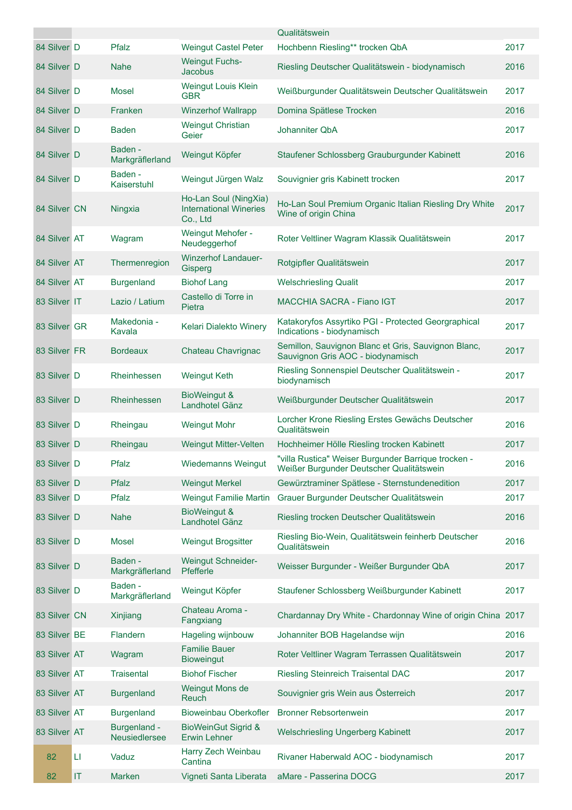|              |                                   |                               |                                                                    | Qualitätswein                                                                                   |      |
|--------------|-----------------------------------|-------------------------------|--------------------------------------------------------------------|-------------------------------------------------------------------------------------------------|------|
| 84 Silver D  |                                   | Pfalz                         | <b>Weingut Castel Peter</b>                                        | Hochbenn Riesling** trocken QbA                                                                 | 2017 |
| 84 Silver D  |                                   | <b>Nahe</b>                   | <b>Weingut Fuchs-</b><br><b>Jacobus</b>                            | Riesling Deutscher Qualitätswein - biodynamisch                                                 | 2016 |
| 84 Silver D  |                                   | Mosel                         | Weingut Louis Klein<br><b>GBR</b>                                  | Weißburgunder Qualitätswein Deutscher Qualitätswein                                             | 2017 |
| 84 Silver D  |                                   | Franken                       | <b>Winzerhof Wallrapp</b>                                          | Domina Spätlese Trocken                                                                         | 2016 |
| 84 Silver D  |                                   | <b>Baden</b>                  | <b>Weingut Christian</b><br>Geier                                  | Johanniter ObA                                                                                  | 2017 |
| 84 Silver D  |                                   | Baden -<br>Markgräflerland    | Weingut Köpfer                                                     | Staufener Schlossberg Grauburgunder Kabinett                                                    | 2016 |
| 84 Silver D  |                                   | Baden -<br>Kaiserstuhl        | Weingut Jürgen Walz                                                | Souvignier gris Kabinett trocken                                                                | 2017 |
| 84 Silver CN |                                   | Ningxia                       | Ho-Lan Soul (NingXia)<br><b>International Wineries</b><br>Co., Ltd | Ho-Lan Soul Premium Organic Italian Riesling Dry White<br>Wine of origin China                  | 2017 |
| 84 Silver AT |                                   | Wagram                        | Weingut Mehofer -<br>Neudeggerhof                                  | Roter Veltliner Wagram Klassik Qualitätswein                                                    | 2017 |
| 84 Silver AT |                                   | Thermenregion                 | <b>Winzerhof Landauer-</b><br>Gisperg                              | Rotgipfler Qualitätswein                                                                        | 2017 |
| 84 Silver AT |                                   | <b>Burgenland</b>             | <b>Biohof Lang</b>                                                 | <b>Welschriesling Qualit</b>                                                                    | 2017 |
| 83 Silver IT |                                   | Lazio / Latium                | Castello di Torre in<br>Pietra                                     | <b>MACCHIA SACRA - Fiano IGT</b>                                                                | 2017 |
| 83 Silver GR |                                   | Makedonia -<br>Kavala         | Kelari Dialekto Winery                                             | Katakoryfos Assyrtiko PGI - Protected Georgraphical<br>Indications - biodynamisch               | 2017 |
| 83 Silver FR |                                   | <b>Bordeaux</b>               | Chateau Chavrignac                                                 | Semillon, Sauvignon Blanc et Gris, Sauvignon Blanc,<br>Sauvignon Gris AOC - biodynamisch        | 2017 |
| 83 Silver D  |                                   | Rheinhessen                   | <b>Weingut Keth</b>                                                | Riesling Sonnenspiel Deutscher Qualitätswein -<br>biodynamisch                                  | 2017 |
| 83 Silver D  |                                   | Rheinhessen                   | <b>BioWeingut &amp;</b><br>Landhotel Gänz                          | Weißburgunder Deutscher Qualitätswein                                                           | 2017 |
| 83 Silver D  |                                   | Rheingau                      | <b>Weingut Mohr</b>                                                | Lorcher Krone Riesling Erstes Gewächs Deutscher<br>Qualitätswein                                | 2016 |
| 83 Silver D  |                                   | Rheingau                      | Weingut Mitter-Velten                                              | Hochheimer Hölle Riesling trocken Kabinett                                                      | 2017 |
| 83 Silver D  |                                   | Pfalz                         | <b>Wiedemanns Weingut</b>                                          | "villa Rustica" Weiser Burgunder Barrique trocken -<br>Weißer Burgunder Deutscher Qualitätswein | 2016 |
| 83 Silver D  |                                   | Pfalz                         | <b>Weingut Merkel</b>                                              | Gewürztraminer Spätlese - Sternstundenedition                                                   | 2017 |
| 83 Silver D  |                                   | Pfalz                         | <b>Weingut Familie Martin</b>                                      | Grauer Burgunder Deutscher Qualitätswein                                                        | 2017 |
| 83 Silver D  |                                   | <b>Nahe</b>                   | BioWeingut &<br>Landhotel Gänz                                     | Riesling trocken Deutscher Qualitätswein                                                        | 2016 |
| 83 Silver D  |                                   | Mosel                         | <b>Weingut Brogsitter</b>                                          | Riesling Bio-Wein, Qualitätswein feinherb Deutscher<br>Qualitätswein                            | 2016 |
| 83 Silver D  |                                   | Baden -<br>Markgräflerland    | <b>Weingut Schneider-</b><br>Pfefferle                             | Weisser Burgunder - Weißer Burgunder QbA                                                        | 2017 |
| 83 Silver D  |                                   | Baden -<br>Markgräflerland    | Weingut Köpfer                                                     | Staufener Schlossberg Weißburgunder Kabinett                                                    | 2017 |
| 83 Silver CN |                                   | Xinjiang                      | Chateau Aroma -<br>Fangxiang                                       | Chardannay Dry White - Chardonnay Wine of origin China 2017                                     |      |
| 83 Silver BE |                                   | Flandern                      | Hageling wijnbouw                                                  | Johanniter BOB Hagelandse wijn                                                                  | 2016 |
| 83 Silver AT |                                   | Wagram                        | <b>Familie Bauer</b><br><b>Bioweingut</b>                          | Roter Veltliner Wagram Terrassen Qualitätswein                                                  | 2017 |
| 83 Silver AT |                                   | <b>Traisental</b>             | <b>Biohof Fischer</b>                                              | Riesling Steinreich Traisental DAC                                                              | 2017 |
| 83 Silver AT |                                   | <b>Burgenland</b>             | Weingut Mons de<br>Reuch                                           | Souvignier gris Wein aus Österreich                                                             | 2017 |
| 83 Silver AT |                                   | <b>Burgenland</b>             | <b>Bioweinbau Oberkofler</b>                                       | <b>Bronner Rebsortenwein</b>                                                                    | 2017 |
| 83 Silver AT |                                   | Burgenland -<br>Neusiedlersee | <b>BioWeinGut Sigrid &amp;</b><br><b>Erwin Lehner</b>              | Welschriesling Ungerberg Kabinett                                                               | 2017 |
| 82           | LI                                | Vaduz                         | Harry Zech Weinbau<br>Cantina                                      | Rivaner Haberwald AOC - biodynamisch                                                            | 2017 |
| 82           | $\ensuremath{\mathsf{IT}}\xspace$ | Marken                        | Vigneti Santa Liberata                                             | aMare - Passerina DOCG                                                                          | 2017 |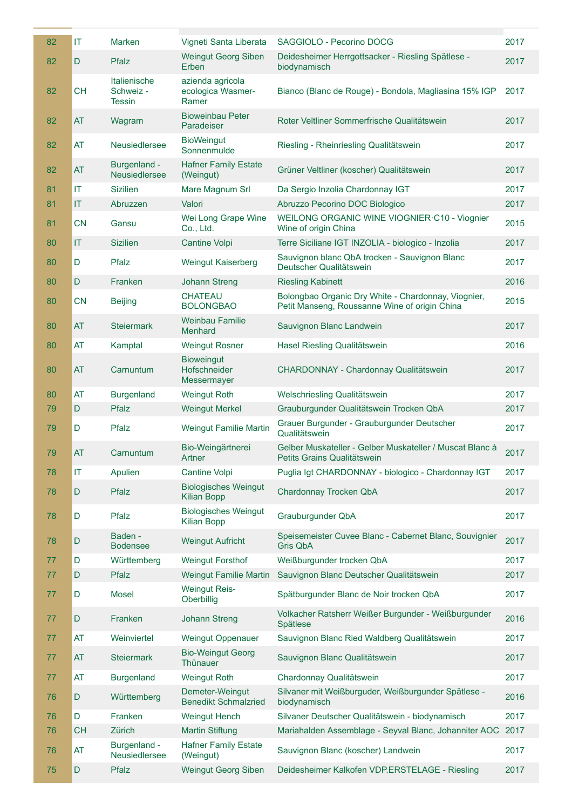| 82 | IT        | <b>Marken</b>                              | Vigneti Santa Liberata                            | SAGGIOLO - Pecorino DOCG                                                                             | 2017 |
|----|-----------|--------------------------------------------|---------------------------------------------------|------------------------------------------------------------------------------------------------------|------|
| 82 | D         | Pfalz                                      | <b>Weingut Georg Siben</b><br>Erben               | Deidesheimer Herrgottsacker - Riesling Spätlese -<br>biodynamisch                                    | 2017 |
| 82 | <b>CH</b> | Italienische<br>Schweiz -<br><b>Tessin</b> | azienda agricola<br>ecologica Wasmer-<br>Ramer    | Bianco (Blanc de Rouge) - Bondola, Magliasina 15% IGP                                                | 2017 |
| 82 | AT        | Wagram                                     | <b>Bioweinbau Peter</b><br>Paradeiser             | Roter Veltliner Sommerfrische Qualitätswein                                                          | 2017 |
| 82 | AT        | <b>Neusiedlersee</b>                       | <b>BioWeingut</b><br>Sonnenmulde                  | Riesling - Rheinriesling Qualitätswein                                                               | 2017 |
| 82 | AT        | Burgenland -<br>Neusiedlersee              | <b>Hafner Family Estate</b><br>(Weingut)          | Grüner Veltliner (koscher) Qualitätswein                                                             | 2017 |
| 81 | IT        | <b>Sizilien</b>                            | Mare Magnum Srl                                   | Da Sergio Inzolia Chardonnay IGT                                                                     | 2017 |
| 81 | IT        | Abruzzen                                   | Valori                                            | Abruzzo Pecorino DOC Biologico                                                                       | 2017 |
| 81 | <b>CN</b> | Gansu                                      | Wei Long Grape Wine<br>Co., Ltd.                  | WEILONG ORGANIC WINE VIOGNIER C10 - Viognier<br>Wine of origin China                                 | 2015 |
| 80 | IT        | <b>Sizilien</b>                            | <b>Cantine Volpi</b>                              | Terre Siciliane IGT INZOLIA - biologico - Inzolia                                                    | 2017 |
| 80 | D         | Pfalz                                      | <b>Weingut Kaiserberg</b>                         | Sauvignon blanc QbA trocken - Sauvignon Blanc<br>Deutscher Qualitätswein                             | 2017 |
| 80 | D         | Franken                                    | <b>Johann Streng</b>                              | <b>Riesling Kabinett</b>                                                                             | 2016 |
| 80 | <b>CN</b> | <b>Beijing</b>                             | <b>CHATEAU</b><br><b>BOLONGBAO</b>                | Bolongbao Organic Dry White - Chardonnay, Viognier,<br>Petit Manseng, Roussanne Wine of origin China | 2015 |
| 80 | AT        | <b>Steiermark</b>                          | <b>Weinbau Familie</b><br><b>Menhard</b>          | Sauvignon Blanc Landwein                                                                             | 2017 |
| 80 | AT        | Kamptal                                    | <b>Weingut Rosner</b>                             | Hasel Riesling Qualitätswein                                                                         | 2016 |
| 80 | AT        | Carnuntum                                  | <b>Bioweingut</b><br>Hofschneider<br>Messermayer  | CHARDONNAY - Chardonnay Qualitätswein                                                                | 2017 |
| 80 | AT        | <b>Burgenland</b>                          | <b>Weingut Roth</b>                               | Welschriesling Qualitätswein                                                                         | 2017 |
| 79 | D         | Pfalz                                      | <b>Weingut Merkel</b>                             | Grauburgunder Qualitätswein Trocken QbA                                                              | 2017 |
| 79 | D         | Pfalz                                      | <b>Weingut Familie Martin</b>                     | Grauer Burgunder - Grauburgunder Deutscher<br>Qualitätswein                                          | 2017 |
| 79 | <b>AT</b> | Carnuntum                                  | Bio-Weingärtnerei<br>Artner                       | Gelber Muskateller - Gelber Muskateller / Muscat Blanc à<br>Petits Grains Qualitätswein              | 2017 |
| 78 | IT        | Apulien                                    | Cantine Volpi                                     | Puglia Igt CHARDONNAY - biologico - Chardonnay IGT                                                   | 2017 |
| 78 | D         | Pfalz                                      | <b>Biologisches Weingut</b><br><b>Kilian Bopp</b> | Chardonnay Trocken QbA                                                                               | 2017 |
| 78 | D         | Pfalz                                      | <b>Biologisches Weingut</b><br><b>Kilian Bopp</b> | Grauburgunder QbA                                                                                    | 2017 |
| 78 | D         | Baden -<br><b>Bodensee</b>                 | <b>Weingut Aufricht</b>                           | Speisemeister Cuvee Blanc - Cabernet Blanc, Souvignier<br><b>Gris QbA</b>                            | 2017 |
| 77 | D         | Württemberg                                | <b>Weingut Forsthof</b>                           | Weißburgunder trocken QbA                                                                            | 2017 |
| 77 | D         | Pfalz                                      | <b>Weingut Familie Martin</b>                     | Sauvignon Blanc Deutscher Qualitätswein                                                              | 2017 |
| 77 | D         | Mosel                                      | <b>Weingut Reis-</b><br>Oberbillig                | Spätburgunder Blanc de Noir trocken QbA                                                              | 2017 |
| 77 | D         | Franken                                    | <b>Johann Streng</b>                              | Volkacher Ratsherr Weißer Burgunder - Weißburgunder<br>Spätlese                                      | 2016 |
| 77 | AT        | Weinviertel                                | <b>Weingut Oppenauer</b>                          | Sauvignon Blanc Ried Waldberg Qualitätswein                                                          | 2017 |
| 77 | AT        | <b>Steiermark</b>                          | <b>Bio-Weingut Georg</b><br>Thünauer              | Sauvignon Blanc Qualitätswein                                                                        | 2017 |
| 77 | AT        | <b>Burgenland</b>                          | <b>Weingut Roth</b>                               | Chardonnay Qualitätswein                                                                             | 2017 |
| 76 | D         | Württemberg                                | Demeter-Weingut<br><b>Benedikt Schmalzried</b>    | Silvaner mit Weißburguder, Weißburgunder Spätlese -<br>biodynamisch                                  | 2016 |
| 76 | D         | Franken                                    | <b>Weingut Hench</b>                              | Silvaner Deutscher Qualitätswein - biodynamisch                                                      | 2017 |
| 76 | <b>CH</b> | Zürich                                     | <b>Martin Stiftung</b>                            | Mariahalden Assemblage - Seyval Blanc, Johanniter AOC                                                | 2017 |
| 76 | AT        | Burgenland -<br>Neusiedlersee              | <b>Hafner Family Estate</b><br>(Weingut)          | Sauvignon Blanc (koscher) Landwein                                                                   | 2017 |
| 75 | D         | Pfalz                                      | <b>Weingut Georg Siben</b>                        | Deidesheimer Kalkofen VDP.ERSTELAGE - Riesling                                                       | 2017 |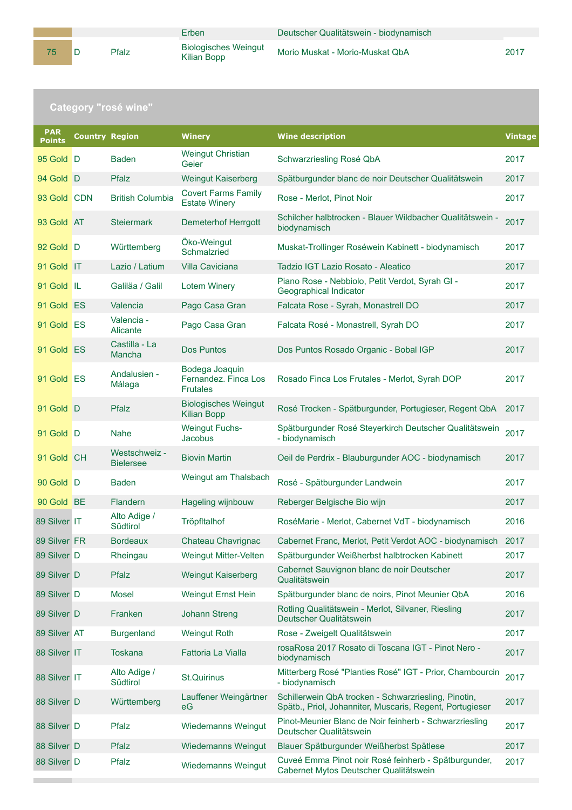Erben Deutscher Qualitätswein - biodynamisch

Morio Muskat - Morio-Muskat QbA 2017

## **Category "rosé wine"**

| <b>PAR</b><br><b>Points</b> | <b>Country Region</b> |                                   | <b>Winery</b>                                             | <b>Wine description</b>                                                                                          | <b>Vintage</b> |
|-----------------------------|-----------------------|-----------------------------------|-----------------------------------------------------------|------------------------------------------------------------------------------------------------------------------|----------------|
| 95 Gold D                   |                       | <b>Baden</b>                      | <b>Weingut Christian</b><br>Geier                         | Schwarzriesling Rosé QbA                                                                                         | 2017           |
| 94 Gold D                   |                       | Pfalz                             | <b>Weingut Kaiserberg</b>                                 | Spätburgunder blanc de noir Deutscher Qualitätswein                                                              | 2017           |
| 93 Gold CDN                 |                       | <b>British Columbia</b>           | <b>Covert Farms Family</b><br><b>Estate Winery</b>        | Rose - Merlot, Pinot Noir                                                                                        | 2017           |
| 93 Gold AT                  |                       | <b>Steiermark</b>                 | <b>Demeterhof Herrgott</b>                                | Schilcher halbtrocken - Blauer Wildbacher Qualitätswein -<br>biodynamisch                                        | 2017           |
| 92 Gold D                   |                       | Württemberg                       | Öko-Weingut<br>Schmalzried                                | Muskat-Trollinger Roséwein Kabinett - biodynamisch                                                               | 2017           |
| 91 Gold IT                  |                       | Lazio / Latium                    | <b>Villa Caviciana</b>                                    | Tadzio IGT Lazio Rosato - Aleatico                                                                               | 2017           |
| 91 Gold IL                  |                       | Galiläa / Galil                   | <b>Lotem Winery</b>                                       | Piano Rose - Nebbiolo, Petit Verdot, Syrah GI -<br>Geographical Indicator                                        | 2017           |
| 91 Gold ES                  |                       | Valencia                          | Pago Casa Gran                                            | Falcata Rose - Syrah, Monastrell DO                                                                              | 2017           |
| 91 Gold ES                  |                       | Valencia -<br>Alicante            | Pago Casa Gran                                            | Falcata Rosé - Monastrell, Syrah DO                                                                              | 2017           |
| 91 Gold ES                  |                       | Castilla - La<br>Mancha           | <b>Dos Puntos</b>                                         | Dos Puntos Rosado Organic - Bobal IGP                                                                            | 2017           |
| 91 Gold ES                  |                       | Andalusien -<br>Málaga            | Bodega Joaquin<br>Fernandez. Finca Los<br><b>Frutales</b> | Rosado Finca Los Frutales - Merlot, Syrah DOP                                                                    | 2017           |
| 91 Gold D                   |                       | Pfalz                             | <b>Biologisches Weingut</b><br><b>Kilian Bopp</b>         | Rosé Trocken - Spätburgunder, Portugieser, Regent QbA                                                            | 2017           |
| 91 Gold D                   |                       | <b>Nahe</b>                       | <b>Weingut Fuchs-</b><br><b>Jacobus</b>                   | Spätburgunder Rosé Steyerkirch Deutscher Qualitätswein<br>- biodynamisch                                         | 2017           |
| 91 Gold CH                  |                       | Westschweiz -<br><b>Bielersee</b> | <b>Biovin Martin</b>                                      | Oeil de Perdrix - Blauburgunder AOC - biodynamisch                                                               | 2017           |
| 90 Gold D                   |                       | <b>Baden</b>                      | Weingut am Thalsbach                                      | Rosé - Spätburgunder Landwein                                                                                    | 2017           |
| 90 Gold BE                  |                       | Flandern                          | Hageling wijnbouw                                         | Reberger Belgische Bio wijn                                                                                      | 2017           |
| 89 Silver IT                |                       | Alto Adige /<br>Südtirol          | Tröpfltalhof                                              | RoséMarie - Merlot, Cabernet VdT - biodynamisch                                                                  | 2016           |
| 89 Silver FR                |                       | <b>Bordeaux</b>                   | Chateau Chavrignac                                        | Cabernet Franc, Merlot, Petit Verdot AOC - biodynamisch 2017                                                     |                |
| 89 Silver D                 |                       | Rheingau                          | Weingut Mitter-Velten                                     | Spätburgunder Weißherbst halbtrocken Kabinett                                                                    | 2017           |
| 89 Silver D                 |                       | <b>Pfalz</b>                      | <b>Weingut Kaiserberg</b>                                 | Cabernet Sauvignon blanc de noir Deutscher<br>Qualitätswein                                                      | 2017           |
| 89 Silver D                 |                       | <b>Mosel</b>                      | <b>Weingut Ernst Hein</b>                                 | Spätburgunder blanc de noirs, Pinot Meunier QbA                                                                  | 2016           |
| 89 Silver D                 |                       | Franken                           | <b>Johann Streng</b>                                      | Rotling Qualitätswein - Merlot, Silvaner, Riesling<br>Deutscher Qualitätswein                                    | 2017           |
| 89 Silver AT                |                       | <b>Burgenland</b>                 | <b>Weingut Roth</b>                                       | Rose - Zweigelt Qualitätswein                                                                                    | 2017           |
| 88 Silver IT                |                       | <b>Toskana</b>                    | Fattoria La Vialla                                        | rosaRosa 2017 Rosato di Toscana IGT - Pinot Nero -<br>biodynamisch                                               | 2017           |
| 88 Silver IT                |                       | Alto Adige /<br>Südtirol          | <b>St.Quirinus</b>                                        | Mitterberg Rosé "Planties Rosé" IGT - Prior, Chambourcin<br>- biodynamisch                                       | 2017           |
| 88 Silver D                 |                       | Württemberg                       | Lauffener Weingärtner<br>eG                               | Schillerwein QbA trocken - Schwarzriesling, Pinotin,<br>Spätb., Priol, Johanniter, Muscaris, Regent, Portugieser | 2017           |
| 88 Silver D                 |                       | Pfalz                             | <b>Wiedemanns Weingut</b>                                 | Pinot-Meunier Blanc de Noir feinherb - Schwarzriesling<br>Deutscher Qualitätswein                                | 2017           |
| 88 Silver D                 |                       | Pfalz                             | <b>Wiedemanns Weingut</b>                                 | Blauer Spätburgunder Weißherbst Spätlese                                                                         | 2017           |
| 88 Silver D                 |                       | Pfalz                             | Wiedemanns Weingut                                        | Cuveé Emma Pinot noir Rosé feinherb - Spätburgunder,<br>Cabernet Mytos Deutscher Qualitätswein                   | 2017           |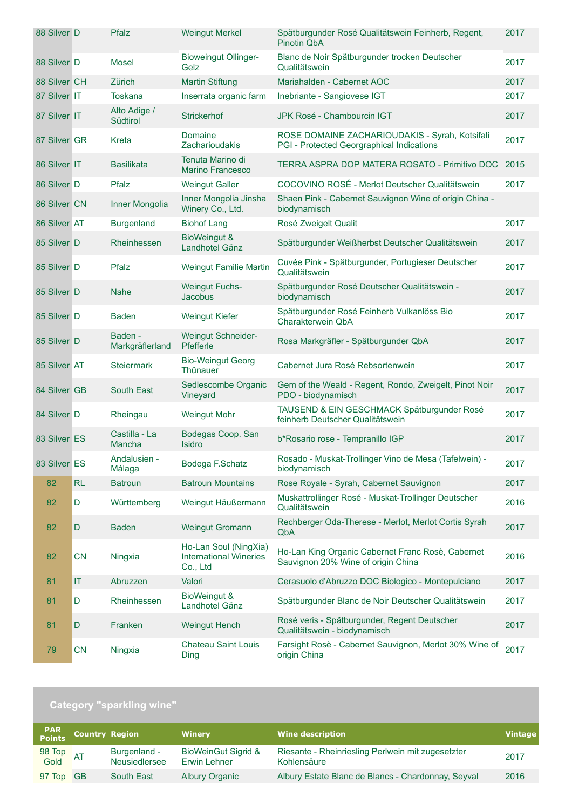| 88 Silver D  |           | Pfalz                      | <b>Weingut Merkel</b>                                              | Spätburgunder Rosé Qualitätswein Feinherb, Regent,<br><b>Pinotin QbA</b>                    | 2017 |
|--------------|-----------|----------------------------|--------------------------------------------------------------------|---------------------------------------------------------------------------------------------|------|
| 88 Silver D  |           | Mosel                      | <b>Bioweingut Ollinger-</b><br>Gelz                                | Blanc de Noir Spätburgunder trocken Deutscher<br>Qualitätswein                              | 2017 |
| 88 Silver CH |           | Zürich                     | <b>Martin Stiftung</b>                                             | Mariahalden - Cabernet AOC                                                                  | 2017 |
| 87 Silver IT |           | <b>Toskana</b>             | Inserrata organic farm                                             | Inebriante - Sangiovese IGT                                                                 | 2017 |
| 87 Silver IT |           | Alto Adige /<br>Südtirol   | <b>Strickerhof</b>                                                 | JPK Rosé - Chambourcin IGT                                                                  | 2017 |
| 87 Silver GR |           | Kreta                      | Domaine<br><b>Zacharioudakis</b>                                   | ROSE DOMAINE ZACHARIOUDAKIS - Syrah, Kotsifali<br>PGI - Protected Georgraphical Indications | 2017 |
| 86 Silver IT |           | <b>Basilikata</b>          | Tenuta Marino di<br><b>Marino Francesco</b>                        | TERRA ASPRA DOP MATERA ROSATO - Primitivo DOC 2015                                          |      |
| 86 Silver D  |           | Pfalz                      | <b>Weingut Galler</b>                                              | COCOVINO ROSÉ - Merlot Deutscher Qualitätswein                                              | 2017 |
| 86 Silver CN |           | Inner Mongolia             | Inner Mongolia Jinsha<br>Winery Co., Ltd.                          | Shaen Pink - Cabernet Sauvignon Wine of origin China -<br>biodynamisch                      |      |
| 86 Silver AT |           | <b>Burgenland</b>          | <b>Biohof Lang</b>                                                 | Rosé Zweigelt Qualit                                                                        | 2017 |
| 85 Silver D  |           | Rheinhessen                | BioWeingut &<br>Landhotel Gänz                                     | Spätburgunder Weißherbst Deutscher Qualitätswein                                            | 2017 |
| 85 Silver D  |           | Pfalz                      | Weingut Familie Martin                                             | Cuvée Pink - Spätburgunder, Portugieser Deutscher<br>Qualitätswein                          | 2017 |
| 85 Silver D  |           | <b>Nahe</b>                | <b>Weingut Fuchs-</b><br><b>Jacobus</b>                            | Spätburgunder Rosé Deutscher Qualitätswein -<br>biodynamisch                                | 2017 |
| 85 Silver D  |           | <b>Baden</b>               | <b>Weingut Kiefer</b>                                              | Spätburgunder Rosé Feinherb Vulkanlöss Bio<br>Charakterwein QbA                             | 2017 |
| 85 Silver D  |           | Baden -<br>Markgräflerland | <b>Weingut Schneider-</b><br>Pfefferle                             | Rosa Markgräfler - Spätburgunder QbA                                                        | 2017 |
| 85 Silver AT |           | <b>Steiermark</b>          | <b>Bio-Weingut Georg</b><br>Thünauer                               | Cabernet Jura Rosé Rebsortenwein                                                            | 2017 |
| 84 Silver GB |           | <b>South East</b>          | Sedlescombe Organic<br>Vineyard                                    | Gem of the Weald - Regent, Rondo, Zweigelt, Pinot Noir<br>PDO - biodynamisch                | 2017 |
| 84 Silver D  |           | Rheingau                   | <b>Weingut Mohr</b>                                                | TAUSEND & EIN GESCHMACK Spätburgunder Rosé<br>feinherb Deutscher Qualitätswein              | 2017 |
| 83 Silver ES |           | Castilla - La<br>Mancha    | Bodegas Coop. San<br><b>Isidro</b>                                 | b*Rosario rose - Tempranillo IGP                                                            | 2017 |
| 83 Silver ES |           | Andalusien -<br>Málaga     | Bodega F.Schatz                                                    | Rosado - Muskat-Trollinger Vino de Mesa (Tafelwein) -<br>biodynamisch                       | 2017 |
| 82           | <b>RL</b> | <b>Batroun</b>             | <b>Batroun Mountains</b>                                           | Rose Royale - Syrah, Cabernet Sauvignon                                                     | 2017 |
| 82           | D         | Württemberg                | Weingut Häußermann                                                 | Muskattrollinger Rosé - Muskat-Trollinger Deutscher<br>Qualitätswein                        | 2016 |
| 82           | D         | <b>Baden</b>               | <b>Weingut Gromann</b>                                             | Rechberger Oda-Therese - Merlot, Merlot Cortis Syrah<br>QbA                                 | 2017 |
| 82           | <b>CN</b> | Ningxia                    | Ho-Lan Soul (NingXia)<br><b>International Wineries</b><br>Co., Ltd | Ho-Lan King Organic Cabernet Franc Rosè, Cabernet<br>Sauvignon 20% Wine of origin China     | 2016 |
| 81           | IT        | Abruzzen                   | Valori                                                             | Cerasuolo d'Abruzzo DOC Biologico - Montepulciano                                           | 2017 |
| 81           | D         | Rheinhessen                | <b>BioWeingut &amp;</b><br>Landhotel Gänz                          | Spätburgunder Blanc de Noir Deutscher Qualitätswein                                         | 2017 |
| 81           | D         | Franken                    | <b>Weingut Hench</b>                                               | Rosé veris - Spätburgunder, Regent Deutscher<br>Qualitätswein - biodynamisch                | 2017 |
| 79           | CN        | Ningxia                    | <b>Chateau Saint Louis</b><br>Ding                                 | Farsight Rosè - Cabernet Sauvignon, Merlot 30% Wine of<br>origin China                      | 2017 |

## **Category "sparkling wine"**

| PAR<br>Points     | <b>Country Region</b>                | <b>Winery</b>                                  | <b>Wine description</b>                                          | <b>Vintage</b> |
|-------------------|--------------------------------------|------------------------------------------------|------------------------------------------------------------------|----------------|
| 98 Top<br>Gold AT | Burgenland -<br><b>Neusiedlersee</b> | <b>BioWeinGut Sigrid &amp;</b><br>Erwin Lehner | Riesante - Rheinriesling Perlwein mit zugesetzter<br>Kohlensäure | 2017           |
| 97 Top GB         | South East                           | <b>Albury Organic</b>                          | Albury Estate Blanc de Blancs - Chardonnay, Seyval               | 2016           |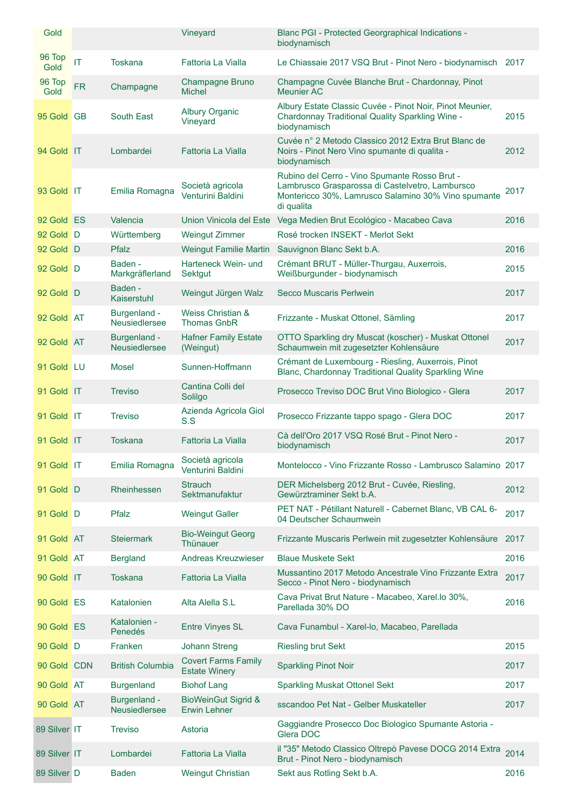| Gold           |           |                                      | Vineyard                                           | Blanc PGI - Protected Georgraphical Indications -<br>biodynamisch                                                                                                     |      |
|----------------|-----------|--------------------------------------|----------------------------------------------------|-----------------------------------------------------------------------------------------------------------------------------------------------------------------------|------|
| 96 Top<br>Gold | IT        | <b>Toskana</b>                       | Fattoria La Vialla                                 | Le Chiassaie 2017 VSQ Brut - Pinot Nero - biodynamisch 2017                                                                                                           |      |
| 96 Top<br>Gold | <b>FR</b> | Champagne                            | Champagne Bruno<br><b>Michel</b>                   | Champagne Cuvée Blanche Brut - Chardonnay, Pinot<br>Meunier AC                                                                                                        |      |
| 95 Gold GB     |           | South East                           | <b>Albury Organic</b><br>Vineyard                  | Albury Estate Classic Cuvée - Pinot Noir, Pinot Meunier,<br>Chardonnay Traditional Quality Sparkling Wine -<br>biodynamisch                                           | 2015 |
| 94 Gold IT     |           | Lombardei                            | Fattoria La Vialla                                 | Cuvée n° 2 Metodo Classico 2012 Extra Brut Blanc de<br>Noirs - Pinot Nero Vino spumante di qualita -<br>biodynamisch                                                  | 2012 |
| 93 Gold IT     |           | Emilia Romagna                       | Società agricola<br>Venturini Baldini              | Rubino del Cerro - Vino Spumante Rosso Brut -<br>Lambrusco Grasparossa di Castelvetro, Lambursco<br>Montericco 30%, Lamrusco Salamino 30% Vino spumante<br>di qualita | 2017 |
| 92 Gold ES     |           | Valencia                             | Union Vinicola del Este                            | Vega Medien Brut Ecológico - Macabeo Cava                                                                                                                             | 2016 |
| 92 Gold D      |           | Württemberg                          | <b>Weingut Zimmer</b>                              | Rosé trocken INSEKT - Merlot Sekt                                                                                                                                     |      |
| 92 Gold D      |           | Pfalz                                | <b>Weingut Familie Martin</b>                      | Sauvignon Blanc Sekt b.A.                                                                                                                                             | 2016 |
| 92 Gold D      |           | Baden -<br>Markgräflerland           | Harteneck Wein- und<br>Sektgut                     | Crémant BRUT - Müller-Thurgau, Auxerrois,<br>Weißburgunder - biodynamisch                                                                                             | 2015 |
| 92 Gold D      |           | Baden -<br>Kaiserstuhl               | Weingut Jürgen Walz                                | Secco Muscaris Perlwein                                                                                                                                               | 2017 |
| 92 Gold AT     |           | Burgenland -<br><b>Neusiedlersee</b> | Weiss Christian &<br><b>Thomas GnbR</b>            | Frizzante - Muskat Ottonel, Sämling                                                                                                                                   | 2017 |
| 92 Gold AT     |           | Burgenland -<br><b>Neusiedlersee</b> | <b>Hafner Family Estate</b><br>(Weingut)           | OTTO Sparkling dry Muscat (koscher) - Muskat Ottonel<br>Schaumwein mit zugesetzter Kohlensäure                                                                        | 2017 |
| 91 Gold LU     |           | Mosel                                | Sunnen-Hoffmann                                    | Crémant de Luxembourg - Riesling, Auxerrois, Pinot<br>Blanc, Chardonnay Traditional Quality Sparkling Wine                                                            |      |
| 91 Gold IT     |           | <b>Treviso</b>                       | Cantina Colli del<br>Solilgo                       | Prosecco Treviso DOC Brut Vino Biologico - Glera                                                                                                                      | 2017 |
| 91 Gold IT     |           | <b>Treviso</b>                       | Azienda Agricola Giol<br>S.S                       | Prosecco Frizzante tappo spago - Glera DOC                                                                                                                            | 2017 |
| 91 Gold IT     |           | <b>Toskana</b>                       | <b>Fattoria La Vialla</b>                          | Cà dell'Oro 2017 VSQ Rosé Brut - Pinot Nero -<br>biodynamisch                                                                                                         | 2017 |
| 91 Gold IT     |           | Emilia Romagna                       | Società agricola<br>Venturini Baldini              | Montelocco - Vino Frizzante Rosso - Lambrusco Salamino 2017                                                                                                           |      |
| 91 Gold D      |           | Rheinhessen                          | <b>Strauch</b><br>Sektmanufaktur                   | DER Michelsberg 2012 Brut - Cuvée, Riesling,<br>Gewürztraminer Sekt b.A.                                                                                              | 2012 |
| 91 Gold D      |           | Pfalz                                | <b>Weingut Galler</b>                              | PET NAT - Pétillant Naturell - Cabernet Blanc, VB CAL 6-<br>04 Deutscher Schaumwein                                                                                   | 2017 |
| 91 Gold AT     |           | <b>Steiermark</b>                    | <b>Bio-Weingut Georg</b><br>Thünauer               | Frizzante Muscaris Perlwein mit zugesetzter Kohlensäure                                                                                                               | 2017 |
| 91 Gold AT     |           | <b>Bergland</b>                      | Andreas Kreuzwieser                                | <b>Blaue Muskete Sekt</b>                                                                                                                                             | 2016 |
| 90 Gold IT     |           | Toskana                              | Fattoria La Vialla                                 | Mussantino 2017 Metodo Ancestrale Vino Frizzante Extra<br>Secco - Pinot Nero - biodynamisch                                                                           | 2017 |
| 90 Gold ES     |           | Katalonien                           | Alta Alella S.L                                    | Cava Privat Brut Nature - Macabeo, Xarel.lo 30%,<br>Parellada 30% DO                                                                                                  | 2016 |
| 90 Gold ES     |           | Katalonien -<br>Penedés              | <b>Entre Vinyes SL</b>                             | Cava Funambul - Xarel-lo, Macabeo, Parellada                                                                                                                          |      |
| 90 Gold D      |           | Franken                              | <b>Johann Streng</b>                               | <b>Riesling brut Sekt</b>                                                                                                                                             | 2015 |
| 90 Gold CDN    |           | <b>British Columbia</b>              | <b>Covert Farms Family</b><br><b>Estate Winery</b> | <b>Sparkling Pinot Noir</b>                                                                                                                                           | 2017 |
| 90 Gold AT     |           | <b>Burgenland</b>                    | <b>Biohof Lang</b>                                 | <b>Sparkling Muskat Ottonel Sekt</b>                                                                                                                                  | 2017 |
| 90 Gold AT     |           | Burgenland -<br>Neusiedlersee        | <b>BioWeinGut Sigrid &amp;</b><br>Erwin Lehner     | sscandoo Pet Nat - Gelber Muskateller                                                                                                                                 | 2017 |
| 89 Silver IT   |           | <b>Treviso</b>                       | Astoria                                            | Gaggiandre Prosecco Doc Biologico Spumante Astoria -<br>Glera DOC                                                                                                     |      |
| 89 Silver IT   |           | Lombardei                            | Fattoria La Vialla                                 | il "35" Metodo Classico Oltrepò Pavese DOCG 2014 Extra<br>Brut - Pinot Nero - biodynamisch                                                                            | 2014 |
| 89 Silver D    |           | <b>Baden</b>                         | <b>Weingut Christian</b>                           | Sekt aus Rotling Sekt b.A.                                                                                                                                            | 2016 |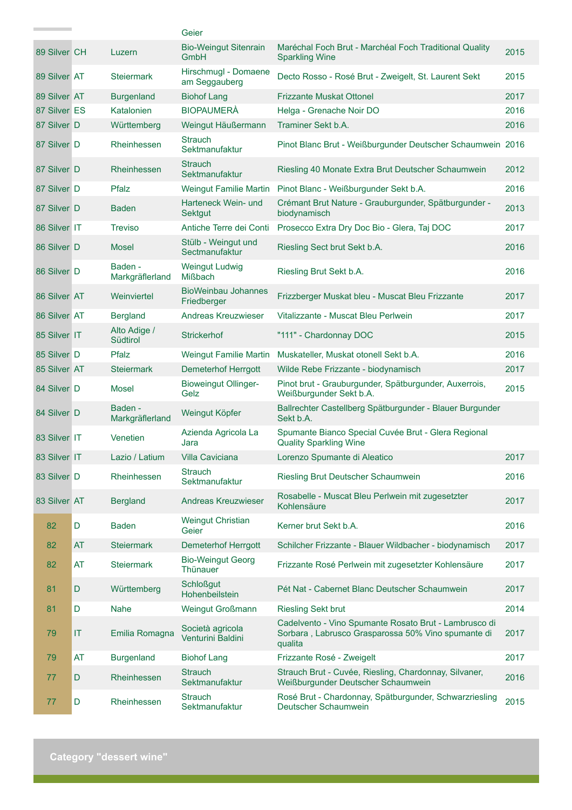|              |             |                            | Geier                                       |                                                                                                                        |      |
|--------------|-------------|----------------------------|---------------------------------------------|------------------------------------------------------------------------------------------------------------------------|------|
| 89 Silver CH |             | Luzern                     | <b>Bio-Weingut Sitenrain</b><br><b>GmbH</b> | Maréchal Foch Brut - Marchéal Foch Traditional Quality<br><b>Sparkling Wine</b>                                        | 2015 |
| 89 Silver AT |             | <b>Steiermark</b>          | Hirschmugl - Domaene<br>am Seggauberg       | Decto Rosso - Rosé Brut - Zweigelt, St. Laurent Sekt                                                                   | 2015 |
| 89 Silver AT |             | <b>Burgenland</b>          | <b>Biohof Lang</b>                          | <b>Frizzante Muskat Ottonel</b>                                                                                        | 2017 |
| 87 Silver ES |             | Katalonien                 | <b>BIOPAUMERA</b>                           | Helga - Grenache Noir DO                                                                                               | 2016 |
| 87 Silver D  |             | Württemberg                | Weingut Häußermann                          | Traminer Sekt b.A.                                                                                                     | 2016 |
| 87 Silver D  |             | Rheinhessen                | <b>Strauch</b><br>Sektmanufaktur            | Pinot Blanc Brut - Weißburgunder Deutscher Schaumwein 2016                                                             |      |
| 87 Silver D  |             | Rheinhessen                | <b>Strauch</b><br>Sektmanufaktur            | Riesling 40 Monate Extra Brut Deutscher Schaumwein                                                                     | 2012 |
| 87 Silver D  |             | Pfalz                      | <b>Weingut Familie Martin</b>               | Pinot Blanc - Weißburgunder Sekt b.A.                                                                                  | 2016 |
| 87 Silver D  |             | <b>Baden</b>               | Harteneck Wein- und<br><b>Sektgut</b>       | Crémant Brut Nature - Grauburgunder, Spätburgunder -<br>biodynamisch                                                   | 2013 |
| 86 Silver IT |             | <b>Treviso</b>             | Antiche Terre dei Conti                     | Prosecco Extra Dry Doc Bio - Glera, Taj DOC                                                                            | 2017 |
| 86 Silver D  |             | <b>Mosel</b>               | Stülb - Weingut und<br>Sectmanufaktur       | Riesling Sect brut Sekt b.A.                                                                                           | 2016 |
| 86 Silver D  |             | Baden -<br>Markgräflerland | <b>Weingut Ludwig</b><br><b>Mißbach</b>     | Riesling Brut Sekt b.A.                                                                                                | 2016 |
| 86 Silver AT |             | Weinviertel                | <b>BioWeinbau Johannes</b><br>Friedberger   | Frizzberger Muskat bleu - Muscat Bleu Frizzante                                                                        | 2017 |
| 86 Silver AT |             | <b>Bergland</b>            | <b>Andreas Kreuzwieser</b>                  | Vitalizzante - Muscat Bleu Perlwein                                                                                    | 2017 |
| 85 Silver IT |             | Alto Adige /<br>Südtirol   | <b>Strickerhof</b>                          | "111" - Chardonnay DOC                                                                                                 | 2015 |
| 85 Silver D  |             | Pfalz                      | <b>Weingut Familie Martin</b>               | Muskateller, Muskat otonell Sekt b.A.                                                                                  | 2016 |
| 85 Silver AT |             | <b>Stejermark</b>          | <b>Demeterhof Herrgott</b>                  | Wilde Rebe Frizzante - biodynamisch                                                                                    | 2017 |
| 84 Silver D  |             | Mosel                      | <b>Bioweingut Ollinger-</b><br>Gelz         | Pinot brut - Grauburgunder, Spätburgunder, Auxerrois,<br>Weißburgunder Sekt b.A.                                       | 2015 |
| 84 Silver D  |             | Baden -<br>Markgräflerland | Weingut Köpfer                              | Ballrechter Castellberg Spätburgunder - Blauer Burgunder<br>Sekt b.A.                                                  |      |
| 83 Silver IT |             | Venetien                   | Azienda Agricola La<br>Jara                 | Spumante Bianco Special Cuvée Brut - Glera Regional<br><b>Quality Sparkling Wine</b>                                   |      |
| 83 Silver IT |             | Lazio / Latium             | <b>Villa Caviciana</b>                      | Lorenzo Spumante di Aleatico                                                                                           | 2017 |
| 83 Silver D  |             | Rheinhessen                | <b>Strauch</b><br>Sektmanufaktur            | Riesling Brut Deutscher Schaumwein                                                                                     | 2016 |
| 83 Silver AT |             | <b>Bergland</b>            | <b>Andreas Kreuzwieser</b>                  | Rosabelle - Muscat Bleu Perlwein mit zugesetzter<br>Kohlensäure                                                        | 2017 |
| 82           | $\mathsf D$ | <b>Baden</b>               | <b>Weingut Christian</b><br>Geier           | Kerner brut Sekt b.A.                                                                                                  | 2016 |
| 82           | <b>AT</b>   | <b>Steiermark</b>          | <b>Demeterhof Herrgott</b>                  | Schilcher Frizzante - Blauer Wildbacher - biodynamisch                                                                 | 2017 |
| 82           | <b>AT</b>   | <b>Steiermark</b>          | <b>Bio-Weingut Georg</b><br>Thünauer        | Frizzante Rosé Perlwein mit zugesetzter Kohlensäure                                                                    | 2017 |
| 81           | D           | Württemberg                | <b>Schloßgut</b><br>Hohenbeilstein          | Pét Nat - Cabernet Blanc Deutscher Schaumwein                                                                          | 2017 |
| 81           | D           | Nahe                       | <b>Weingut Großmann</b>                     | <b>Riesling Sekt brut</b>                                                                                              | 2014 |
| 79           | IT          | Emilia Romagna             | Società agricola<br>Venturini Baldini       | Cadelvento - Vino Spumante Rosato Brut - Lambrusco di<br>Sorbara, Labrusco Grasparossa 50% Vino spumante di<br>qualita | 2017 |
| 79           | <b>AT</b>   | <b>Burgenland</b>          | <b>Biohof Lang</b>                          | Frizzante Rosé - Zweigelt                                                                                              | 2017 |
| 77           | D           | Rheinhessen                | <b>Strauch</b><br>Sektmanufaktur            | Strauch Brut - Cuvée, Riesling, Chardonnay, Silvaner,<br>Weißburgunder Deutscher Schaumwein                            | 2016 |
| 77           | D           | Rheinhessen                | <b>Strauch</b><br>Sektmanufaktur            | Rosé Brut - Chardonnay, Spätburgunder, Schwarzriesling<br>Deutscher Schaumwein                                         | 2015 |